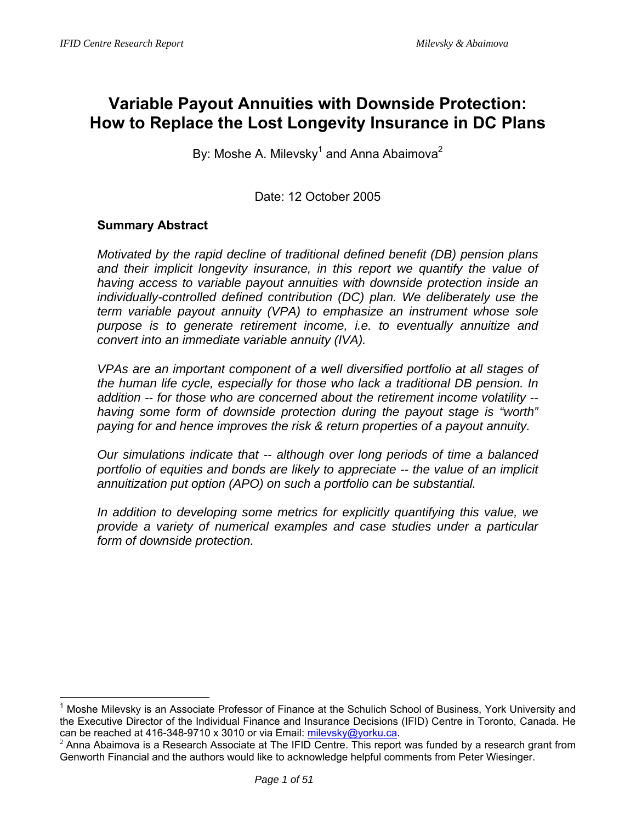# **Variable Payout Annuities with Downside Protection: How to Replace the Lost Longevity Insurance in DC Plans**

By: Moshe A. Milevsky<sup>1</sup> and Anna Abaimova<sup>2</sup>

# Date: 12 October 2005

### **Summary Abstract**

 $\overline{a}$ 

*Motivated by the rapid decline of traditional defined benefit (DB) pension plans*  and their implicit longevity insurance, in this report we quantify the value of *having access to variable payout annuities with downside protection inside an individually-controlled defined contribution (DC) plan. We deliberately use the term variable payout annuity (VPA) to emphasize an instrument whose sole purpose is to generate retirement income, i.e. to eventually annuitize and convert into an immediate variable annuity (IVA).* 

*VPAs are an important component of a well diversified portfolio at all stages of the human life cycle, especially for those who lack a traditional DB pension. In addition -- for those who are concerned about the retirement income volatility - having some form of downside protection during the payout stage is "worth" paying for and hence improves the risk & return properties of a payout annuity.* 

*Our simulations indicate that -- although over long periods of time a balanced portfolio of equities and bonds are likely to appreciate -- the value of an implicit annuitization put option (APO) on such a portfolio can be substantial.* 

*In addition to developing some metrics for explicitly quantifying this value, we provide a variety of numerical examples and case studies under a particular form of downside protection.* 

<sup>1</sup> Moshe Milevsky is an Associate Professor of Finance at the Schulich School of Business, York University and the Executive Director of the Individual Finance and Insurance Decisions (IFID) Centre in Toronto, Canada. He can be reached at 416-348-9710 x 3010 or via Email: *milevsky@yorku.ca*.<br><sup>2</sup> Anna Abaimova is a Research Associate at The IFID Centre. This report was funded by a research grant from

Genworth Financial and the authors would like to acknowledge helpful comments from Peter Wiesinger.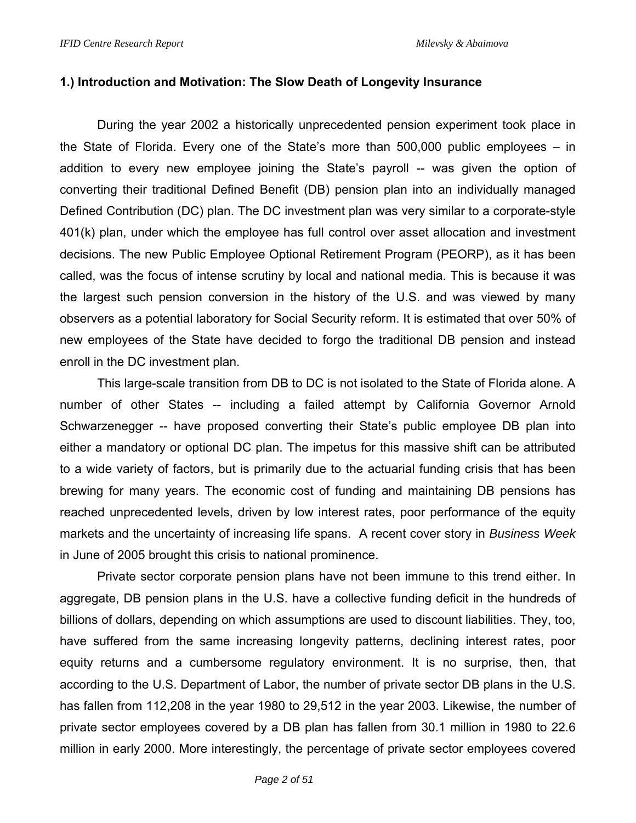#### **1.) Introduction and Motivation: The Slow Death of Longevity Insurance**

During the year 2002 a historically unprecedented pension experiment took place in the State of Florida. Every one of the State's more than 500,000 public employees – in addition to every new employee joining the State's payroll -- was given the option of converting their traditional Defined Benefit (DB) pension plan into an individually managed Defined Contribution (DC) plan. The DC investment plan was very similar to a corporate-style 401(k) plan, under which the employee has full control over asset allocation and investment decisions. The new Public Employee Optional Retirement Program (PEORP), as it has been called, was the focus of intense scrutiny by local and national media. This is because it was the largest such pension conversion in the history of the U.S. and was viewed by many observers as a potential laboratory for Social Security reform. It is estimated that over 50% of new employees of the State have decided to forgo the traditional DB pension and instead enroll in the DC investment plan.

This large-scale transition from DB to DC is not isolated to the State of Florida alone. A number of other States -- including a failed attempt by California Governor Arnold Schwarzenegger -- have proposed converting their State's public employee DB plan into either a mandatory or optional DC plan. The impetus for this massive shift can be attributed to a wide variety of factors, but is primarily due to the actuarial funding crisis that has been brewing for many years. The economic cost of funding and maintaining DB pensions has reached unprecedented levels, driven by low interest rates, poor performance of the equity markets and the uncertainty of increasing life spans. A recent cover story in *Business Week* in June of 2005 brought this crisis to national prominence.

Private sector corporate pension plans have not been immune to this trend either. In aggregate, DB pension plans in the U.S. have a collective funding deficit in the hundreds of billions of dollars, depending on which assumptions are used to discount liabilities. They, too, have suffered from the same increasing longevity patterns, declining interest rates, poor equity returns and a cumbersome regulatory environment. It is no surprise, then, that according to the U.S. Department of Labor, the number of private sector DB plans in the U.S. has fallen from 112,208 in the year 1980 to 29,512 in the year 2003. Likewise, the number of private sector employees covered by a DB plan has fallen from 30.1 million in 1980 to 22.6 million in early 2000. More interestingly, the percentage of private sector employees covered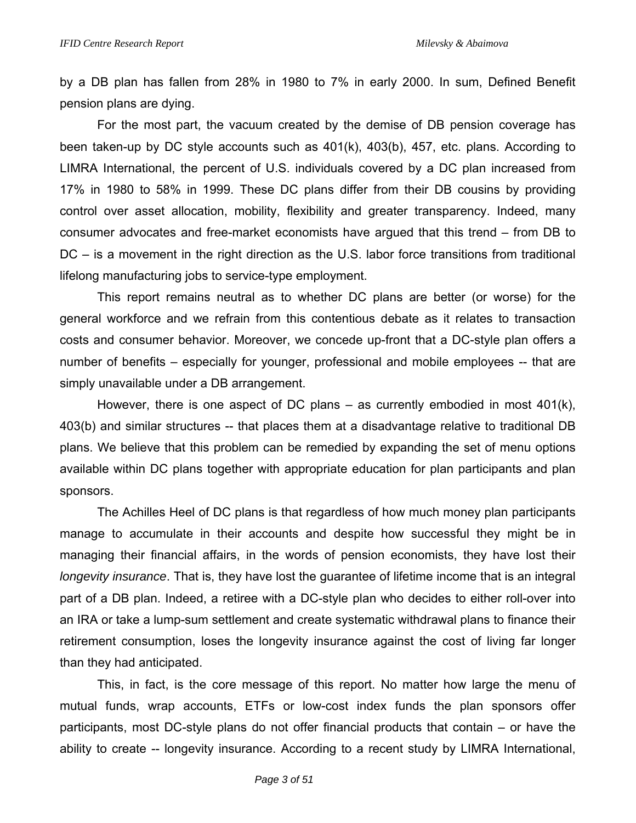by a DB plan has fallen from 28% in 1980 to 7% in early 2000. In sum, Defined Benefit pension plans are dying.

For the most part, the vacuum created by the demise of DB pension coverage has been taken-up by DC style accounts such as 401(k), 403(b), 457, etc. plans. According to LIMRA International, the percent of U.S. individuals covered by a DC plan increased from 17% in 1980 to 58% in 1999. These DC plans differ from their DB cousins by providing control over asset allocation, mobility, flexibility and greater transparency. Indeed, many consumer advocates and free-market economists have argued that this trend – from DB to DC – is a movement in the right direction as the U.S. labor force transitions from traditional lifelong manufacturing jobs to service-type employment.

This report remains neutral as to whether DC plans are better (or worse) for the general workforce and we refrain from this contentious debate as it relates to transaction costs and consumer behavior. Moreover, we concede up-front that a DC-style plan offers a number of benefits – especially for younger, professional and mobile employees -- that are simply unavailable under a DB arrangement.

However, there is one aspect of DC plans – as currently embodied in most 401(k), 403(b) and similar structures -- that places them at a disadvantage relative to traditional DB plans. We believe that this problem can be remedied by expanding the set of menu options available within DC plans together with appropriate education for plan participants and plan sponsors.

The Achilles Heel of DC plans is that regardless of how much money plan participants manage to accumulate in their accounts and despite how successful they might be in managing their financial affairs, in the words of pension economists, they have lost their *longevity insurance*. That is, they have lost the guarantee of lifetime income that is an integral part of a DB plan. Indeed, a retiree with a DC-style plan who decides to either roll-over into an IRA or take a lump-sum settlement and create systematic withdrawal plans to finance their retirement consumption, loses the longevity insurance against the cost of living far longer than they had anticipated.

This, in fact, is the core message of this report. No matter how large the menu of mutual funds, wrap accounts, ETFs or low-cost index funds the plan sponsors offer participants, most DC-style plans do not offer financial products that contain – or have the ability to create -- longevity insurance. According to a recent study by LIMRA International,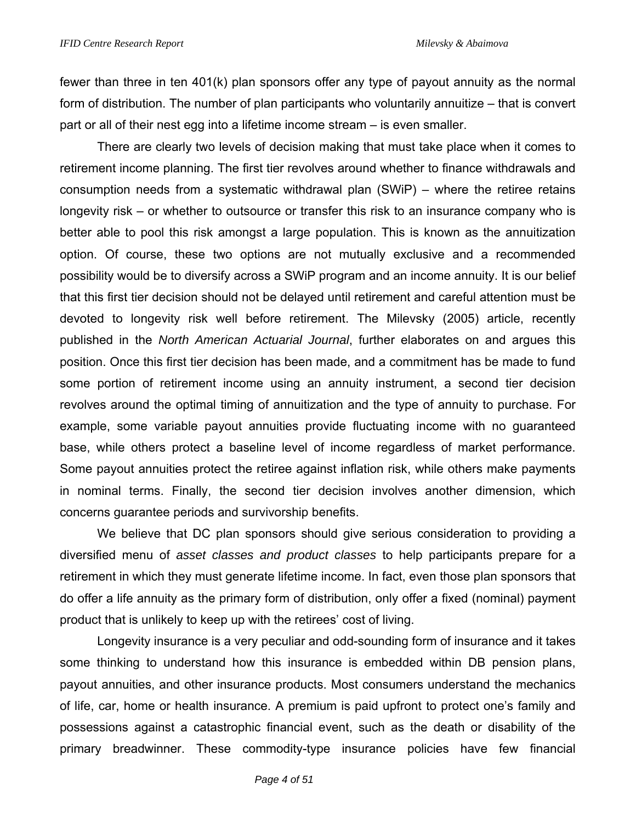fewer than three in ten 401(k) plan sponsors offer any type of payout annuity as the normal form of distribution. The number of plan participants who voluntarily annuitize – that is convert part or all of their nest egg into a lifetime income stream – is even smaller.

There are clearly two levels of decision making that must take place when it comes to retirement income planning. The first tier revolves around whether to finance withdrawals and consumption needs from a systematic withdrawal plan (SWiP) – where the retiree retains longevity risk – or whether to outsource or transfer this risk to an insurance company who is better able to pool this risk amongst a large population. This is known as the annuitization option. Of course, these two options are not mutually exclusive and a recommended possibility would be to diversify across a SWiP program and an income annuity. It is our belief that this first tier decision should not be delayed until retirement and careful attention must be devoted to longevity risk well before retirement. The Milevsky (2005) article, recently published in the *North American Actuarial Journal*, further elaborates on and argues this position. Once this first tier decision has been made, and a commitment has be made to fund some portion of retirement income using an annuity instrument, a second tier decision revolves around the optimal timing of annuitization and the type of annuity to purchase. For example, some variable payout annuities provide fluctuating income with no guaranteed base, while others protect a baseline level of income regardless of market performance. Some payout annuities protect the retiree against inflation risk, while others make payments in nominal terms. Finally, the second tier decision involves another dimension, which concerns guarantee periods and survivorship benefits.

We believe that DC plan sponsors should give serious consideration to providing a diversified menu of *asset classes and product classes* to help participants prepare for a retirement in which they must generate lifetime income. In fact, even those plan sponsors that do offer a life annuity as the primary form of distribution, only offer a fixed (nominal) payment product that is unlikely to keep up with the retirees' cost of living.

Longevity insurance is a very peculiar and odd-sounding form of insurance and it takes some thinking to understand how this insurance is embedded within DB pension plans, payout annuities, and other insurance products. Most consumers understand the mechanics of life, car, home or health insurance. A premium is paid upfront to protect one's family and possessions against a catastrophic financial event, such as the death or disability of the primary breadwinner. These commodity-type insurance policies have few financial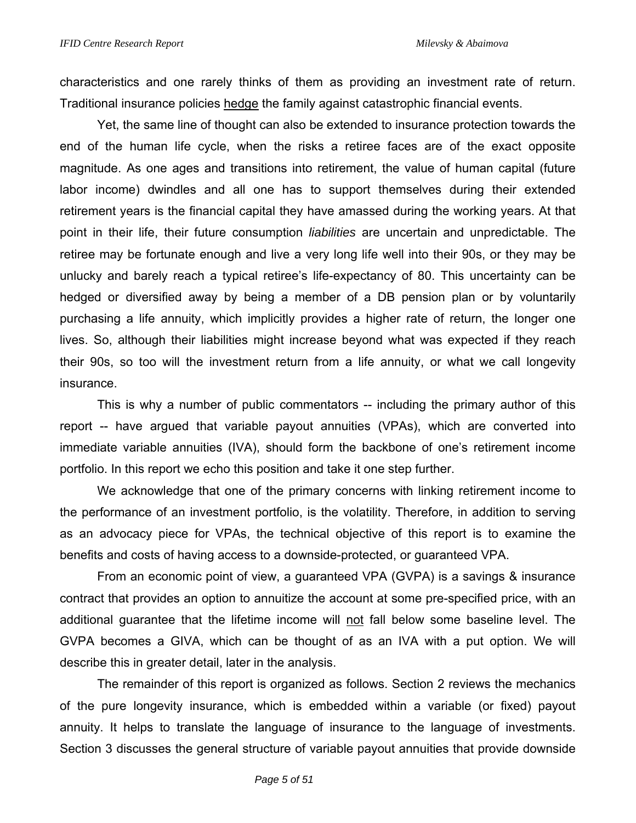characteristics and one rarely thinks of them as providing an investment rate of return. Traditional insurance policies hedge the family against catastrophic financial events.

Yet, the same line of thought can also be extended to insurance protection towards the end of the human life cycle, when the risks a retiree faces are of the exact opposite magnitude. As one ages and transitions into retirement, the value of human capital (future labor income) dwindles and all one has to support themselves during their extended retirement years is the financial capital they have amassed during the working years. At that point in their life, their future consumption *liabilities* are uncertain and unpredictable. The retiree may be fortunate enough and live a very long life well into their 90s, or they may be unlucky and barely reach a typical retiree's life-expectancy of 80. This uncertainty can be hedged or diversified away by being a member of a DB pension plan or by voluntarily purchasing a life annuity, which implicitly provides a higher rate of return, the longer one lives. So, although their liabilities might increase beyond what was expected if they reach their 90s, so too will the investment return from a life annuity, or what we call longevity insurance.

This is why a number of public commentators -- including the primary author of this report -- have argued that variable payout annuities (VPAs), which are converted into immediate variable annuities (IVA), should form the backbone of one's retirement income portfolio. In this report we echo this position and take it one step further.

We acknowledge that one of the primary concerns with linking retirement income to the performance of an investment portfolio, is the volatility. Therefore, in addition to serving as an advocacy piece for VPAs, the technical objective of this report is to examine the benefits and costs of having access to a downside-protected, or guaranteed VPA.

From an economic point of view, a guaranteed VPA (GVPA) is a savings & insurance contract that provides an option to annuitize the account at some pre-specified price, with an additional guarantee that the lifetime income will not fall below some baseline level. The GVPA becomes a GIVA, which can be thought of as an IVA with a put option. We will describe this in greater detail, later in the analysis.

The remainder of this report is organized as follows. Section 2 reviews the mechanics of the pure longevity insurance, which is embedded within a variable (or fixed) payout annuity. It helps to translate the language of insurance to the language of investments. Section 3 discusses the general structure of variable payout annuities that provide downside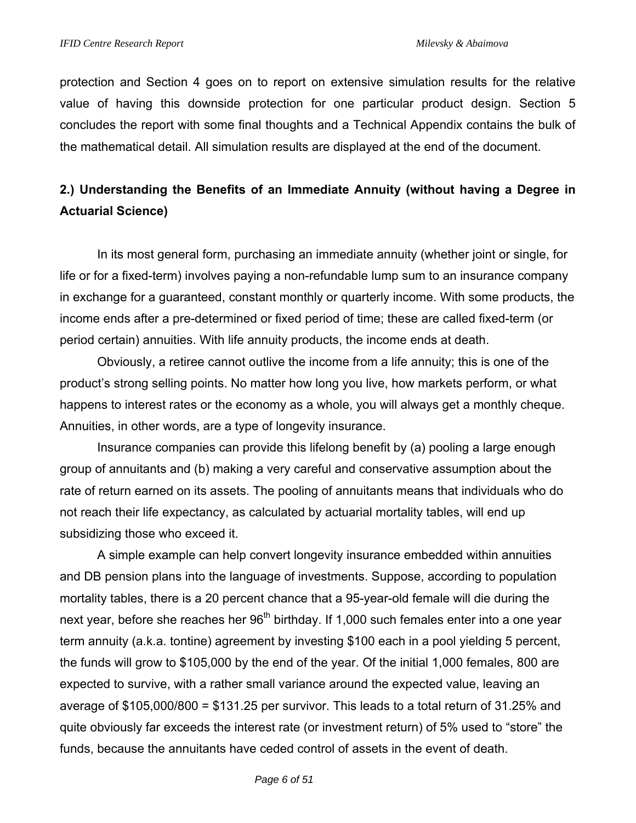protection and Section 4 goes on to report on extensive simulation results for the relative value of having this downside protection for one particular product design. Section 5 concludes the report with some final thoughts and a Technical Appendix contains the bulk of the mathematical detail. All simulation results are displayed at the end of the document.

# **2.) Understanding the Benefits of an Immediate Annuity (without having a Degree in Actuarial Science)**

In its most general form, purchasing an immediate annuity (whether joint or single, for life or for a fixed-term) involves paying a non-refundable lump sum to an insurance company in exchange for a guaranteed, constant monthly or quarterly income. With some products, the income ends after a pre-determined or fixed period of time; these are called fixed-term (or period certain) annuities. With life annuity products, the income ends at death.

Obviously, a retiree cannot outlive the income from a life annuity; this is one of the product's strong selling points. No matter how long you live, how markets perform, or what happens to interest rates or the economy as a whole, you will always get a monthly cheque. Annuities, in other words, are a type of longevity insurance.

Insurance companies can provide this lifelong benefit by (a) pooling a large enough group of annuitants and (b) making a very careful and conservative assumption about the rate of return earned on its assets. The pooling of annuitants means that individuals who do not reach their life expectancy, as calculated by actuarial mortality tables, will end up subsidizing those who exceed it.

A simple example can help convert longevity insurance embedded within annuities and DB pension plans into the language of investments. Suppose, according to population mortality tables, there is a 20 percent chance that a 95-year-old female will die during the next year, before she reaches her 96<sup>th</sup> birthday. If 1,000 such females enter into a one year term annuity (a.k.a. tontine) agreement by investing \$100 each in a pool yielding 5 percent, the funds will grow to \$105,000 by the end of the year. Of the initial 1,000 females, 800 are expected to survive, with a rather small variance around the expected value, leaving an average of \$105,000/800 = \$131.25 per survivor. This leads to a total return of 31.25% and quite obviously far exceeds the interest rate (or investment return) of 5% used to "store" the funds, because the annuitants have ceded control of assets in the event of death.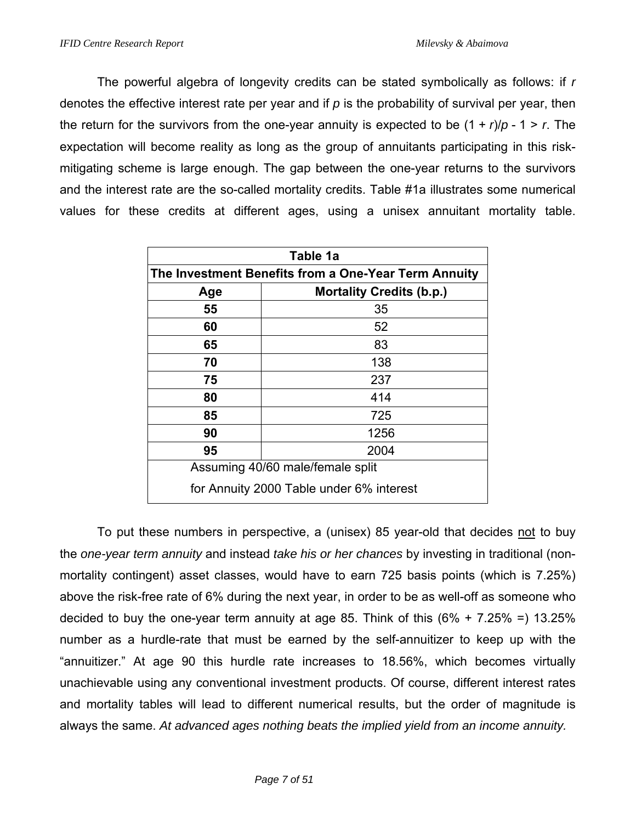The powerful algebra of longevity credits can be stated symbolically as follows: if *r* denotes the effective interest rate per year and if *p* is the probability of survival per year, then the return for the survivors from the one-year annuity is expected to be (1 + *r*)/*p* - 1 > *r*. The expectation will become reality as long as the group of annuitants participating in this riskmitigating scheme is large enough. The gap between the one-year returns to the survivors and the interest rate are the so-called mortality credits. Table #1a illustrates some numerical values for these credits at different ages, using a unisex annuitant mortality table.

| Table 1a                                             |                                          |  |  |  |  |  |  |  |  |
|------------------------------------------------------|------------------------------------------|--|--|--|--|--|--|--|--|
| The Investment Benefits from a One-Year Term Annuity |                                          |  |  |  |  |  |  |  |  |
| Age                                                  | <b>Mortality Credits (b.p.)</b>          |  |  |  |  |  |  |  |  |
| 55                                                   | 35                                       |  |  |  |  |  |  |  |  |
| 60                                                   | 52                                       |  |  |  |  |  |  |  |  |
| 65<br>83                                             |                                          |  |  |  |  |  |  |  |  |
| 70<br>138                                            |                                          |  |  |  |  |  |  |  |  |
| 75                                                   | 237                                      |  |  |  |  |  |  |  |  |
| 80                                                   | 414                                      |  |  |  |  |  |  |  |  |
| 85                                                   | 725                                      |  |  |  |  |  |  |  |  |
| 90                                                   | 1256                                     |  |  |  |  |  |  |  |  |
| 95                                                   | 2004                                     |  |  |  |  |  |  |  |  |
|                                                      | Assuming 40/60 male/female split         |  |  |  |  |  |  |  |  |
|                                                      | for Annuity 2000 Table under 6% interest |  |  |  |  |  |  |  |  |

To put these numbers in perspective, a (unisex) 85 year-old that decides not to buy the *one-year term annuity* and instead *take his or her chances* by investing in traditional (nonmortality contingent) asset classes, would have to earn 725 basis points (which is 7.25%) above the risk-free rate of 6% during the next year, in order to be as well-off as someone who decided to buy the one-year term annuity at age 85. Think of this  $(6\% + 7.25\% = 13.25\%)$ number as a hurdle-rate that must be earned by the self-annuitizer to keep up with the "annuitizer." At age 90 this hurdle rate increases to 18.56%, which becomes virtually unachievable using any conventional investment products. Of course, different interest rates and mortality tables will lead to different numerical results, but the order of magnitude is always the same. *At advanced ages nothing beats the implied yield from an income annuity.*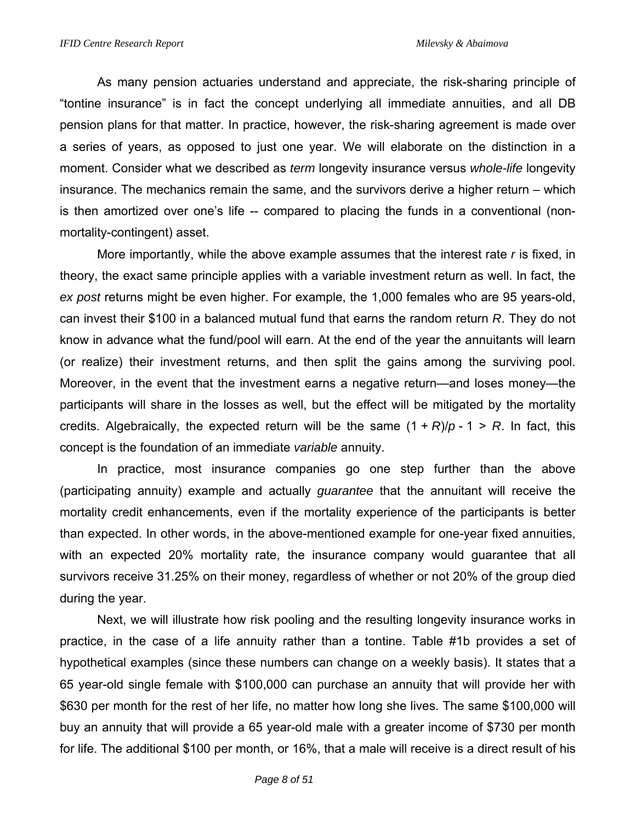As many pension actuaries understand and appreciate, the risk-sharing principle of "tontine insurance" is in fact the concept underlying all immediate annuities, and all DB pension plans for that matter. In practice, however, the risk-sharing agreement is made over a series of years, as opposed to just one year. We will elaborate on the distinction in a moment. Consider what we described as *term* longevity insurance versus *whole-life* longevity insurance. The mechanics remain the same, and the survivors derive a higher return – which is then amortized over one's life -- compared to placing the funds in a conventional (nonmortality-contingent) asset.

More importantly, while the above example assumes that the interest rate *r* is fixed, in theory, the exact same principle applies with a variable investment return as well. In fact, the *ex post* returns might be even higher. For example, the 1,000 females who are 95 years-old, can invest their \$100 in a balanced mutual fund that earns the random return *R*. They do not know in advance what the fund/pool will earn. At the end of the year the annuitants will learn (or realize) their investment returns, and then split the gains among the surviving pool. Moreover, in the event that the investment earns a negative return—and loses money—the participants will share in the losses as well, but the effect will be mitigated by the mortality credits. Algebraically, the expected return will be the same  $(1 + R)/p - 1 > R$ . In fact, this concept is the foundation of an immediate *variable* annuity.

In practice, most insurance companies go one step further than the above (participating annuity) example and actually *guarantee* that the annuitant will receive the mortality credit enhancements, even if the mortality experience of the participants is better than expected. In other words, in the above-mentioned example for one-year fixed annuities, with an expected 20% mortality rate, the insurance company would guarantee that all survivors receive 31.25% on their money, regardless of whether or not 20% of the group died during the year.

 Next, we will illustrate how risk pooling and the resulting longevity insurance works in practice, in the case of a life annuity rather than a tontine. Table #1b provides a set of hypothetical examples (since these numbers can change on a weekly basis). It states that a 65 year-old single female with \$100,000 can purchase an annuity that will provide her with \$630 per month for the rest of her life, no matter how long she lives. The same \$100,000 will buy an annuity that will provide a 65 year-old male with a greater income of \$730 per month for life. The additional \$100 per month, or 16%, that a male will receive is a direct result of his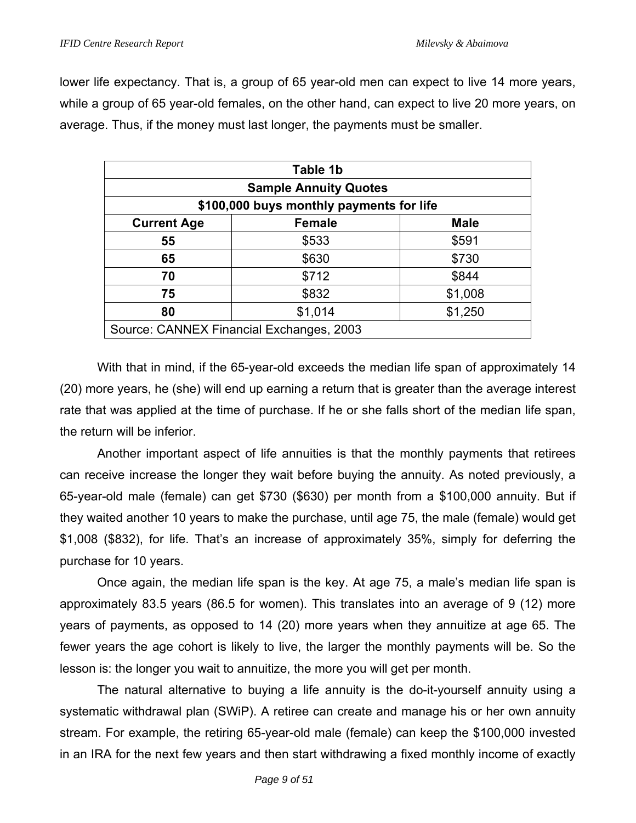lower life expectancy. That is, a group of 65 year-old men can expect to live 14 more years, while a group of 65 year-old females, on the other hand, can expect to live 20 more years, on average. Thus, if the money must last longer, the payments must be smaller.

| Table 1b                                 |                                          |             |  |  |  |  |  |  |  |
|------------------------------------------|------------------------------------------|-------------|--|--|--|--|--|--|--|
| <b>Sample Annuity Quotes</b>             |                                          |             |  |  |  |  |  |  |  |
| \$100,000 buys monthly payments for life |                                          |             |  |  |  |  |  |  |  |
| <b>Current Age</b>                       | <b>Female</b>                            | <b>Male</b> |  |  |  |  |  |  |  |
| 55                                       | \$533                                    | \$591       |  |  |  |  |  |  |  |
| 65                                       | \$630                                    | \$730       |  |  |  |  |  |  |  |
| 70                                       | \$712                                    | \$844       |  |  |  |  |  |  |  |
| 75                                       | \$832                                    | \$1,008     |  |  |  |  |  |  |  |
| \$1,014<br>\$1,250<br>80                 |                                          |             |  |  |  |  |  |  |  |
|                                          | Source: CANNEX Financial Exchanges, 2003 |             |  |  |  |  |  |  |  |

 With that in mind, if the 65-year-old exceeds the median life span of approximately 14 (20) more years, he (she) will end up earning a return that is greater than the average interest rate that was applied at the time of purchase. If he or she falls short of the median life span, the return will be inferior.

Another important aspect of life annuities is that the monthly payments that retirees can receive increase the longer they wait before buying the annuity. As noted previously, a 65-year-old male (female) can get \$730 (\$630) per month from a \$100,000 annuity. But if they waited another 10 years to make the purchase, until age 75, the male (female) would get \$1,008 (\$832), for life. That's an increase of approximately 35%, simply for deferring the purchase for 10 years.

 Once again, the median life span is the key. At age 75, a male's median life span is approximately 83.5 years (86.5 for women). This translates into an average of 9 (12) more years of payments, as opposed to 14 (20) more years when they annuitize at age 65. The fewer years the age cohort is likely to live, the larger the monthly payments will be. So the lesson is: the longer you wait to annuitize, the more you will get per month.

 The natural alternative to buying a life annuity is the do-it-yourself annuity using a systematic withdrawal plan (SWiP). A retiree can create and manage his or her own annuity stream. For example, the retiring 65-year-old male (female) can keep the \$100,000 invested in an IRA for the next few years and then start withdrawing a fixed monthly income of exactly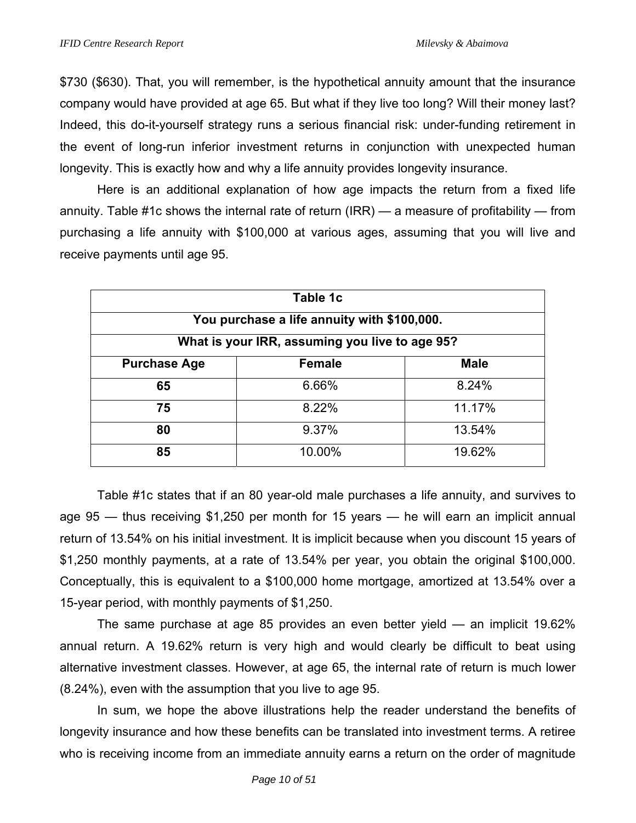\$730 (\$630). That, you will remember, is the hypothetical annuity amount that the insurance company would have provided at age 65. But what if they live too long? Will their money last? Indeed, this do-it-yourself strategy runs a serious financial risk: under-funding retirement in the event of long-run inferior investment returns in conjunction with unexpected human longevity. This is exactly how and why a life annuity provides longevity insurance.

 Here is an additional explanation of how age impacts the return from a fixed life annuity. Table #1c shows the internal rate of return (IRR) — a measure of profitability — from purchasing a life annuity with \$100,000 at various ages, assuming that you will live and receive payments until age 95.

| Table 1c                                       |               |             |  |  |  |  |  |  |  |
|------------------------------------------------|---------------|-------------|--|--|--|--|--|--|--|
| You purchase a life annuity with \$100,000.    |               |             |  |  |  |  |  |  |  |
| What is your IRR, assuming you live to age 95? |               |             |  |  |  |  |  |  |  |
| <b>Purchase Age</b>                            | <b>Female</b> | <b>Male</b> |  |  |  |  |  |  |  |
| 65                                             | 6.66%         | 8.24%       |  |  |  |  |  |  |  |
| 75                                             | 8.22%         | 11.17%      |  |  |  |  |  |  |  |
| 80                                             | 9.37%         | 13.54%      |  |  |  |  |  |  |  |
| 85                                             | 10.00%        | 19.62%      |  |  |  |  |  |  |  |

 Table #1c states that if an 80 year-old male purchases a life annuity, and survives to age 95 — thus receiving \$1,250 per month for 15 years — he will earn an implicit annual return of 13.54% on his initial investment. It is implicit because when you discount 15 years of \$1,250 monthly payments, at a rate of 13.54% per year, you obtain the original \$100,000. Conceptually, this is equivalent to a \$100,000 home mortgage, amortized at 13.54% over a 15-year period, with monthly payments of \$1,250.

 The same purchase at age 85 provides an even better yield — an implicit 19.62% annual return. A 19.62% return is very high and would clearly be difficult to beat using alternative investment classes. However, at age 65, the internal rate of return is much lower (8.24%), even with the assumption that you live to age 95.

 In sum, we hope the above illustrations help the reader understand the benefits of longevity insurance and how these benefits can be translated into investment terms. A retiree who is receiving income from an immediate annuity earns a return on the order of magnitude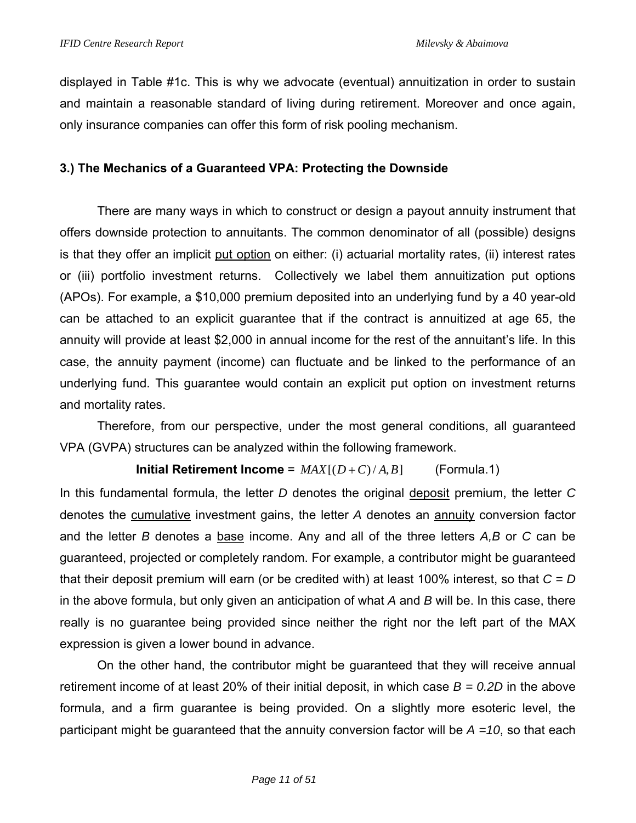displayed in Table #1c. This is why we advocate (eventual) annuitization in order to sustain and maintain a reasonable standard of living during retirement. Moreover and once again, only insurance companies can offer this form of risk pooling mechanism.

# **3.) The Mechanics of a Guaranteed VPA: Protecting the Downside**

There are many ways in which to construct or design a payout annuity instrument that offers downside protection to annuitants. The common denominator of all (possible) designs is that they offer an implicit put option on either: (i) actuarial mortality rates, (ii) interest rates or (iii) portfolio investment returns. Collectively we label them annuitization put options (APOs). For example, a \$10,000 premium deposited into an underlying fund by a 40 year-old can be attached to an explicit guarantee that if the contract is annuitized at age 65, the annuity will provide at least \$2,000 in annual income for the rest of the annuitant's life. In this case, the annuity payment (income) can fluctuate and be linked to the performance of an underlying fund. This guarantee would contain an explicit put option on investment returns and mortality rates.

Therefore, from our perspective, under the most general conditions, all guaranteed VPA (GVPA) structures can be analyzed within the following framework.

**Initial Retirement Income** =  $MAX[(D+C)/A, B]$  (Formula.1)

In this fundamental formula, the letter *D* denotes the original deposit premium, the letter *C* denotes the cumulative investment gains, the letter *A* denotes an annuity conversion factor and the letter *B* denotes a base income. Any and all of the three letters *A,B* or *C* can be guaranteed, projected or completely random. For example, a contributor might be guaranteed that their deposit premium will earn (or be credited with) at least 100% interest, so that *C = D* in the above formula, but only given an anticipation of what *A* and *B* will be. In this case, there really is no guarantee being provided since neither the right nor the left part of the MAX expression is given a lower bound in advance.

On the other hand, the contributor might be guaranteed that they will receive annual retirement income of at least 20% of their initial deposit, in which case *B = 0.2D* in the above formula, and a firm guarantee is being provided. On a slightly more esoteric level, the participant might be guaranteed that the annuity conversion factor will be *A =10*, so that each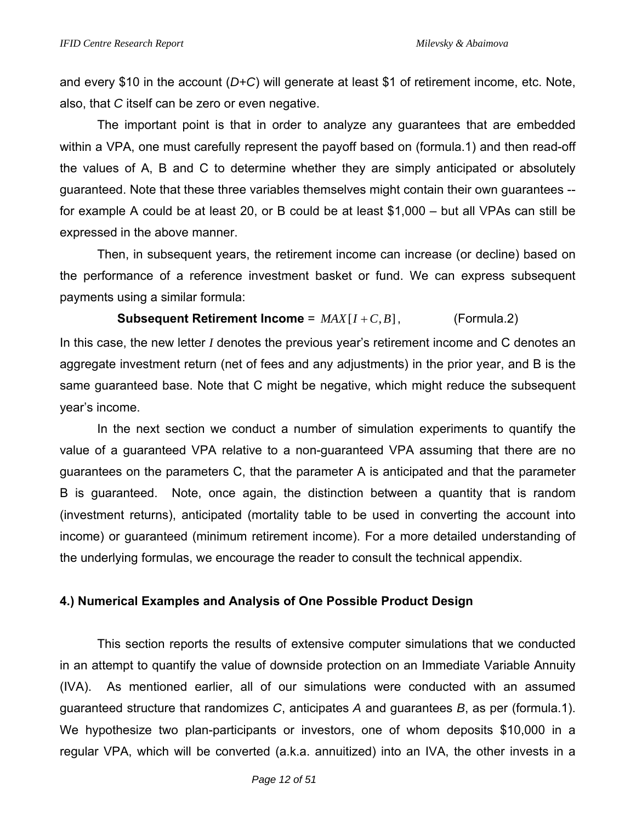and every \$10 in the account (*D+C*) will generate at least \$1 of retirement income, etc. Note, also, that *C* itself can be zero or even negative.

 The important point is that in order to analyze any guarantees that are embedded within a VPA, one must carefully represent the payoff based on (formula.1) and then read-off the values of A, B and C to determine whether they are simply anticipated or absolutely guaranteed. Note that these three variables themselves might contain their own guarantees - for example A could be at least 20, or B could be at least \$1,000 – but all VPAs can still be expressed in the above manner.

 Then, in subsequent years, the retirement income can increase (or decline) based on the performance of a reference investment basket or fund. We can express subsequent payments using a similar formula:

### **Subsequent Retirement Income** =  $MAX[I + C, B]$ , (Formula.2)

In this case, the new letter *I* denotes the previous year's retirement income and C denotes an aggregate investment return (net of fees and any adjustments) in the prior year, and B is the same guaranteed base. Note that C might be negative, which might reduce the subsequent year's income.

 In the next section we conduct a number of simulation experiments to quantify the value of a guaranteed VPA relative to a non-guaranteed VPA assuming that there are no guarantees on the parameters C, that the parameter A is anticipated and that the parameter B is guaranteed. Note, once again, the distinction between a quantity that is random (investment returns), anticipated (mortality table to be used in converting the account into income) or guaranteed (minimum retirement income). For a more detailed understanding of the underlying formulas, we encourage the reader to consult the technical appendix.

# **4.) Numerical Examples and Analysis of One Possible Product Design**

 This section reports the results of extensive computer simulations that we conducted in an attempt to quantify the value of downside protection on an Immediate Variable Annuity (IVA). As mentioned earlier, all of our simulations were conducted with an assumed guaranteed structure that randomizes *C*, anticipates *A* and guarantees *B*, as per (formula.1). We hypothesize two plan-participants or investors, one of whom deposits \$10,000 in a regular VPA, which will be converted (a.k.a. annuitized) into an IVA, the other invests in a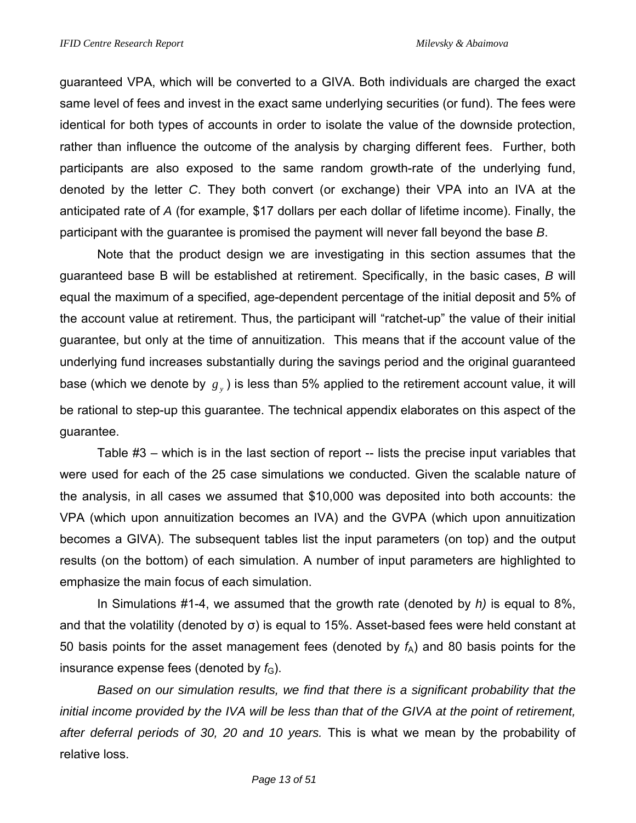guaranteed VPA, which will be converted to a GIVA. Both individuals are charged the exact same level of fees and invest in the exact same underlying securities (or fund). The fees were identical for both types of accounts in order to isolate the value of the downside protection, rather than influence the outcome of the analysis by charging different fees. Further, both participants are also exposed to the same random growth-rate of the underlying fund, denoted by the letter *C*. They both convert (or exchange) their VPA into an IVA at the anticipated rate of *A* (for example, \$17 dollars per each dollar of lifetime income). Finally, the participant with the guarantee is promised the payment will never fall beyond the base *B*.

 Note that the product design we are investigating in this section assumes that the guaranteed base B will be established at retirement. Specifically, in the basic cases, *B* will equal the maximum of a specified, age-dependent percentage of the initial deposit and 5% of the account value at retirement. Thus, the participant will "ratchet-up" the value of their initial guarantee, but only at the time of annuitization. This means that if the account value of the underlying fund increases substantially during the savings period and the original guaranteed base (which we denote by  $g_y$ ) is less than 5% applied to the retirement account value, it will be rational to step-up this guarantee. The technical appendix elaborates on this aspect of the guarantee.

Table #3 – which is in the last section of report -- lists the precise input variables that were used for each of the 25 case simulations we conducted. Given the scalable nature of the analysis, in all cases we assumed that \$10,000 was deposited into both accounts: the VPA (which upon annuitization becomes an IVA) and the GVPA (which upon annuitization becomes a GIVA). The subsequent tables list the input parameters (on top) and the output results (on the bottom) of each simulation. A number of input parameters are highlighted to emphasize the main focus of each simulation.

In Simulations #1-4, we assumed that the growth rate (denoted by *h)* is equal to 8%, and that the volatility (denoted by  $\sigma$ ) is equal to 15%. Asset-based fees were held constant at 50 basis points for the asset management fees (denoted by  $f_A$ ) and 80 basis points for the insurance expense fees (denoted by  $f_{\rm G}$ ).

*Based on our simulation results, we find that there is a significant probability that the initial income provided by the IVA will be less than that of the GIVA at the point of retirement, after deferral periods of 30, 20 and 10 years.* This is what we mean by the probability of relative loss.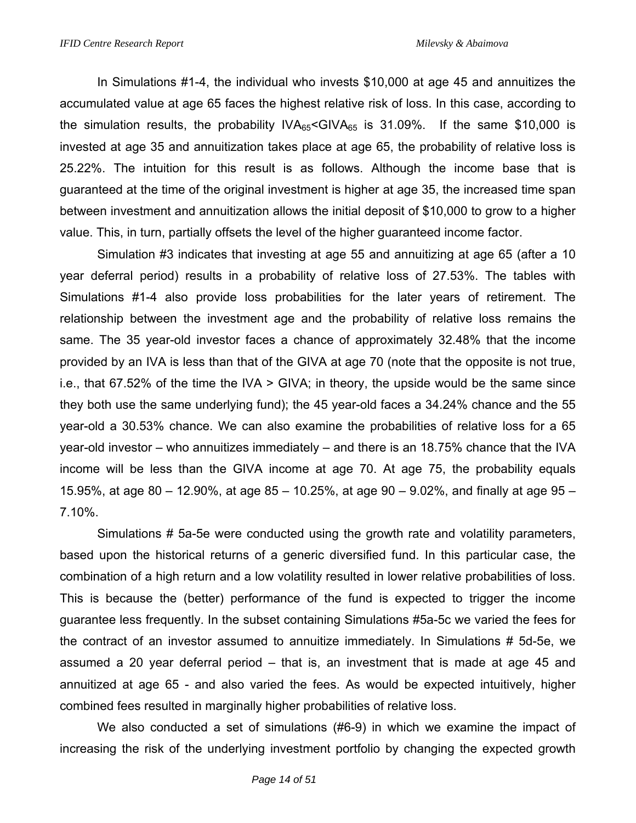In Simulations #1-4, the individual who invests \$10,000 at age 45 and annuitizes the accumulated value at age 65 faces the highest relative risk of loss. In this case, according to the simulation results, the probability  $IVA_{65} <$ GIV $A_{65}$  is 31.09%. If the same \$10,000 is invested at age 35 and annuitization takes place at age 65, the probability of relative loss is 25.22%. The intuition for this result is as follows. Although the income base that is guaranteed at the time of the original investment is higher at age 35, the increased time span between investment and annuitization allows the initial deposit of \$10,000 to grow to a higher value. This, in turn, partially offsets the level of the higher guaranteed income factor.

Simulation #3 indicates that investing at age 55 and annuitizing at age 65 (after a 10 year deferral period) results in a probability of relative loss of 27.53%. The tables with Simulations #1-4 also provide loss probabilities for the later years of retirement. The relationship between the investment age and the probability of relative loss remains the same. The 35 year-old investor faces a chance of approximately 32.48% that the income provided by an IVA is less than that of the GIVA at age 70 (note that the opposite is not true, i.e., that 67.52% of the time the IVA > GIVA; in theory, the upside would be the same since they both use the same underlying fund); the 45 year-old faces a 34.24% chance and the 55 year-old a 30.53% chance. We can also examine the probabilities of relative loss for a 65 year-old investor – who annuitizes immediately – and there is an 18.75% chance that the IVA income will be less than the GIVA income at age 70. At age 75, the probability equals 15.95%, at age 80 – 12.90%, at age 85 – 10.25%, at age 90 – 9.02%, and finally at age 95 – 7.10%.

Simulations # 5a-5e were conducted using the growth rate and volatility parameters, based upon the historical returns of a generic diversified fund. In this particular case, the combination of a high return and a low volatility resulted in lower relative probabilities of loss. This is because the (better) performance of the fund is expected to trigger the income guarantee less frequently. In the subset containing Simulations #5a-5c we varied the fees for the contract of an investor assumed to annuitize immediately. In Simulations # 5d-5e, we assumed a 20 year deferral period – that is, an investment that is made at age 45 and annuitized at age 65 - and also varied the fees. As would be expected intuitively, higher combined fees resulted in marginally higher probabilities of relative loss.

 We also conducted a set of simulations (#6-9) in which we examine the impact of increasing the risk of the underlying investment portfolio by changing the expected growth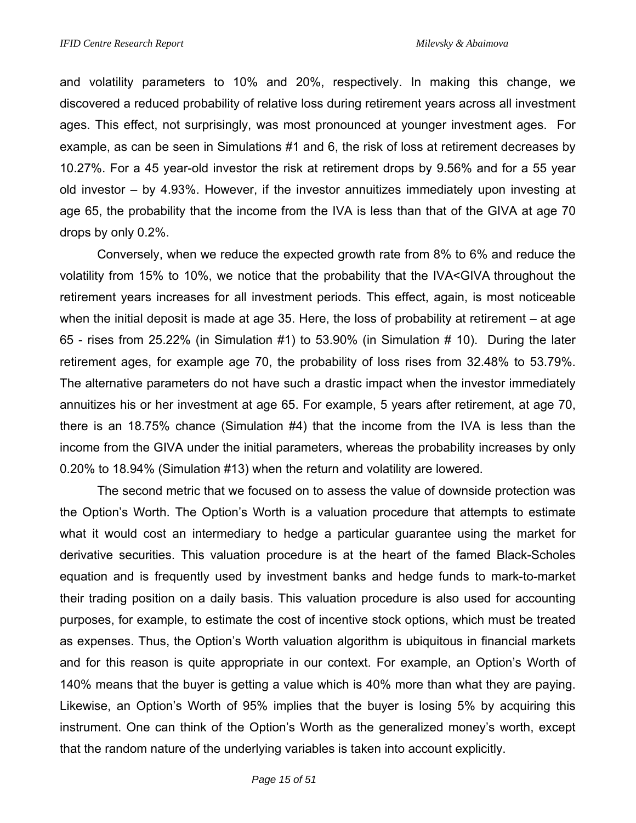and volatility parameters to 10% and 20%, respectively. In making this change, we discovered a reduced probability of relative loss during retirement years across all investment ages. This effect, not surprisingly, was most pronounced at younger investment ages. For example, as can be seen in Simulations #1 and 6, the risk of loss at retirement decreases by 10.27%. For a 45 year-old investor the risk at retirement drops by 9.56% and for a 55 year old investor – by 4.93%. However, if the investor annuitizes immediately upon investing at age 65, the probability that the income from the IVA is less than that of the GIVA at age 70 drops by only 0.2%.

 Conversely, when we reduce the expected growth rate from 8% to 6% and reduce the volatility from 15% to 10%, we notice that the probability that the IVA<GIVA throughout the retirement years increases for all investment periods. This effect, again, is most noticeable when the initial deposit is made at age 35. Here, the loss of probability at retirement – at age 65 - rises from 25.22% (in Simulation #1) to 53.90% (in Simulation # 10). During the later retirement ages, for example age 70, the probability of loss rises from 32.48% to 53.79%. The alternative parameters do not have such a drastic impact when the investor immediately annuitizes his or her investment at age 65. For example, 5 years after retirement, at age 70, there is an 18.75% chance (Simulation #4) that the income from the IVA is less than the income from the GIVA under the initial parameters, whereas the probability increases by only 0.20% to 18.94% (Simulation #13) when the return and volatility are lowered.

 The second metric that we focused on to assess the value of downside protection was the Option's Worth. The Option's Worth is a valuation procedure that attempts to estimate what it would cost an intermediary to hedge a particular guarantee using the market for derivative securities. This valuation procedure is at the heart of the famed Black-Scholes equation and is frequently used by investment banks and hedge funds to mark-to-market their trading position on a daily basis. This valuation procedure is also used for accounting purposes, for example, to estimate the cost of incentive stock options, which must be treated as expenses. Thus, the Option's Worth valuation algorithm is ubiquitous in financial markets and for this reason is quite appropriate in our context. For example, an Option's Worth of 140% means that the buyer is getting a value which is 40% more than what they are paying. Likewise, an Option's Worth of 95% implies that the buyer is losing 5% by acquiring this instrument. One can think of the Option's Worth as the generalized money's worth, except that the random nature of the underlying variables is taken into account explicitly.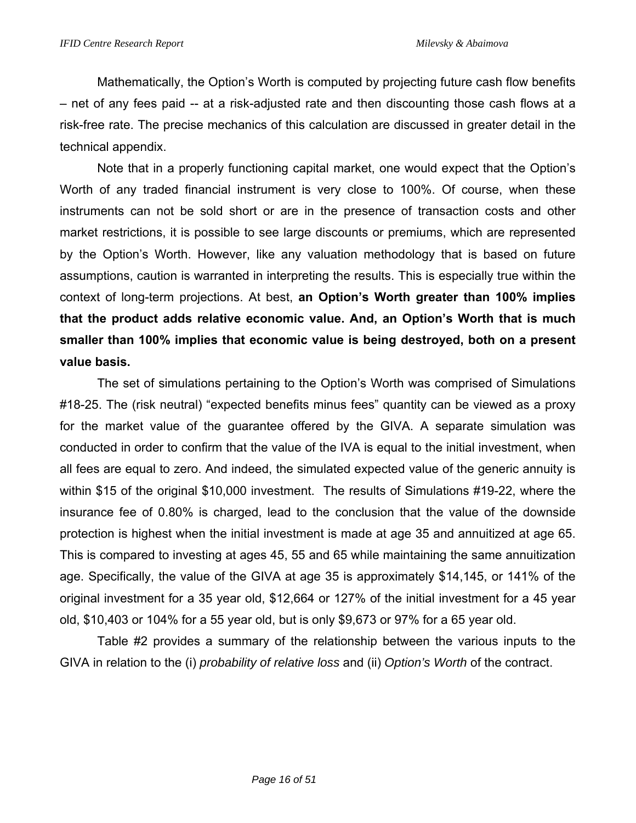Mathematically, the Option's Worth is computed by projecting future cash flow benefits – net of any fees paid -- at a risk-adjusted rate and then discounting those cash flows at a risk-free rate. The precise mechanics of this calculation are discussed in greater detail in the technical appendix.

Note that in a properly functioning capital market, one would expect that the Option's Worth of any traded financial instrument is very close to 100%. Of course, when these instruments can not be sold short or are in the presence of transaction costs and other market restrictions, it is possible to see large discounts or premiums, which are represented by the Option's Worth. However, like any valuation methodology that is based on future assumptions, caution is warranted in interpreting the results. This is especially true within the context of long-term projections. At best, **an Option's Worth greater than 100% implies that the product adds relative economic value. And, an Option's Worth that is much smaller than 100% implies that economic value is being destroyed, both on a present value basis.** 

The set of simulations pertaining to the Option's Worth was comprised of Simulations #18-25. The (risk neutral) "expected benefits minus fees" quantity can be viewed as a proxy for the market value of the guarantee offered by the GIVA. A separate simulation was conducted in order to confirm that the value of the IVA is equal to the initial investment, when all fees are equal to zero. And indeed, the simulated expected value of the generic annuity is within \$15 of the original \$10,000 investment. The results of Simulations #19-22, where the insurance fee of 0.80% is charged, lead to the conclusion that the value of the downside protection is highest when the initial investment is made at age 35 and annuitized at age 65. This is compared to investing at ages 45, 55 and 65 while maintaining the same annuitization age. Specifically, the value of the GIVA at age 35 is approximately \$14,145, or 141% of the original investment for a 35 year old, \$12,664 or 127% of the initial investment for a 45 year old, \$10,403 or 104% for a 55 year old, but is only \$9,673 or 97% for a 65 year old.

Table #2 provides a summary of the relationship between the various inputs to the GIVA in relation to the (i) *probability of relative loss* and (ii) *Option's Worth* of the contract.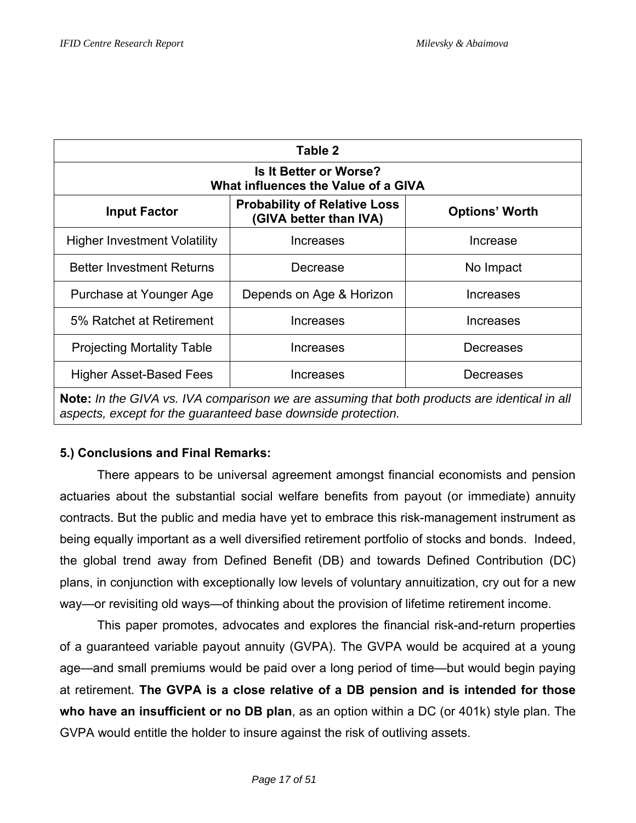| Table 2                                                                                                                                                      |                                                               |                       |  |  |  |  |  |  |  |
|--------------------------------------------------------------------------------------------------------------------------------------------------------------|---------------------------------------------------------------|-----------------------|--|--|--|--|--|--|--|
| <b>Is It Better or Worse?</b><br>What influences the Value of a GIVA                                                                                         |                                                               |                       |  |  |  |  |  |  |  |
| <b>Input Factor</b>                                                                                                                                          | <b>Probability of Relative Loss</b><br>(GIVA better than IVA) | <b>Options' Worth</b> |  |  |  |  |  |  |  |
| <b>Higher Investment Volatility</b>                                                                                                                          | Increases                                                     | Increase              |  |  |  |  |  |  |  |
| <b>Better Investment Returns</b>                                                                                                                             | Decrease                                                      | No Impact             |  |  |  |  |  |  |  |
| Purchase at Younger Age                                                                                                                                      | Depends on Age & Horizon                                      | <b>Increases</b>      |  |  |  |  |  |  |  |
| 5% Ratchet at Retirement                                                                                                                                     | Increases                                                     | Increases             |  |  |  |  |  |  |  |
| <b>Projecting Mortality Table</b>                                                                                                                            | <b>Increases</b>                                              | Decreases             |  |  |  |  |  |  |  |
| Higher Asset-Based Fees                                                                                                                                      | Increases                                                     | Decreases             |  |  |  |  |  |  |  |
| Note: In the GIVA vs. IVA comparison we are assuming that both products are identical in all<br>aspects, except for the quaranteed base downside protection. |                                                               |                       |  |  |  |  |  |  |  |

# **5.) Conclusions and Final Remarks:**

There appears to be universal agreement amongst financial economists and pension actuaries about the substantial social welfare benefits from payout (or immediate) annuity contracts. But the public and media have yet to embrace this risk-management instrument as being equally important as a well diversified retirement portfolio of stocks and bonds. Indeed, the global trend away from Defined Benefit (DB) and towards Defined Contribution (DC) plans, in conjunction with exceptionally low levels of voluntary annuitization, cry out for a new way—or revisiting old ways—of thinking about the provision of lifetime retirement income.

This paper promotes, advocates and explores the financial risk-and-return properties of a guaranteed variable payout annuity (GVPA). The GVPA would be acquired at a young age—and small premiums would be paid over a long period of time—but would begin paying at retirement. **The GVPA is a close relative of a DB pension and is intended for those who have an insufficient or no DB plan**, as an option within a DC (or 401k) style plan. The GVPA would entitle the holder to insure against the risk of outliving assets.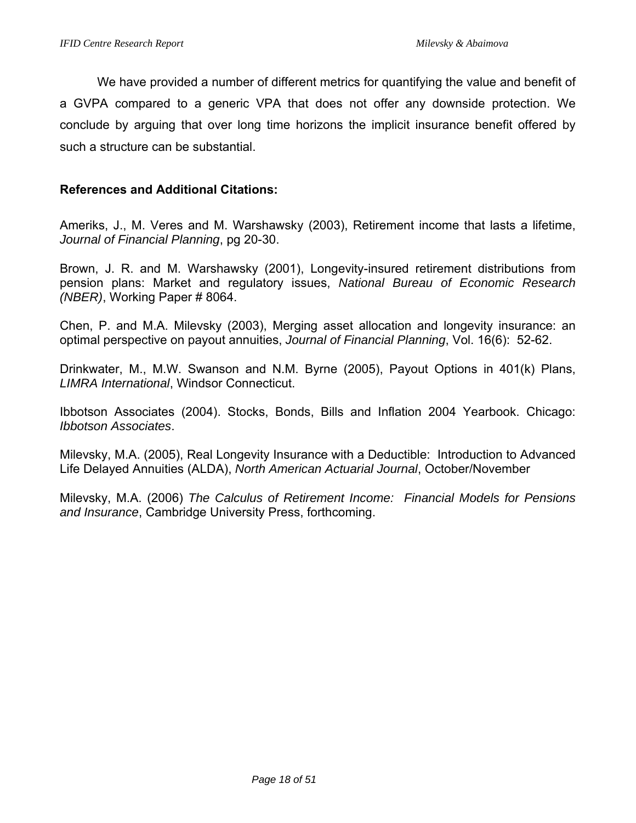We have provided a number of different metrics for quantifying the value and benefit of a GVPA compared to a generic VPA that does not offer any downside protection. We conclude by arguing that over long time horizons the implicit insurance benefit offered by such a structure can be substantial.

### **References and Additional Citations:**

Ameriks, J., M. Veres and M. Warshawsky (2003), Retirement income that lasts a lifetime, *Journal of Financial Planning*, pg 20-30.

Brown, J. R. and M. Warshawsky (2001), Longevity-insured retirement distributions from pension plans: Market and regulatory issues, *National Bureau of Economic Research (NBER)*, Working Paper # 8064.

Chen, P. and M.A. Milevsky (2003), Merging asset allocation and longevity insurance: an optimal perspective on payout annuities, *Journal of Financial Planning*, Vol. 16(6): 52-62.

Drinkwater, M., M.W. Swanson and N.M. Byrne (2005), Payout Options in 401(k) Plans, *LIMRA International*, Windsor Connecticut.

Ibbotson Associates (2004). Stocks, Bonds, Bills and Inflation 2004 Yearbook. Chicago: *Ibbotson Associates*.

Milevsky, M.A. (2005), Real Longevity Insurance with a Deductible: Introduction to Advanced Life Delayed Annuities (ALDA), *North American Actuarial Journal*, October/November

Milevsky, M.A. (2006) *The Calculus of Retirement Income: Financial Models for Pensions and Insurance*, Cambridge University Press, forthcoming.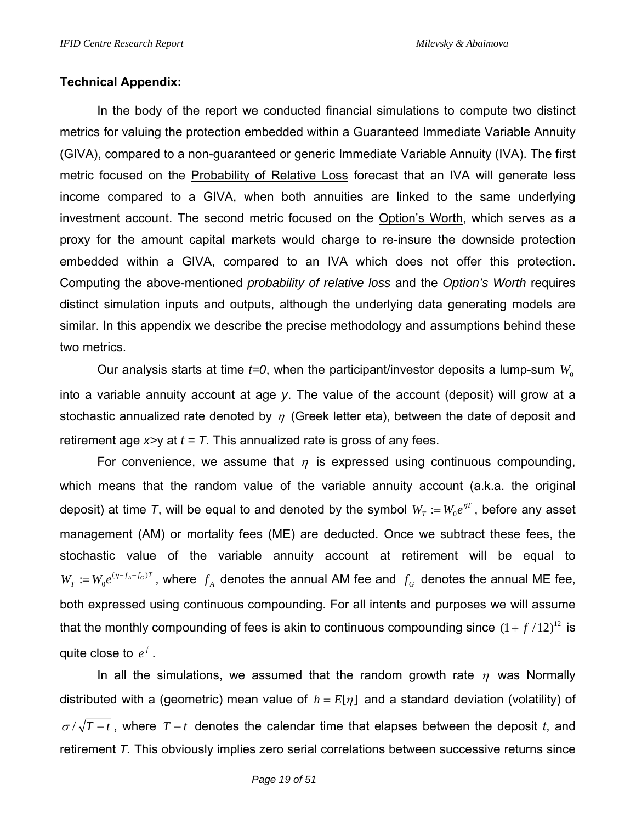# **Technical Appendix:**

In the body of the report we conducted financial simulations to compute two distinct metrics for valuing the protection embedded within a Guaranteed Immediate Variable Annuity (GIVA), compared to a non-guaranteed or generic Immediate Variable Annuity (IVA). The first metric focused on the Probability of Relative Loss forecast that an IVA will generate less income compared to a GIVA, when both annuities are linked to the same underlying investment account. The second metric focused on the Option's Worth, which serves as a proxy for the amount capital markets would charge to re-insure the downside protection embedded within a GIVA, compared to an IVA which does not offer this protection. Computing the above-mentioned *probability of relative loss* and the *Option's Worth* requires distinct simulation inputs and outputs, although the underlying data generating models are similar. In this appendix we describe the precise methodology and assumptions behind these two metrics.

Our analysis starts at time  $t=0$ , when the participant/investor deposits a lump-sum  $W_0$ into a variable annuity account at age *y*. The value of the account (deposit) will grow at a stochastic annualized rate denoted by  $\eta$  (Greek letter eta), between the date of deposit and retirement age  $x \rightarrow y$  at  $t = T$ . This annualized rate is gross of any fees.

For convenience, we assume that  $\eta$  is expressed using continuous compounding, which means that the random value of the variable annuity account (a.k.a. the original deposit) at time *T*, will be equal to and denoted by the symbol  $W_T := W_0 e^{\eta T}$  , before any asset management (AM) or mortality fees (ME) are deducted. Once we subtract these fees, the stochastic value of the variable annuity account at retirement will be equal to  $W_T := W_0 e^{(\eta - f_A - f_G)T}$ , where  $f_A$  denotes the annual AM fee and  $f_G$  denotes the annual ME fee, both expressed using continuous compounding. For all intents and purposes we will assume that the monthly compounding of fees is akin to continuous compounding since  $(1+f/12)^{12}$  is quite close to  $e^f$ .

In all the simulations, we assumed that the random growth rate  $\eta$  was Normally distributed with a (geometric) mean value of  $h = E[\eta]$  and a standard deviation (volatility) of <sup>σ</sup> / *T* − *t* , where *T* − *t* denotes the calendar time that elapses between the deposit *t*, and retirement *T.* This obviously implies zero serial correlations between successive returns since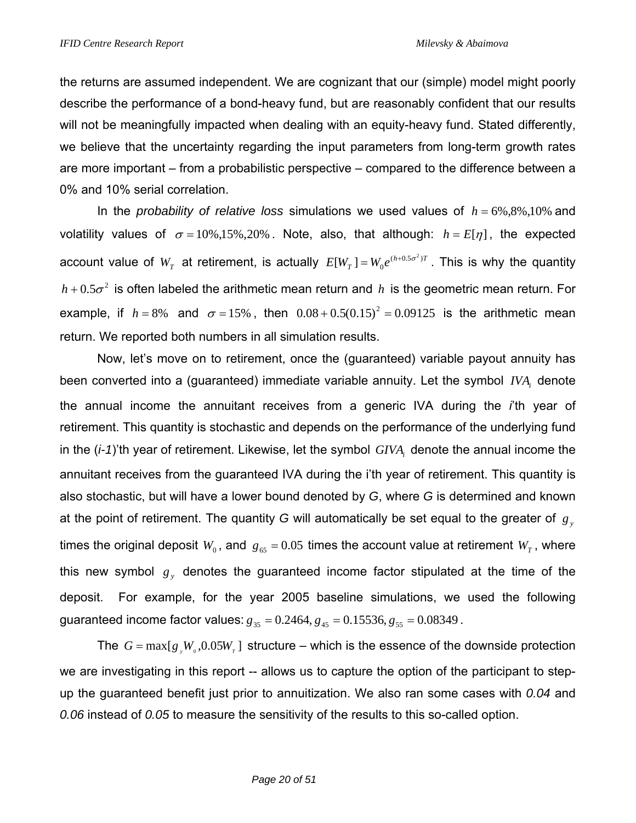the returns are assumed independent. We are cognizant that our (simple) model might poorly describe the performance of a bond-heavy fund, but are reasonably confident that our results will not be meaningfully impacted when dealing with an equity-heavy fund. Stated differently, we believe that the uncertainty regarding the input parameters from long-term growth rates are more important – from a probabilistic perspective – compared to the difference between a 0% and 10% serial correlation.

In the *probability of relative loss* simulations we used values of  $h = 6\%, 8\%, 10\%$  and volatility values of  $\sigma = 10\%, 15\%, 20\%$ . Note, also, that although:  $h = E[\eta]$ , the expected account value of  $W_T$  at retirement, is actually  $E[W_T] = W_0 e^{(h+0.5\sigma^2)T}$  $[W_T] = W_0 e^{(h+0.5\sigma^2)T}$ . This is why the quantity  $h + 0.5\sigma^2$  is often labeled the arithmetic mean return and *h* is the geometric mean return. For example, if  $h = 8\%$  and  $\sigma = 15\%$ , then  $0.08 + 0.5(0.15)^2 = 0.09125$  is the arithmetic mean return. We reported both numbers in all simulation results.

Now, let's move on to retirement, once the (guaranteed) variable payout annuity has been converted into a (guaranteed) immediate variable annuity. Let the symbol *<sup>i</sup> IVA* denote the annual income the annuitant receives from a generic IVA during the *i*'th year of retirement. This quantity is stochastic and depends on the performance of the underlying fund in the (*i-1*)'th year of retirement. Likewise, let the symbol *GIVA*, denote the annual income the annuitant receives from the guaranteed IVA during the i'th year of retirement. This quantity is also stochastic, but will have a lower bound denoted by *G*, where *G* is determined and known at the point of retirement. The quantity *G* will automatically be set equal to the greater of *gy* times the original deposit  $W_0$ , and  $g_{65} = 0.05$  times the account value at retirement  $W_T$ , where this new symbol  $g_y$  denotes the guaranteed income factor stipulated at the time of the deposit. For example, for the year 2005 baseline simulations, we used the following guaranteed income factor values:  $g_{35} = 0.2464$ ,  $g_{45} = 0.15536$ ,  $g_{55} = 0.08349$ .

The  $G = \max[g_{y}W_{0}, 0.05W_{r}]$  structure – which is the essence of the downside protection we are investigating in this report -- allows us to capture the option of the participant to stepup the guaranteed benefit just prior to annuitization. We also ran some cases with *0.04* and *0.06* instead of *0.05* to measure the sensitivity of the results to this so-called option.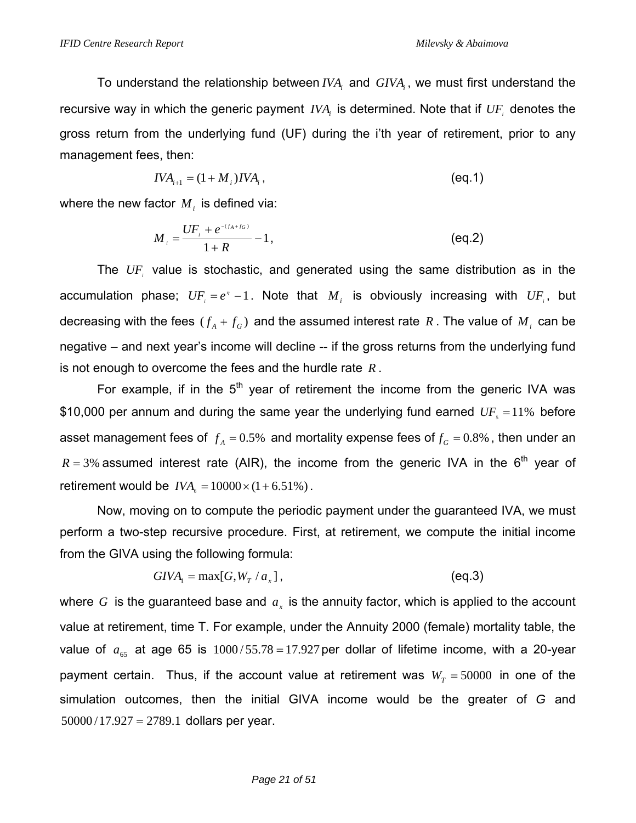To understand the relationship between *IVA*, and *GIVA*, we must first understand the recursive way in which the generic payment *IVA* is determined. Note that if *UF* denotes the gross return from the underlying fund (UF) during the i'th year of retirement, prior to any management fees, then:

$$
IVA_{i+1} = (1 + M_i)IVA_i, \t\t(eq.1)
$$

where the new factor  $M_i$  is defined via:

$$
M_{i} = \frac{UF_{i} + e^{-(f_{A} + f_{G})}}{1 + R} - 1, \tag{eq.2}
$$

The *UFi* value is stochastic, and generated using the same distribution as in the accumulation phase;  $UF_i = e^r - 1$ . Note that  $M_i$  is obviously increasing with  $UF_i$ , but decreasing with the fees  $(f_A + f_G)$  and the assumed interest rate R. The value of  $M_i$  can be negative – and next year's income will decline -- if the gross returns from the underlying fund is not enough to overcome the fees and the hurdle rate *R* .

For example, if in the  $5<sup>th</sup>$  year of retirement the income from the generic IVA was \$10,000 per annum and during the same year the underlying fund earned  $UF<sub>s</sub> =11%$  before asset management fees of  $f_A = 0.5\%$  and mortality expense fees of  $f_G = 0.8\%$ , then under an  $R = 3\%$  assumed interest rate (AIR), the income from the generic IVA in the  $6<sup>th</sup>$  year of retirement would be  $IVA<sub>s</sub> = 10000 \times (1 + 6.51\%)$ .

 Now, moving on to compute the periodic payment under the guaranteed IVA, we must perform a two-step recursive procedure. First, at retirement, we compute the initial income from the GIVA using the following formula:

$$
GIVA1 = max[G, WT / ax],
$$
 (eq.3)

where  $G$  is the guaranteed base and  $a<sub>x</sub>$  is the annuity factor, which is applied to the account value at retirement, time T. For example, under the Annuity 2000 (female) mortality table, the value of  $a_{65}$  at age 65 is  $1000/55.78 = 17.927$  per dollar of lifetime income, with a 20-year payment certain. Thus, if the account value at retirement was  $W_T = 50000$  in one of the simulation outcomes, then the initial GIVA income would be the greater of *G* and  $50000 / 17.927 = 2789.1$  dollars per year.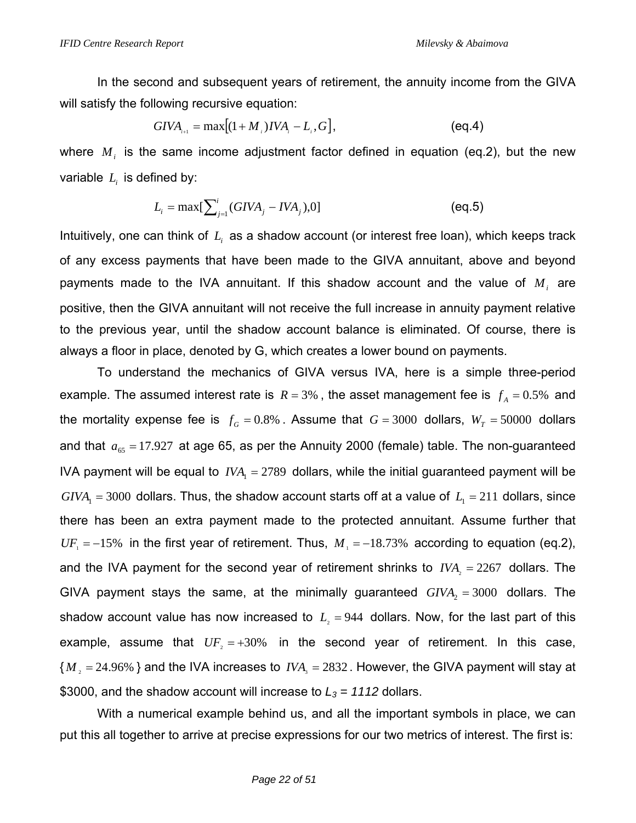In the second and subsequent years of retirement, the annuity income from the GIVA will satisfy the following recursive equation:

$$
GIVA_{_{i+1}} = \max[(1+M_{_i})IVA_{_i} - L_{_i}, G], \tag{eq.4}
$$

where  $M_i$  is the same income adjustment factor defined in equation (eq.2), but the new variable  $L<sub>i</sub>$  is defined by:

$$
L_i = \max[\sum_{j=1}^{i} (GIVA_j - IVA_j), 0]
$$
 (eq.5)

Intuitively, one can think of *Li* as a shadow account (or interest free loan), which keeps track of any excess payments that have been made to the GIVA annuitant, above and beyond payments made to the IVA annuitant. If this shadow account and the value of  $M_i$  are positive, then the GIVA annuitant will not receive the full increase in annuity payment relative to the previous year, until the shadow account balance is eliminated. Of course, there is always a floor in place, denoted by G, which creates a lower bound on payments.

 To understand the mechanics of GIVA versus IVA, here is a simple three-period example. The assumed interest rate is  $R = 3%$ , the asset management fee is  $f_A = 0.5%$  and the mortality expense fee is  $f_G = 0.8\%$ . Assume that  $G = 3000$  dollars,  $W_T = 50000$  dollars and that  $a_{65} = 17.927$  at age 65, as per the Annuity 2000 (female) table. The non-guaranteed IVA payment will be equal to  $IVA<sub>1</sub> = 2789$  dollars, while the initial guaranteed payment will be  $GIVA<sub>1</sub> = 3000$  dollars. Thus, the shadow account starts off at a value of  $L<sub>1</sub> = 211$  dollars, since there has been an extra payment made to the protected annuitant. Assume further that  $UF_1 = -15\%$  in the first year of retirement. Thus,  $M_1 = -18.73\%$  according to equation (eq.2), and the IVA payment for the second year of retirement shrinks to  $IVA<sub>2</sub> = 2267$  dollars. The GIVA payment stays the same, at the minimally guaranteed  $GIVA<sub>2</sub> = 3000$  dollars. The shadow account value has now increased to  $L<sub>2</sub> = 944$  dollars. Now, for the last part of this example, assume that  $UF_2 = +30\%$  in the second year of retirement. In this case,  ${M, =24.96\%}$  and the IVA increases to *IVA*<sub>3</sub> = 2832. However, the GIVA payment will stay at \$3000, and the shadow account will increase to  $L_3 = 1112$  dollars.

 With a numerical example behind us, and all the important symbols in place, we can put this all together to arrive at precise expressions for our two metrics of interest. The first is: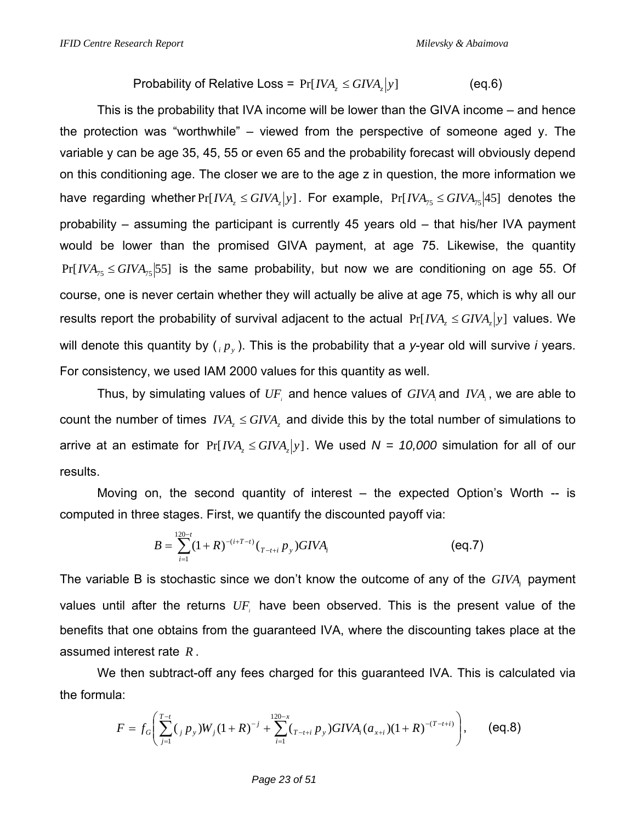Probability of Relative Loss = 
$$
Pr[IVA_z \le GIVA_z|y]
$$
 (eq.6)

This is the probability that IVA income will be lower than the GIVA income – and hence the protection was "worthwhile" – viewed from the perspective of someone aged y. The variable y can be age 35, 45, 55 or even 65 and the probability forecast will obviously depend on this conditioning age. The closer we are to the age z in question, the more information we have regarding whether  $Pr[IVA_{7} \leq GIVA_{7}]$ . For example,  $Pr[IVA_{75} \leq GIVA_{75}]$  denotes the probability – assuming the participant is currently 45 years old – that his/her IVA payment would be lower than the promised GIVA payment, at age 75. Likewise, the quantity  $Pr[IVA_{75} \leq GIVA_{75} | 55]$  is the same probability, but now we are conditioning on age 55. Of course, one is never certain whether they will actually be alive at age 75, which is why all our results report the probability of survival adjacent to the actual  $Pr[*IVA*, *AGVA*, |*y*]$  values. We will denote this quantity by  $\binom{p}{p}$ . This is the probability that a *y*-year old will survive *i* years. For consistency, we used IAM 2000 values for this quantity as well.

Thus, by simulating values of UF, and hence values of *GIVA*, and *IVA*, we are able to count the number of times  $IVA$ ,  $\leq GIVA$ , and divide this by the total number of simulations to arrive at an estimate for  $Pr[IVA \le GIVA_{x}|y]$ . We used  $N = 10,000$  simulation for all of our results.

 Moving on, the second quantity of interest – the expected Option's Worth -- is computed in three stages. First, we quantify the discounted payoff via:

$$
B = \sum_{i=1}^{120-t} (1+R)^{-(i+T-t)} \left( \binom{1}{T-t+i} p_y \right) G I V A_i \tag{eq.7}
$$

The variable B is stochastic since we don't know the outcome of any of the *GIVA*, payment values until after the returns UF, have been observed. This is the present value of the benefits that one obtains from the guaranteed IVA, where the discounting takes place at the assumed interest rate *R* .

We then subtract-off any fees charged for this guaranteed IVA. This is calculated via the formula:

$$
F = f_G\left(\sum_{j=1}^{T-t} (f_j p_y) W_j (1+R)^{-j} + \sum_{i=1}^{120-x} (f_{T-t+i} p_y) G I V A_i (a_{x+i}) (1+R)^{-(T-t+i)}\right),
$$
 (eq.8)

*Page 23 of 51*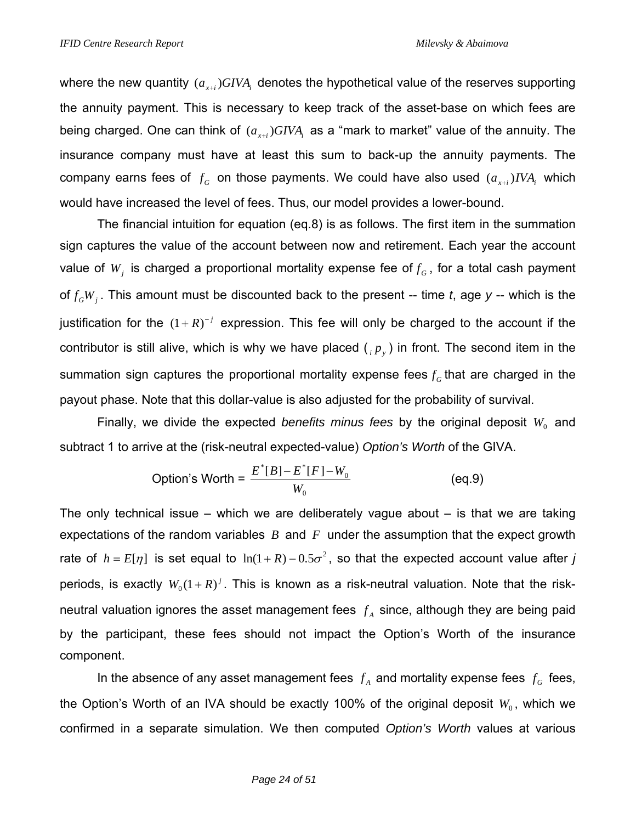where the new quantity  $(a_{x+i})$ *GIVA*, denotes the hypothetical value of the reserves supporting the annuity payment. This is necessary to keep track of the asset-base on which fees are being charged. One can think of  $(a_{x+i})GIVA_i$  as a "mark to market" value of the annuity. The insurance company must have at least this sum to back-up the annuity payments. The company earns fees of  $f<sub>G</sub>$  on those payments. We could have also used  $(a<sub>x+i</sub>) IVA<sub>i</sub>$  which would have increased the level of fees. Thus, our model provides a lower-bound.

The financial intuition for equation (eq.8) is as follows. The first item in the summation sign captures the value of the account between now and retirement. Each year the account value of  $W_i$  is charged a proportional mortality expense fee of  $f<sub>G</sub>$ , for a total cash payment of  $f_GW_i$ . This amount must be discounted back to the present -- time *t*, age *y* -- which is the justification for the  $(1+R)^{-j}$  expression. This fee will only be charged to the account if the contributor is still alive, which is why we have placed  $\binom{p}{p}$  in front. The second item in the summation sign captures the proportional mortality expense fees  $f<sub>G</sub>$  that are charged in the payout phase. Note that this dollar-value is also adjusted for the probability of survival.

Finally, we divide the expected *benefits minus fees* by the original deposit  $W_0$  and subtract 1 to arrive at the (risk-neutral expected-value) *Option's Worth* of the GIVA.

Option's Worth = 
$$
\frac{E^*[B] - E^*[F] - W_0}{W_0}
$$
 (eq.9)

The only technical issue – which we are deliberately vague about  $-$  is that we are taking expectations of the random variables *B* and *F* under the assumption that the expect growth rate of  $h = E[\eta]$  is set equal to  $\ln(1 + R) - 0.5\sigma^2$ , so that the expected account value after *j* periods, is exactly  $W_0(1+R)^j$ . This is known as a risk-neutral valuation. Note that the riskneutral valuation ignores the asset management fees  $f_A$  since, although they are being paid by the participant, these fees should not impact the Option's Worth of the insurance component.

In the absence of any asset management fees  $f_A$  and mortality expense fees  $f_G$  fees, the Option's Worth of an IVA should be exactly 100% of the original deposit  $W_0$ , which we confirmed in a separate simulation. We then computed *Option's Worth* values at various

#### *Page 24 of 51*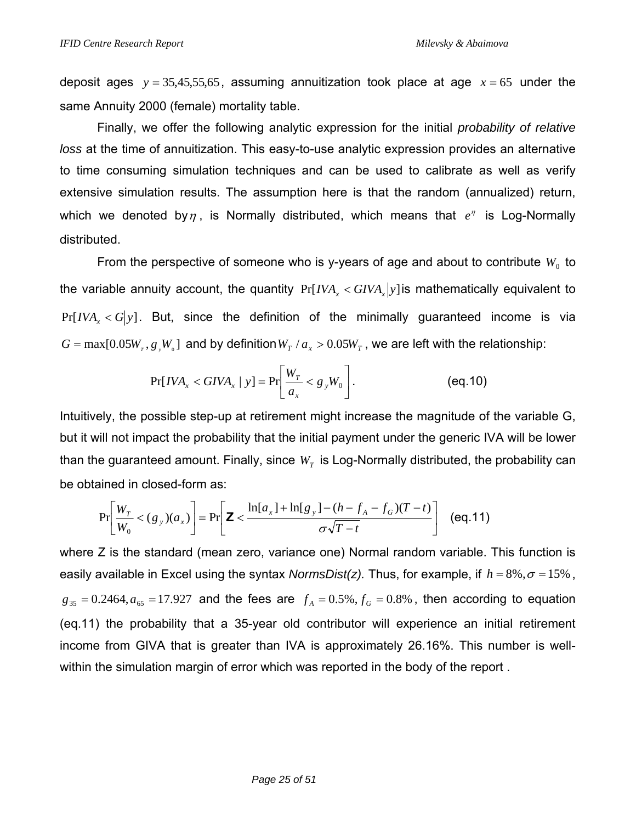deposit ages  $y = 35,45,55,65$ , assuming annuitization took place at age  $x = 65$  under the same Annuity 2000 (female) mortality table.

Finally, we offer the following analytic expression for the initial *probability of relative loss* at the time of annuitization. This easy-to-use analytic expression provides an alternative to time consuming simulation techniques and can be used to calibrate as well as verify extensive simulation results. The assumption here is that the random (annualized) return, which we denoted by $\eta$ , is Normally distributed, which means that  $e^{\eta}$  is Log-Normally distributed.

From the perspective of someone who is y-years of age and about to contribute  $W_0$  to the variable annuity account, the quantity  $Pr[IVA_x < GIVA_x|y]$  is mathematically equivalent to  $Pr[IVA \, < G|y]$ . But, since the definition of the minimally guaranteed income is via  $G = \max[0.05 W_r, g_y W_o]$  and by definition  $W_T / a_x > 0.05 W_T$ , we are left with the relationship:

$$
\Pr[IVA_x < GIVA_x \mid y] = \Pr\bigg[\frac{W_T}{a_x} < g_y W_0\bigg].\tag{eq.10}
$$

Intuitively, the possible step-up at retirement might increase the magnitude of the variable G, but it will not impact the probability that the initial payment under the generic IVA will be lower than the guaranteed amount. Finally, since  $W_T$  is Log-Normally distributed, the probability can be obtained in closed-form as:

$$
\Pr\left[\frac{W_T}{W_0} < (g_y)(a_x)\right] = \Pr\left[\mathbf{Z} < \frac{\ln[a_x] + \ln[g_y] - (h - f_A - f_G)(T - t)}{\sigma\sqrt{T - t}}\right] \tag{eq.11}
$$

where Z is the standard (mean zero, variance one) Normal random variable. This function is easily available in Excel using the syntax *NormsDist(z)*. Thus, for example, if  $h = 8\%, \sigma = 15\%$ ,  $g_{35} = 0.2464, a_{65} = 17.927$  and the fees are  $f_A = 0.5\%$ ,  $f_G = 0.8\%$ , then according to equation (eq.11) the probability that a 35-year old contributor will experience an initial retirement income from GIVA that is greater than IVA is approximately 26.16%. This number is wellwithin the simulation margin of error which was reported in the body of the report .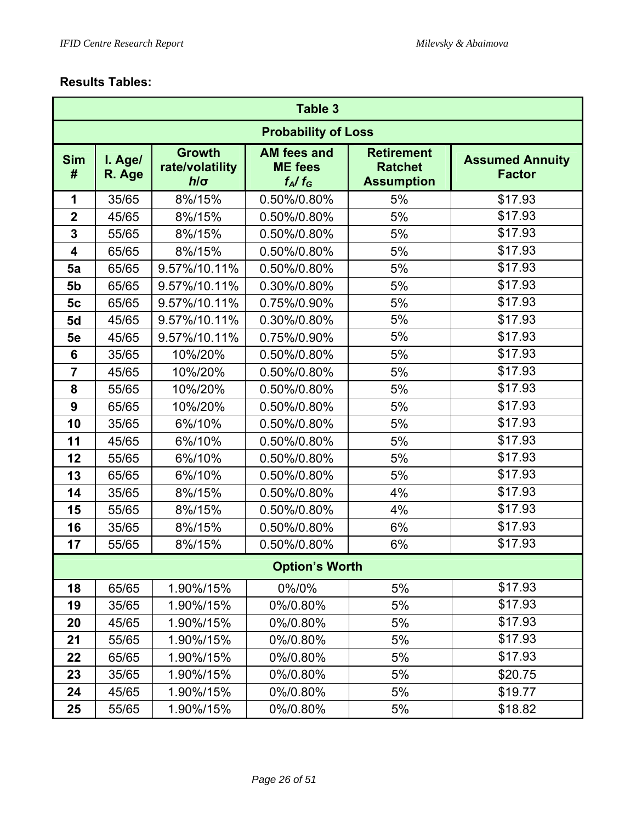# **Results Tables:**

|                         | <b>Table 3</b>    |                                                |                                                   |                                                          |                                         |  |  |  |  |  |  |
|-------------------------|-------------------|------------------------------------------------|---------------------------------------------------|----------------------------------------------------------|-----------------------------------------|--|--|--|--|--|--|
|                         |                   |                                                | <b>Probability of Loss</b>                        |                                                          |                                         |  |  |  |  |  |  |
| <b>Sim</b><br>#         | I. Age/<br>R. Age | <b>Growth</b><br>rate/volatility<br>$h/\sigma$ | <b>AM fees and</b><br><b>ME</b> fees<br>$f_A/f_G$ | <b>Retirement</b><br><b>Ratchet</b><br><b>Assumption</b> | <b>Assumed Annuity</b><br><b>Factor</b> |  |  |  |  |  |  |
| 1                       | 35/65             | 8%/15%                                         | 0.50%/0.80%                                       | 5%                                                       | \$17.93                                 |  |  |  |  |  |  |
| $\overline{\mathbf{2}}$ | 45/65             | 8%/15%                                         | 0.50%/0.80%                                       | 5%                                                       | \$17.93                                 |  |  |  |  |  |  |
| $\overline{\mathbf{3}}$ | 55/65             | 8%/15%                                         | 0.50%/0.80%                                       | 5%                                                       | \$17.93                                 |  |  |  |  |  |  |
| $\overline{\mathbf{4}}$ | 65/65             | 8%/15%                                         | 0.50%/0.80%                                       | 5%                                                       | \$17.93                                 |  |  |  |  |  |  |
| 5a                      | 65/65             | 9.57%/10.11%                                   | 0.50%/0.80%                                       | 5%                                                       | \$17.93                                 |  |  |  |  |  |  |
| 5 <sub>b</sub>          | 65/65             | 9.57%/10.11%                                   | 0.30%/0.80%                                       | 5%                                                       | \$17.93                                 |  |  |  |  |  |  |
| 5 <sub>c</sub>          | 65/65             | 9.57%/10.11%                                   | 0.75%/0.90%                                       | 5%                                                       | \$17.93                                 |  |  |  |  |  |  |
| 5d                      | 45/65             | 9.57%/10.11%                                   | 0.30%/0.80%                                       | 5%                                                       | \$17.93                                 |  |  |  |  |  |  |
| 5e                      | 45/65             | 9.57%/10.11%                                   | 0.75%/0.90%                                       | 5%                                                       | \$17.93                                 |  |  |  |  |  |  |
| 6                       | 35/65             | 10%/20%                                        | 0.50%/0.80%                                       | 5%                                                       | \$17.93                                 |  |  |  |  |  |  |
| $\overline{7}$          | 45/65             | 10%/20%                                        | 0.50%/0.80%                                       | 5%                                                       | \$17.93                                 |  |  |  |  |  |  |
| 8                       | 55/65             | 10%/20%                                        | 0.50%/0.80%                                       | 5%                                                       | \$17.93                                 |  |  |  |  |  |  |
| 9                       | 65/65             | 10%/20%                                        | 0.50%/0.80%                                       | 5%                                                       | \$17.93                                 |  |  |  |  |  |  |
| 10                      | 35/65             | 6%/10%                                         | 0.50%/0.80%                                       | 5%                                                       | \$17.93                                 |  |  |  |  |  |  |
| 11                      | 45/65             | 6%/10%                                         | 0.50%/0.80%                                       | 5%                                                       | \$17.93                                 |  |  |  |  |  |  |
| 12                      | 55/65             | 6%/10%                                         | 0.50%/0.80%                                       | 5%                                                       | \$17.93                                 |  |  |  |  |  |  |
| 13                      | 65/65             | 6%/10%                                         | 0.50%/0.80%                                       | 5%                                                       | \$17.93                                 |  |  |  |  |  |  |
| 14                      | 35/65             | 8%/15%                                         | 0.50%/0.80%                                       | 4%                                                       | \$17.93                                 |  |  |  |  |  |  |
| 15                      | 55/65             | 8%/15%                                         | 0.50%/0.80%                                       | 4%                                                       | \$17.93                                 |  |  |  |  |  |  |
| 16                      | 35/65             | 8%/15%                                         | 0.50%/0.80%                                       | 6%                                                       | \$17.93                                 |  |  |  |  |  |  |
| 17                      | 55/65             | 8%/15%                                         | 0.50%/0.80%                                       | 6%                                                       | \$17.93                                 |  |  |  |  |  |  |
|                         |                   |                                                | <b>Option's Worth</b>                             |                                                          |                                         |  |  |  |  |  |  |
| 18                      | 65/65             | 1.90%/15%                                      | 0%/0%                                             | 5%                                                       | \$17.93                                 |  |  |  |  |  |  |
| 19                      | 35/65             | 1.90%/15%                                      | 0%/0.80%                                          | 5%                                                       | \$17.93                                 |  |  |  |  |  |  |
| 20                      | 45/65             | 1.90%/15%                                      | 0%/0.80%                                          | 5%                                                       | \$17.93                                 |  |  |  |  |  |  |
| 21                      | 55/65             | 1.90%/15%                                      | 0%/0.80%                                          | 5%                                                       | \$17.93                                 |  |  |  |  |  |  |
| 22                      | 65/65             | 1.90%/15%                                      | 0%/0.80%                                          | 5%                                                       | \$17.93                                 |  |  |  |  |  |  |
| 23                      | 35/65             | 1.90%/15%                                      | 0%/0.80%                                          | 5%                                                       | \$20.75                                 |  |  |  |  |  |  |
| 24                      | 45/65             | 1.90%/15%                                      | 0%/0.80%                                          | 5%                                                       | \$19.77                                 |  |  |  |  |  |  |
| 25                      | 55/65             | 1.90%/15%                                      | 0%/0.80%                                          | 5%                                                       | \$18.82                                 |  |  |  |  |  |  |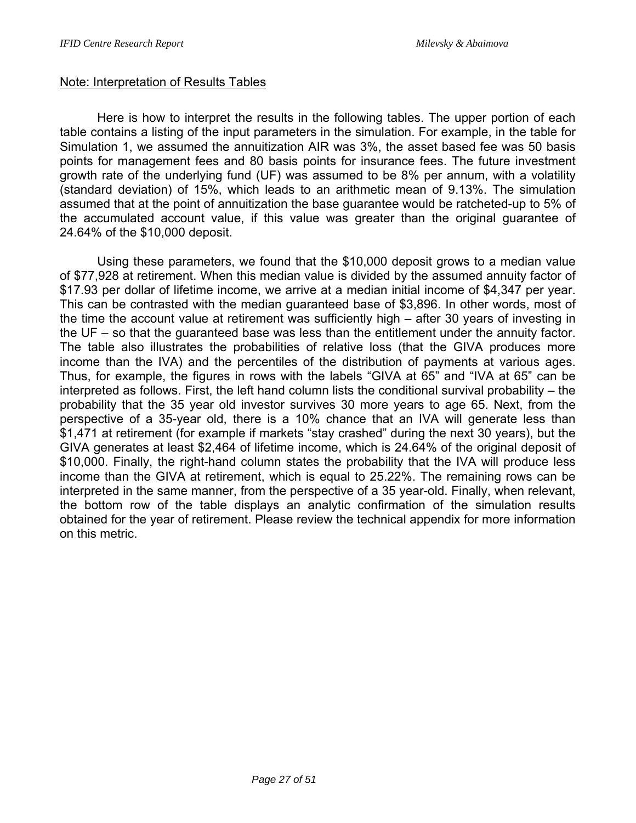### Note: Interpretation of Results Tables

Here is how to interpret the results in the following tables. The upper portion of each table contains a listing of the input parameters in the simulation. For example, in the table for Simulation 1, we assumed the annuitization AIR was 3%, the asset based fee was 50 basis points for management fees and 80 basis points for insurance fees. The future investment growth rate of the underlying fund (UF) was assumed to be 8% per annum, with a volatility (standard deviation) of 15%, which leads to an arithmetic mean of 9.13%. The simulation assumed that at the point of annuitization the base guarantee would be ratcheted-up to 5% of the accumulated account value, if this value was greater than the original guarantee of 24.64% of the \$10,000 deposit.

Using these parameters, we found that the \$10,000 deposit grows to a median value of \$77,928 at retirement. When this median value is divided by the assumed annuity factor of \$17.93 per dollar of lifetime income, we arrive at a median initial income of \$4,347 per year. This can be contrasted with the median guaranteed base of \$3,896. In other words, most of the time the account value at retirement was sufficiently high – after 30 years of investing in the UF – so that the guaranteed base was less than the entitlement under the annuity factor. The table also illustrates the probabilities of relative loss (that the GIVA produces more income than the IVA) and the percentiles of the distribution of payments at various ages. Thus, for example, the figures in rows with the labels "GIVA at 65" and "IVA at 65" can be interpreted as follows. First, the left hand column lists the conditional survival probability – the probability that the 35 year old investor survives 30 more years to age 65. Next, from the perspective of a 35-year old, there is a 10% chance that an IVA will generate less than \$1,471 at retirement (for example if markets "stay crashed" during the next 30 years), but the GIVA generates at least \$2,464 of lifetime income, which is 24.64% of the original deposit of \$10,000. Finally, the right-hand column states the probability that the IVA will produce less income than the GIVA at retirement, which is equal to 25.22%. The remaining rows can be interpreted in the same manner, from the perspective of a 35 year-old. Finally, when relevant, the bottom row of the table displays an analytic confirmation of the simulation results obtained for the year of retirement. Please review the technical appendix for more information on this metric.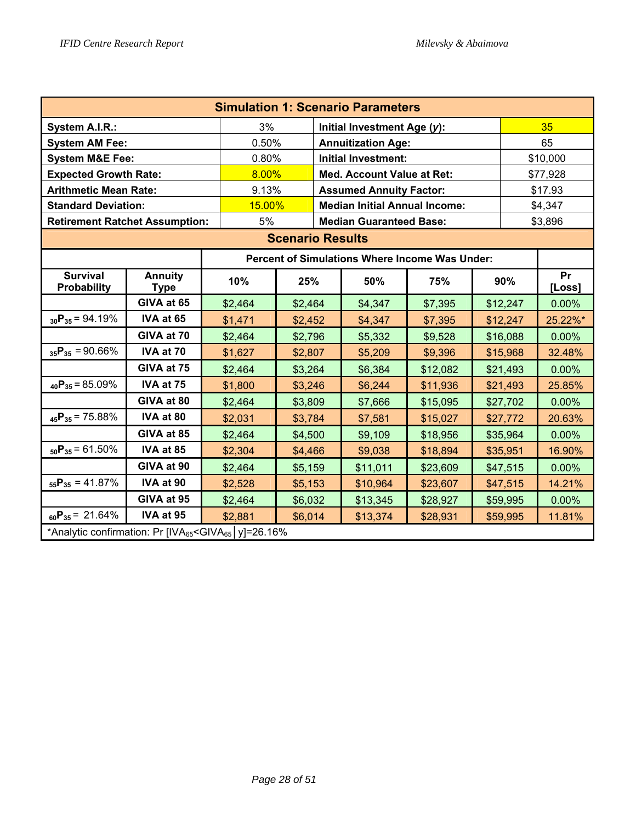| <b>Simulation 1: Scenario Parameters</b>                                          |                                       |         |                                                |                                        |                                      |          |  |          |              |  |
|-----------------------------------------------------------------------------------|---------------------------------------|---------|------------------------------------------------|----------------------------------------|--------------------------------------|----------|--|----------|--------------|--|
| System A.I.R.:                                                                    |                                       | 3%      |                                                |                                        | Initial Investment Age (y):          |          |  | 35       |              |  |
| <b>System AM Fee:</b>                                                             |                                       | 0.50%   |                                                |                                        | <b>Annuitization Age:</b>            |          |  | 65       |              |  |
| <b>System M&amp;E Fee:</b>                                                        |                                       | 0.80%   |                                                | <b>Initial Investment:</b><br>\$10,000 |                                      |          |  |          |              |  |
|                                                                                   | 8.00%<br><b>Expected Growth Rate:</b> |         |                                                |                                        | <b>Med. Account Value at Ret:</b>    |          |  |          | \$77,928     |  |
| <b>Arithmetic Mean Rate:</b>                                                      |                                       | 9.13%   |                                                |                                        | <b>Assumed Annuity Factor:</b>       |          |  |          | \$17.93      |  |
| <b>Standard Deviation:</b>                                                        |                                       | 15.00%  |                                                |                                        | <b>Median Initial Annual Income:</b> |          |  |          | \$4,347      |  |
| <b>Retirement Ratchet Assumption:</b>                                             | 5%                                    |         |                                                | <b>Median Guaranteed Base:</b>         |                                      |          |  | \$3,896  |              |  |
| <b>Scenario Results</b>                                                           |                                       |         |                                                |                                        |                                      |          |  |          |              |  |
|                                                                                   |                                       |         | Percent of Simulations Where Income Was Under: |                                        |                                      |          |  |          |              |  |
| <b>Survival</b><br><b>Probability</b>                                             | <b>Annuity</b><br><b>Type</b>         | 10%     | 25%                                            |                                        | 50%                                  | 75%      |  | 90%      | Pr<br>[Loss] |  |
|                                                                                   | GIVA at 65                            | \$2,464 | \$2,464                                        |                                        | \$4,347                              | \$7,395  |  | \$12,247 | 0.00%        |  |
| $_{30}P_{35} = 94.19\%$                                                           | IVA at 65                             | \$1,471 | \$2,452                                        |                                        | \$4,347                              | \$7,395  |  | \$12,247 | 25.22%*      |  |
|                                                                                   | GIVA at 70                            | \$2,464 | \$2,796                                        |                                        | \$5,332                              | \$9,528  |  | \$16,088 | 0.00%        |  |
| $_{35}P_{35} = 90.66\%$                                                           | IVA at 70                             | \$1,627 | \$2,807                                        |                                        | \$5,209                              | \$9,396  |  | \$15,968 | 32.48%       |  |
|                                                                                   | GIVA at 75                            | \$2,464 | \$3,264                                        |                                        | \$6,384                              | \$12,082 |  | \$21,493 | 0.00%        |  |
| $_{40}P_{35} = 85.09\%$                                                           | IVA at 75                             | \$1,800 | \$3,246                                        |                                        | \$6,244                              | \$11,936 |  | \$21,493 | 25.85%       |  |
|                                                                                   | GIVA at 80                            | \$2,464 | \$3,809                                        |                                        | \$7,666                              | \$15,095 |  | \$27,702 | 0.00%        |  |
| $_{45}P_{35} = 75.88\%$                                                           | IVA at 80                             | \$2,031 | \$3,784                                        |                                        | \$7,581                              | \$15,027 |  | \$27,772 | 20.63%       |  |
|                                                                                   | GIVA at 85                            | \$2,464 | \$4,500                                        |                                        | \$9,109                              | \$18,956 |  | \$35,964 | 0.00%        |  |
| $_{50}P_{35} = 61.50\%$                                                           | IVA at 85                             | \$2,304 | \$4,466                                        |                                        | \$9,038                              | \$18,894 |  | \$35,951 | 16.90%       |  |
|                                                                                   | GIVA at 90                            | \$2,464 | \$5,159                                        |                                        | \$11,011                             | \$23,609 |  | \$47,515 | 0.00%        |  |
| $_{55}P_{35} = 41.87\%$                                                           | IVA at 90                             | \$2,528 | \$5,153                                        |                                        | \$10,964                             | \$23,607 |  | \$47,515 | 14.21%       |  |
|                                                                                   | GIVA at 95                            | \$2,464 | \$6,032                                        |                                        | \$13,345                             | \$28,927 |  | \$59,995 | 0.00%        |  |
| $_{60}P_{35} = 21.64\%$                                                           | IVA at 95                             | \$2,881 | \$6,014                                        |                                        | \$13,374                             | \$28,931 |  | \$59,995 | 11.81%       |  |
| *Analytic confirmation: Pr [IVA <sub>65</sub> <giva<sub>65   y]=26.16%</giva<sub> |                                       |         |                                                |                                        |                                      |          |  |          |              |  |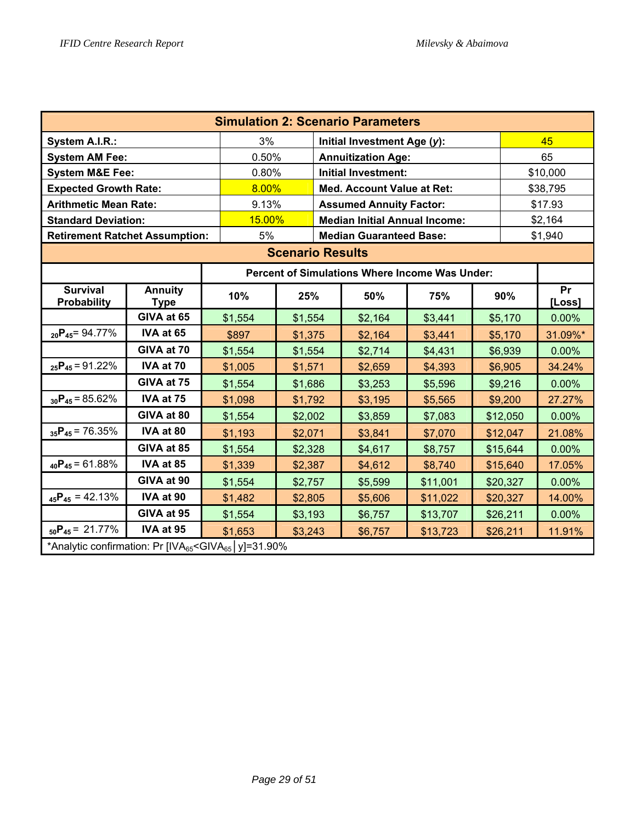| <b>Simulation 2: Scenario Parameters</b>                                                                                                                     |                               |         |                                                       |  |                                      |          |  |          |              |  |
|--------------------------------------------------------------------------------------------------------------------------------------------------------------|-------------------------------|---------|-------------------------------------------------------|--|--------------------------------------|----------|--|----------|--------------|--|
| System A.I.R.:                                                                                                                                               |                               | 3%      |                                                       |  | Initial Investment Age (y):          |          |  | 45       |              |  |
| <b>System AM Fee:</b>                                                                                                                                        |                               | 0.50%   |                                                       |  | <b>Annuitization Age:</b>            |          |  | 65       |              |  |
| <b>System M&amp;E Fee:</b>                                                                                                                                   |                               | 0.80%   |                                                       |  | <b>Initial Investment:</b>           |          |  |          | \$10,000     |  |
| <b>Expected Growth Rate:</b>                                                                                                                                 |                               | 8.00%   |                                                       |  | <b>Med. Account Value at Ret:</b>    |          |  |          | \$38,795     |  |
| <b>Arithmetic Mean Rate:</b>                                                                                                                                 |                               | 9.13%   |                                                       |  | <b>Assumed Annuity Factor:</b>       |          |  |          | \$17.93      |  |
| <b>Standard Deviation:</b>                                                                                                                                   |                               | 15.00%  |                                                       |  | <b>Median Initial Annual Income:</b> |          |  |          | \$2,164      |  |
| <b>Retirement Ratchet Assumption:</b>                                                                                                                        |                               | 5%      |                                                       |  | <b>Median Guaranteed Base:</b>       |          |  |          | \$1,940      |  |
| <b>Scenario Results</b>                                                                                                                                      |                               |         |                                                       |  |                                      |          |  |          |              |  |
|                                                                                                                                                              |                               |         | <b>Percent of Simulations Where Income Was Under:</b> |  |                                      |          |  |          |              |  |
| <b>Survival</b><br><b>Probability</b>                                                                                                                        | <b>Annuity</b><br><b>Type</b> | 10%     | 25%                                                   |  | 50%                                  | 75%      |  | 90%      | Pr<br>[Loss] |  |
|                                                                                                                                                              | GIVA at 65                    | \$1,554 | \$1,554                                               |  | \$2,164                              | \$3,441  |  | \$5,170  | 0.00%        |  |
| $_{20}P_{45} = 94.77\%$                                                                                                                                      | IVA at 65                     | \$897   | \$1,375                                               |  | \$2,164                              | \$3,441  |  | \$5,170  | 31.09%*      |  |
|                                                                                                                                                              | GIVA at 70                    | \$1,554 | \$1,554                                               |  | \$2,714                              | \$4,431  |  | \$6,939  | 0.00%        |  |
| $_{25}P_{45} = 91.22\%$                                                                                                                                      | IVA at 70                     | \$1,005 | \$1,571                                               |  | \$2,659                              | \$4,393  |  | \$6,905  | 34.24%       |  |
|                                                                                                                                                              | GIVA at 75                    | \$1,554 | \$1,686                                               |  | \$3,253                              | \$5,596  |  | \$9,216  | 0.00%        |  |
| $_{30}P_{45} = 85.62\%$                                                                                                                                      | IVA at 75                     | \$1,098 | \$1,792                                               |  | \$3,195                              | \$5,565  |  | \$9,200  | 27.27%       |  |
|                                                                                                                                                              | GIVA at 80                    | \$1,554 | \$2,002                                               |  | \$3,859                              | \$7,083  |  | \$12,050 | 0.00%        |  |
| $_{35}P_{45}$ = 76.35%                                                                                                                                       | IVA at 80                     | \$1,193 | \$2,071                                               |  | \$3,841                              | \$7,070  |  | \$12,047 | 21.08%       |  |
|                                                                                                                                                              | GIVA at 85                    | \$1,554 | \$2,328                                               |  | \$4,617                              | \$8,757  |  | \$15,644 | 0.00%        |  |
| $_{40}P_{45} = 61.88\%$                                                                                                                                      | IVA at 85                     | \$1,339 | \$2,387                                               |  | \$4,612                              | \$8,740  |  | \$15,640 | 17.05%       |  |
|                                                                                                                                                              | GIVA at 90                    | \$1,554 | \$2,757                                               |  | \$5,599                              | \$11,001 |  | \$20,327 | 0.00%        |  |
| $_{45}P_{45} = 42.13\%$                                                                                                                                      | IVA at 90                     | \$1,482 | \$2,805                                               |  | \$5,606                              | \$11,022 |  | \$20,327 | 14.00%       |  |
|                                                                                                                                                              | GIVA at 95                    | \$1,554 | \$3,193                                               |  | \$6,757                              | \$13,707 |  | \$26,211 | 0.00%        |  |
| $_{50}P_{45} = 21.77\%$                                                                                                                                      | IVA at 95                     | \$1,653 | \$3,243                                               |  | \$6,757                              | \$13,723 |  | \$26,211 | 11.91%       |  |
| *Analytic confirmation: Pr [IVA65 <giva65 y]="31.90%&lt;/td"  =""><td></td><td></td><td></td><td></td><td></td><td></td><td></td><td></td><td></td></giva65> |                               |         |                                                       |  |                                      |          |  |          |              |  |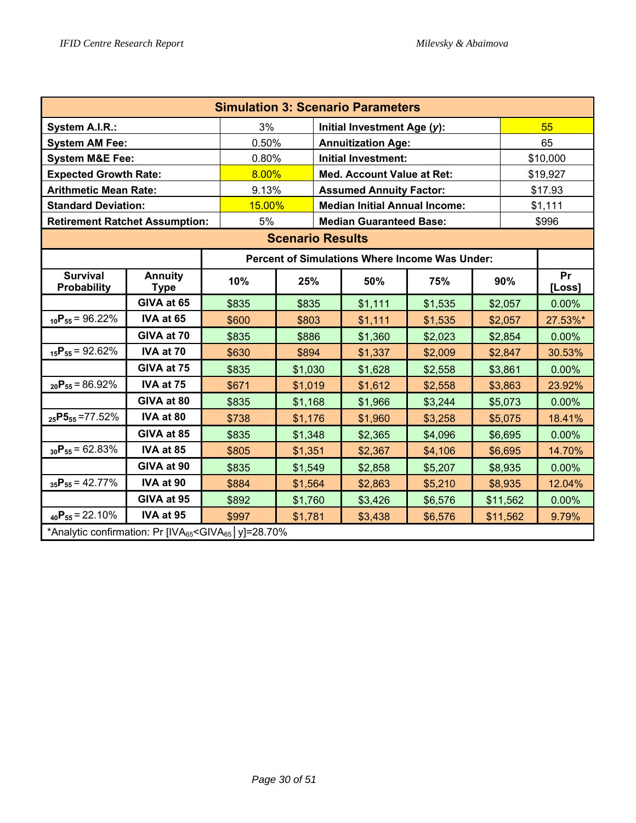| <b>Simulation 3: Scenario Parameters</b>                                                                                                                     |                               |        |                                                       |  |                                      |         |  |          |              |  |
|--------------------------------------------------------------------------------------------------------------------------------------------------------------|-------------------------------|--------|-------------------------------------------------------|--|--------------------------------------|---------|--|----------|--------------|--|
| System A.I.R.:                                                                                                                                               |                               | 3%     |                                                       |  | Initial Investment Age (y):          |         |  |          | 55           |  |
| <b>System AM Fee:</b>                                                                                                                                        |                               | 0.50%  |                                                       |  | <b>Annuitization Age:</b>            |         |  | 65       |              |  |
| <b>System M&amp;E Fee:</b>                                                                                                                                   |                               | 0.80%  |                                                       |  | <b>Initial Investment:</b>           |         |  | \$10,000 |              |  |
| <b>Expected Growth Rate:</b>                                                                                                                                 |                               | 8.00%  |                                                       |  | <b>Med. Account Value at Ret:</b>    |         |  | \$19,927 |              |  |
| <b>Arithmetic Mean Rate:</b>                                                                                                                                 |                               | 9.13%  |                                                       |  | <b>Assumed Annuity Factor:</b>       |         |  |          | \$17.93      |  |
| <b>Standard Deviation:</b>                                                                                                                                   |                               | 15.00% |                                                       |  | <b>Median Initial Annual Income:</b> |         |  |          | \$1,111      |  |
| <b>Retirement Ratchet Assumption:</b>                                                                                                                        |                               | 5%     |                                                       |  | <b>Median Guaranteed Base:</b>       |         |  |          | \$996        |  |
| <b>Scenario Results</b>                                                                                                                                      |                               |        |                                                       |  |                                      |         |  |          |              |  |
|                                                                                                                                                              |                               |        | <b>Percent of Simulations Where Income Was Under:</b> |  |                                      |         |  |          |              |  |
| <b>Survival</b><br><b>Probability</b>                                                                                                                        | <b>Annuity</b><br><b>Type</b> | 10%    | 25%                                                   |  | 50%                                  | 75%     |  | 90%      | Pr<br>[Loss] |  |
|                                                                                                                                                              | GIVA at 65                    | \$835  | \$835                                                 |  | \$1,111                              | \$1,535 |  | \$2,057  | 0.00%        |  |
| $_{10}P_{55} = 96.22\%$                                                                                                                                      | IVA at 65                     | \$600  | \$803                                                 |  | \$1,111                              | \$1,535 |  | \$2,057  | 27.53%*      |  |
|                                                                                                                                                              | GIVA at 70                    | \$835  | \$886                                                 |  | \$1,360                              | \$2,023 |  | \$2,854  | 0.00%        |  |
| $_{15}P_{55} = 92.62\%$                                                                                                                                      | IVA at 70                     | \$630  | \$894                                                 |  | \$1,337                              | \$2,009 |  | \$2,847  | 30.53%       |  |
|                                                                                                                                                              | GIVA at 75                    | \$835  | \$1,030                                               |  | \$1,628                              | \$2,558 |  | \$3,861  | 0.00%        |  |
| $_{20}P_{55} = 86.92\%$                                                                                                                                      | IVA at 75                     | \$671  | \$1,019                                               |  | \$1,612                              | \$2,558 |  | \$3,863  | 23.92%       |  |
|                                                                                                                                                              | GIVA at 80                    | \$835  | \$1,168                                               |  | \$1,966                              | \$3,244 |  | \$5,073  | 0.00%        |  |
| $_{25}P5_{55} = 77.52\%$                                                                                                                                     | IVA at 80                     | \$738  | \$1,176                                               |  | \$1,960                              | \$3,258 |  | \$5,075  | 18.41%       |  |
|                                                                                                                                                              | GIVA at 85                    | \$835  | \$1,348                                               |  | \$2,365                              | \$4,096 |  | \$6,695  | 0.00%        |  |
| $_{30}P_{55} = 62.83\%$                                                                                                                                      | IVA at 85                     | \$805  | \$1,351                                               |  | \$2,367                              | \$4,106 |  | \$6,695  | 14.70%       |  |
|                                                                                                                                                              | GIVA at 90                    | \$835  | \$1,549                                               |  | \$2,858                              | \$5,207 |  | \$8,935  | 0.00%        |  |
| $_{35}P_{55} = 42.77\%$                                                                                                                                      | IVA at 90                     | \$884  | \$1,564                                               |  | \$2,863                              | \$5,210 |  | \$8,935  | 12.04%       |  |
|                                                                                                                                                              | GIVA at 95                    | \$892  | \$1,760                                               |  | \$3,426                              | \$6,576 |  | \$11,562 | 0.00%        |  |
| $_{40}P_{55} = 22.10\%$                                                                                                                                      | IVA at 95                     | \$997  | \$1,781                                               |  | \$3,438                              | \$6,576 |  | \$11,562 | 9.79%        |  |
| *Analytic confirmation: Pr [IVA65 <giva65 y]="28.70%&lt;/td"  =""><td></td><td></td><td></td><td></td><td></td><td></td><td></td><td></td><td></td></giva65> |                               |        |                                                       |  |                                      |         |  |          |              |  |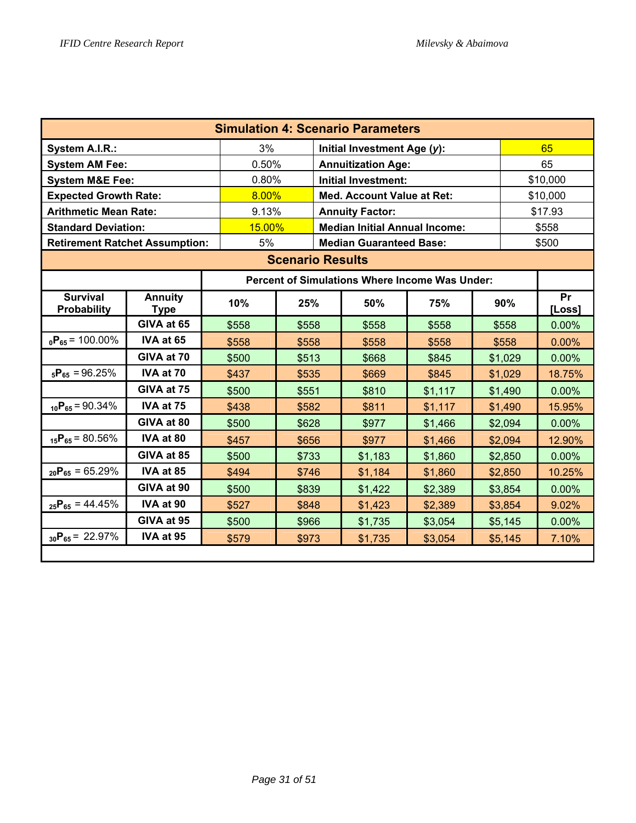| <b>Simulation 4: Scenario Parameters</b> |                               |        |                                                |  |                                      |         |  |         |              |  |
|------------------------------------------|-------------------------------|--------|------------------------------------------------|--|--------------------------------------|---------|--|---------|--------------|--|
| System A.I.R.:                           |                               | 3%     |                                                |  | Initial Investment Age (y):          |         |  | 65      |              |  |
| <b>System AM Fee:</b>                    |                               | 0.50%  |                                                |  | <b>Annuitization Age:</b>            |         |  | 65      |              |  |
| <b>System M&amp;E Fee:</b>               |                               | 0.80%  |                                                |  | <b>Initial Investment:</b>           |         |  |         | \$10,000     |  |
| <b>Expected Growth Rate:</b>             |                               | 8.00%  |                                                |  | Med. Account Value at Ret:           |         |  |         | \$10,000     |  |
| <b>Arithmetic Mean Rate:</b>             |                               | 9.13%  |                                                |  | <b>Annuity Factor:</b>               |         |  |         | \$17.93      |  |
| <b>Standard Deviation:</b>               |                               | 15.00% |                                                |  | <b>Median Initial Annual Income:</b> |         |  |         | \$558        |  |
| <b>Retirement Ratchet Assumption:</b>    |                               | 5%     |                                                |  | <b>Median Guaranteed Base:</b>       |         |  |         | \$500        |  |
| <b>Scenario Results</b>                  |                               |        |                                                |  |                                      |         |  |         |              |  |
|                                          |                               |        | Percent of Simulations Where Income Was Under: |  |                                      |         |  |         |              |  |
| <b>Survival</b><br>Probability           | <b>Annuity</b><br><b>Type</b> | 10%    | 25%                                            |  | 50%                                  | 75%     |  | 90%     | Pr<br>[Loss] |  |
|                                          | GIVA at 65                    | \$558  | \$558                                          |  | \$558                                | \$558   |  | \$558   | 0.00%        |  |
| $_0P_{65}$ = 100.00%                     | IVA at 65                     | \$558  | \$558                                          |  | \$558                                | \$558   |  | \$558   | 0.00%        |  |
|                                          | GIVA at 70                    | \$500  | \$513                                          |  | \$668                                | \$845   |  | \$1,029 | $0.00\%$     |  |
| $_{5}P_{65} = 96.25%$                    | IVA at 70                     | \$437  | \$535                                          |  | \$669                                | \$845   |  | \$1,029 | 18.75%       |  |
|                                          | GIVA at 75                    | \$500  | \$551                                          |  | \$810                                | \$1,117 |  | \$1,490 | 0.00%        |  |
| $_{10}P_{65} = 90.34\%$                  | IVA at 75                     | \$438  | \$582                                          |  | \$811                                | \$1,117 |  | \$1,490 | 15.95%       |  |
|                                          | GIVA at 80                    | \$500  | \$628                                          |  | \$977                                | \$1,466 |  | \$2,094 | 0.00%        |  |
| $_{15}P_{65} = 80.56\%$                  | IVA at 80                     | \$457  | \$656                                          |  | \$977                                | \$1,466 |  | \$2,094 | 12.90%       |  |
|                                          | GIVA at 85                    | \$500  | \$733                                          |  | \$1,183                              | \$1,860 |  | \$2,850 | 0.00%        |  |
| $_{20}P_{65} = 65.29\%$                  | IVA at 85                     | \$494  | \$746                                          |  | \$1,184                              | \$1,860 |  | \$2,850 | 10.25%       |  |
|                                          | GIVA at 90                    | \$500  | \$839                                          |  | \$1,422                              | \$2,389 |  | \$3,854 | 0.00%        |  |
| $_{25}P_{65} = 44.45\%$                  | IVA at 90                     | \$527  | \$848                                          |  | \$1,423                              | \$2,389 |  | \$3,854 | 9.02%        |  |
|                                          | GIVA at 95                    | \$500  | \$966                                          |  | \$1,735                              | \$3,054 |  | \$5,145 | 0.00%        |  |
| $_{30}P_{65} = 22.97\%$                  | IVA at 95                     | \$579  | \$973                                          |  | \$1,735                              | \$3,054 |  | \$5,145 | 7.10%        |  |
|                                          |                               |        |                                                |  |                                      |         |  |         |              |  |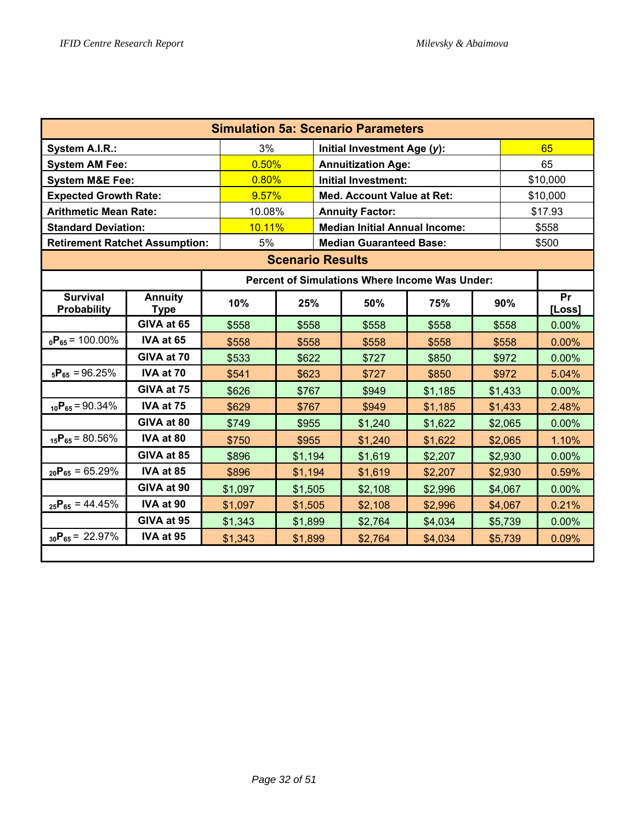| <b>Simulation 5a: Scenario Parameters</b> |                               |         |                                |  |                                      |                                                |  |          |              |  |
|-------------------------------------------|-------------------------------|---------|--------------------------------|--|--------------------------------------|------------------------------------------------|--|----------|--------------|--|
| System A.I.R.:                            |                               | 3%      |                                |  | Initial Investment Age (y):          |                                                |  |          | 65           |  |
| <b>System AM Fee:</b>                     |                               | 0.50%   |                                |  | <b>Annuitization Age:</b>            |                                                |  | 65       |              |  |
| <b>System M&amp;E Fee:</b>                |                               | 0.80%   |                                |  | <b>Initial Investment:</b>           |                                                |  | \$10,000 |              |  |
| <b>Expected Growth Rate:</b>              |                               | 9.57%   |                                |  | <b>Med. Account Value at Ret:</b>    |                                                |  |          | \$10,000     |  |
| <b>Arithmetic Mean Rate:</b>              |                               | 10.08%  |                                |  | <b>Annuity Factor:</b>               |                                                |  |          | \$17.93      |  |
| <b>Standard Deviation:</b>                |                               | 10.11%  |                                |  | <b>Median Initial Annual Income:</b> |                                                |  |          | \$558        |  |
| <b>Retirement Ratchet Assumption:</b>     |                               | 5%      | <b>Median Guaranteed Base:</b> |  |                                      |                                                |  |          | \$500        |  |
| <b>Scenario Results</b>                   |                               |         |                                |  |                                      |                                                |  |          |              |  |
|                                           |                               |         |                                |  |                                      | Percent of Simulations Where Income Was Under: |  |          |              |  |
| <b>Survival</b><br><b>Probability</b>     | <b>Annuity</b><br><b>Type</b> | 10%     | 25%                            |  | 50%                                  | 75%                                            |  | 90%      | Pr<br>[Loss] |  |
|                                           | GIVA at 65                    | \$558   | \$558                          |  | \$558                                | \$558                                          |  | \$558    | 0.00%        |  |
| $_0P_{65}$ = 100.00%                      | IVA at 65                     | \$558   | \$558                          |  | \$558                                | \$558                                          |  | \$558    | 0.00%        |  |
|                                           | GIVA at 70                    | \$533   | \$622                          |  | \$727                                | \$850                                          |  | \$972    | $0.00\%$     |  |
| $_{5}P_{65} = 96.25%$                     | IVA at 70                     | \$541   | \$623                          |  | \$727                                | \$850                                          |  | \$972    | 5.04%        |  |
|                                           | GIVA at 75                    | \$626   | \$767                          |  | \$949                                | \$1,185                                        |  | \$1,433  | $0.00\%$     |  |
| $_{10}P_{65} = 90.34\%$                   | IVA at 75                     | \$629   | \$767                          |  | \$949                                | \$1,185                                        |  | \$1,433  | 2.48%        |  |
|                                           | GIVA at 80                    | \$749   | \$955                          |  | \$1,240                              | \$1,622                                        |  | \$2,065  | 0.00%        |  |
| $_{15}P_{65} = 80.56\%$                   | IVA at 80                     | \$750   | \$955                          |  | \$1,240                              | \$1,622                                        |  | \$2,065  | 1.10%        |  |
|                                           | GIVA at 85                    | \$896   | \$1,194                        |  | \$1,619                              | \$2,207                                        |  | \$2,930  | 0.00%        |  |
| $_{20}P_{65} = 65.29\%$                   | IVA at 85                     | \$896   | \$1,194                        |  | \$1,619                              | \$2,207                                        |  | \$2,930  | 0.59%        |  |
|                                           | GIVA at 90                    | \$1,097 | \$1,505                        |  | \$2,108                              | \$2,996                                        |  | \$4,067  | 0.00%        |  |
| $_{25}P_{65} = 44.45\%$                   | IVA at 90                     | \$1,097 | \$1,505                        |  | \$2,108                              | \$2,996                                        |  | \$4,067  | 0.21%        |  |
|                                           | GIVA at 95                    | \$1,343 | \$1,899                        |  | \$2,764                              | \$4,034                                        |  | \$5,739  | 0.00%        |  |
| $_{30}P_{65} = 22.97\%$                   | IVA at 95                     | \$1,343 | \$1,899                        |  | \$2,764                              | \$4,034                                        |  | \$5,739  | 0.09%        |  |
|                                           |                               |         |                                |  |                                      |                                                |  |          |              |  |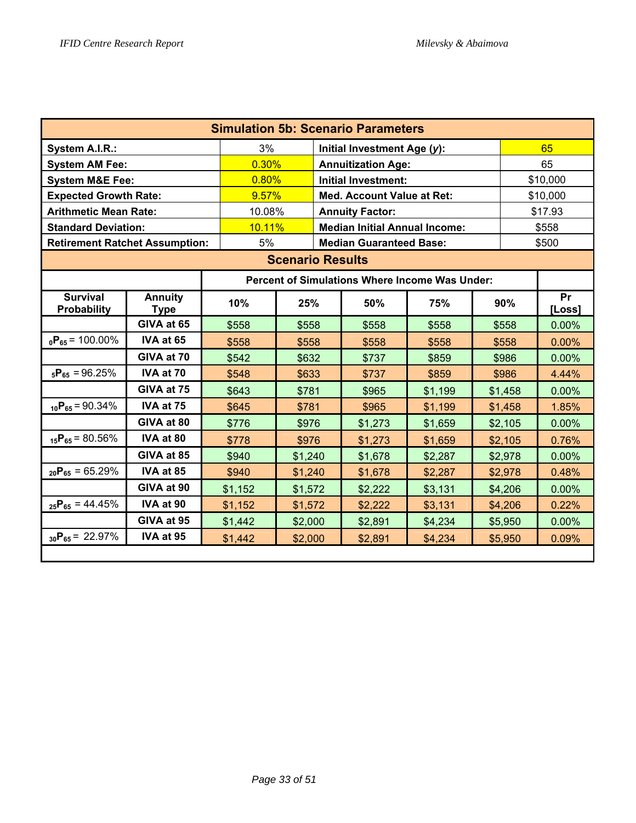| <b>Simulation 5b: Scenario Parameters</b> |                               |         |                                                       |  |                                   |          |  |          |              |  |
|-------------------------------------------|-------------------------------|---------|-------------------------------------------------------|--|-----------------------------------|----------|--|----------|--------------|--|
| System A.I.R.:                            |                               | 3%      |                                                       |  | Initial Investment Age (y):       |          |  |          | 65           |  |
| <b>System AM Fee:</b>                     |                               | 0.30%   |                                                       |  | <b>Annuitization Age:</b>         |          |  | 65       |              |  |
| <b>System M&amp;E Fee:</b>                |                               | 0.80%   |                                                       |  | <b>Initial Investment:</b>        | \$10,000 |  |          |              |  |
| <b>Expected Growth Rate:</b>              |                               | 9.57%   |                                                       |  | <b>Med. Account Value at Ret:</b> |          |  | \$10,000 |              |  |
| <b>Arithmetic Mean Rate:</b>              |                               | 10.08%  |                                                       |  | <b>Annuity Factor:</b>            |          |  |          | \$17.93      |  |
| <b>Standard Deviation:</b>                |                               |         | 10.11%<br><b>Median Initial Annual Income:</b>        |  |                                   |          |  |          | \$558        |  |
| <b>Retirement Ratchet Assumption:</b>     |                               | 5%      |                                                       |  | <b>Median Guaranteed Base:</b>    |          |  |          | \$500        |  |
| <b>Scenario Results</b>                   |                               |         |                                                       |  |                                   |          |  |          |              |  |
|                                           |                               |         | <b>Percent of Simulations Where Income Was Under:</b> |  |                                   |          |  |          |              |  |
| <b>Survival</b><br>Probability            | <b>Annuity</b><br><b>Type</b> | 10%     | 25%                                                   |  | 50%                               | 75%      |  | 90%      | Pr<br>[Loss] |  |
|                                           | GIVA at 65                    | \$558   | \$558                                                 |  | \$558                             | \$558    |  | \$558    | 0.00%        |  |
| $_0P_{65}$ = 100.00%                      | IVA at 65                     | \$558   | \$558                                                 |  | \$558                             | \$558    |  | \$558    | 0.00%        |  |
|                                           | GIVA at 70                    | \$542   | \$632                                                 |  | \$737                             | \$859    |  | \$986    | 0.00%        |  |
| $_{5}P_{65} = 96.25\%$                    | IVA at 70                     | \$548   | \$633                                                 |  | \$737                             | \$859    |  | \$986    | 4.44%        |  |
|                                           | GIVA at 75                    | \$643   | \$781                                                 |  | \$965                             | \$1,199  |  | \$1,458  | 0.00%        |  |
| $_{10}P_{65} = 90.34\%$                   | IVA at 75                     | \$645   | \$781                                                 |  | \$965                             | \$1,199  |  | \$1,458  | 1.85%        |  |
|                                           | GIVA at 80                    | \$776   | \$976                                                 |  | \$1,273                           | \$1,659  |  | \$2,105  | 0.00%        |  |
| $_{15}P_{65} = 80.56\%$                   | IVA at 80                     | \$778   | \$976                                                 |  | \$1,273                           | \$1,659  |  | \$2,105  | 0.76%        |  |
|                                           | GIVA at 85                    | \$940   | \$1,240                                               |  | \$1,678                           | \$2,287  |  | \$2,978  | $0.00\%$     |  |
| $_{20}P_{65} = 65.29\%$                   | IVA at 85                     | \$940   | \$1,240                                               |  | \$1,678                           | \$2,287  |  | \$2,978  | 0.48%        |  |
|                                           | GIVA at 90                    | \$1,152 | \$1,572                                               |  | \$2,222                           | \$3,131  |  | \$4,206  | 0.00%        |  |
| $_{25}P_{65} = 44.45\%$                   | IVA at 90                     | \$1,152 | \$1,572                                               |  | \$2,222                           | \$3,131  |  | \$4,206  | 0.22%        |  |
|                                           | GIVA at 95                    | \$1,442 | \$2,000                                               |  | \$2,891                           | \$4,234  |  | \$5,950  | 0.00%        |  |
| $_{30}P_{65} = 22.97\%$                   | IVA at 95                     | \$1,442 | \$2,000                                               |  | \$2,891                           | \$4,234  |  | \$5,950  | 0.09%        |  |
|                                           |                               |         |                                                       |  |                                   |          |  |          |              |  |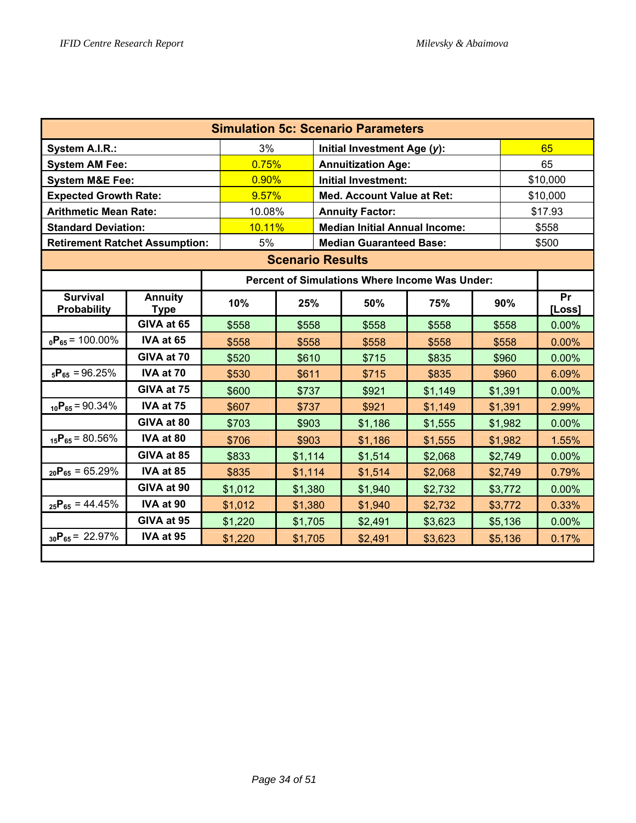| <b>Simulation 5c: Scenario Parameters</b> |                               |         |                                                |  |                             |         |          |         |              |  |
|-------------------------------------------|-------------------------------|---------|------------------------------------------------|--|-----------------------------|---------|----------|---------|--------------|--|
| System A.I.R.:                            |                               | 3%      |                                                |  | Initial Investment Age (y): |         |          |         | 65           |  |
| <b>System AM Fee:</b>                     |                               | 0.75%   |                                                |  | <b>Annuitization Age:</b>   |         |          | 65      |              |  |
| <b>System M&amp;E Fee:</b>                |                               | 0.90%   |                                                |  | <b>Initial Investment:</b>  |         | \$10,000 |         |              |  |
| <b>Expected Growth Rate:</b>              |                               | 9.57%   |                                                |  | Med. Account Value at Ret:  |         |          |         | \$10,000     |  |
| <b>Arithmetic Mean Rate:</b>              |                               | 10.08%  |                                                |  | <b>Annuity Factor:</b>      |         |          |         | \$17.93      |  |
| <b>Standard Deviation:</b>                |                               |         | 10.11%<br><b>Median Initial Annual Income:</b> |  |                             |         |          |         | \$558        |  |
| <b>Retirement Ratchet Assumption:</b>     |                               | 5%      | <b>Median Guaranteed Base:</b>                 |  |                             |         |          |         | \$500        |  |
| <b>Scenario Results</b>                   |                               |         |                                                |  |                             |         |          |         |              |  |
|                                           |                               |         | Percent of Simulations Where Income Was Under: |  |                             |         |          |         |              |  |
| <b>Survival</b><br>Probability            | <b>Annuity</b><br><b>Type</b> | 10%     | 25%                                            |  | 50%                         | 75%     |          | 90%     | Pr<br>[Loss] |  |
|                                           | GIVA at 65                    | \$558   | \$558                                          |  | \$558                       | \$558   |          | \$558   | 0.00%        |  |
| $_0P_{65}$ = 100.00%                      | IVA at 65                     | \$558   | \$558                                          |  | \$558                       | \$558   |          | \$558   | 0.00%        |  |
|                                           | GIVA at 70                    | \$520   | \$610                                          |  | \$715                       | \$835   |          | \$960   | $0.00\%$     |  |
| $_{5}P_{65} = 96.25\%$                    | IVA at 70                     | \$530   | \$611                                          |  | \$715                       | \$835   |          | \$960   | 6.09%        |  |
|                                           | GIVA at 75                    | \$600   | \$737                                          |  | \$921                       | \$1,149 |          | \$1,391 | $0.00\%$     |  |
| $_{10}P_{65} = 90.34\%$                   | IVA at 75                     | \$607   | \$737                                          |  | \$921                       | \$1,149 |          | \$1,391 | 2.99%        |  |
|                                           | GIVA at 80                    | \$703   | \$903                                          |  | \$1,186                     | \$1,555 |          | \$1,982 | 0.00%        |  |
| $_{15}P_{65} = 80.56\%$                   | IVA at 80                     | \$706   | \$903                                          |  | \$1,186                     | \$1,555 |          | \$1,982 | 1.55%        |  |
|                                           | GIVA at 85                    | \$833   | \$1,114                                        |  | \$1,514                     | \$2,068 |          | \$2,749 | 0.00%        |  |
| $_{20}P_{65} = 65.29\%$                   | IVA at 85                     | \$835   | \$1,114                                        |  | \$1,514                     | \$2,068 |          | \$2,749 | 0.79%        |  |
|                                           | GIVA at 90                    | \$1,012 | \$1,380                                        |  | \$1,940                     | \$2,732 |          | \$3,772 | 0.00%        |  |
| $_{25}P_{65} = 44.45\%$                   | IVA at 90                     | \$1,012 | \$1,380                                        |  | \$1,940                     | \$2,732 |          | \$3,772 | 0.33%        |  |
|                                           | GIVA at 95                    | \$1,220 | \$1,705                                        |  | \$2,491                     | \$3,623 |          | \$5,136 | 0.00%        |  |
| $_{30}P_{65} = 22.97\%$                   | IVA at 95                     | \$1,220 | \$1,705                                        |  | \$2,491                     | \$3,623 |          | \$5,136 | 0.17%        |  |
|                                           |                               |         |                                                |  |                             |         |          |         |              |  |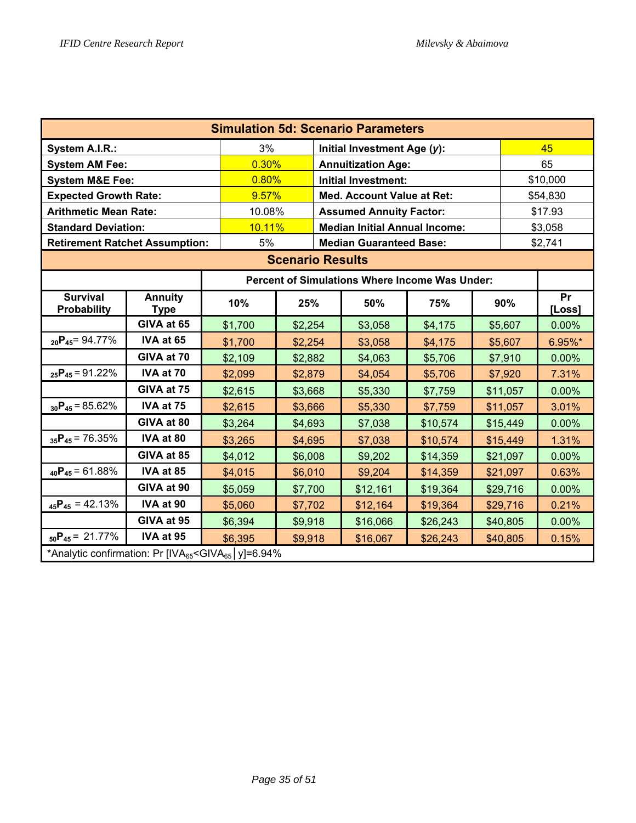| <b>Simulation 5d: Scenario Parameters</b>                                      |                               |         |         |  |                                                |          |  |          |              |  |
|--------------------------------------------------------------------------------|-------------------------------|---------|---------|--|------------------------------------------------|----------|--|----------|--------------|--|
| System A.I.R.:                                                                 |                               | 3%      |         |  | Initial Investment Age (y):                    |          |  |          | 45           |  |
| <b>System AM Fee:</b>                                                          |                               | 0.30%   |         |  | <b>Annuitization Age:</b>                      |          |  |          | 65           |  |
| <b>System M&amp;E Fee:</b>                                                     |                               | 0.80%   |         |  | <b>Initial Investment:</b>                     |          |  |          | \$10,000     |  |
| <b>Expected Growth Rate:</b>                                                   |                               | 9.57%   |         |  | <b>Med. Account Value at Ret:</b>              |          |  | \$54,830 |              |  |
| <b>Arithmetic Mean Rate:</b>                                                   |                               | 10.08%  |         |  | <b>Assumed Annuity Factor:</b>                 |          |  | \$17.93  |              |  |
| <b>Standard Deviation:</b>                                                     |                               | 10.11%  |         |  | <b>Median Initial Annual Income:</b>           |          |  | \$3,058  |              |  |
| <b>Retirement Ratchet Assumption:</b>                                          |                               | 5%      |         |  | <b>Median Guaranteed Base:</b>                 |          |  |          | \$2,741      |  |
| <b>Scenario Results</b>                                                        |                               |         |         |  |                                                |          |  |          |              |  |
|                                                                                |                               |         |         |  | Percent of Simulations Where Income Was Under: |          |  |          |              |  |
| <b>Survival</b><br><b>Probability</b>                                          | <b>Annuity</b><br><b>Type</b> | 10%     | 25%     |  | 50%                                            | 75%      |  | 90%      | Pr<br>[Loss] |  |
|                                                                                | GIVA at 65                    | \$1,700 | \$2,254 |  | \$3,058                                        | \$4,175  |  | \$5,607  | 0.00%        |  |
| $_{20}P_{45} = 94.77\%$                                                        | IVA at 65                     | \$1,700 | \$2,254 |  | \$3,058                                        | \$4,175  |  | \$5,607  | 6.95%*       |  |
|                                                                                | GIVA at 70                    | \$2,109 | \$2,882 |  | \$4,063                                        | \$5,706  |  | \$7,910  | 0.00%        |  |
| $_{25}P_{45} = 91.22\%$                                                        | IVA at 70                     | \$2,099 | \$2,879 |  | \$4,054                                        | \$5,706  |  | \$7,920  | 7.31%        |  |
|                                                                                | GIVA at 75                    | \$2,615 | \$3,668 |  | \$5,330                                        | \$7,759  |  | \$11,057 | 0.00%        |  |
| $_{30}P_{45} = 85.62\%$                                                        | IVA at 75                     | \$2,615 | \$3,666 |  | \$5,330                                        | \$7,759  |  | \$11,057 | 3.01%        |  |
|                                                                                | GIVA at 80                    | \$3,264 | \$4,693 |  | \$7,038                                        | \$10,574 |  | \$15,449 | 0.00%        |  |
| $_{35}P_{45}$ = 76.35%                                                         | IVA at 80                     | \$3,265 | \$4,695 |  | \$7,038                                        | \$10,574 |  | \$15,449 | 1.31%        |  |
|                                                                                | GIVA at 85                    | \$4,012 | \$6,008 |  | \$9,202                                        | \$14,359 |  | \$21,097 | 0.00%        |  |
| $_{40}P_{45} = 61.88\%$                                                        | IVA at 85                     | \$4,015 | \$6,010 |  | \$9,204                                        | \$14,359 |  | \$21,097 | 0.63%        |  |
|                                                                                | GIVA at 90                    | \$5,059 | \$7,700 |  | \$12,161                                       | \$19,364 |  | \$29,716 | 0.00%        |  |
| $_{45}P_{45} = 42.13\%$                                                        | IVA at 90                     | \$5,060 | \$7,702 |  | \$12,164                                       | \$19,364 |  | \$29,716 | 0.21%        |  |
|                                                                                | GIVA at 95                    | \$6,394 | \$9,918 |  | \$16,066                                       | \$26,243 |  | \$40,805 | 0.00%        |  |
| $_{50}P_{45} = 21.77\%$                                                        | IVA at 95                     | \$6,395 | \$9,918 |  | \$16,067                                       | \$26,243 |  | \$40,805 | 0.15%        |  |
| *Analytic confirmation: Pr [IVA $_{65}$ <giva<math>_{65}  y]=6.94%</giva<math> |                               |         |         |  |                                                |          |  |          |              |  |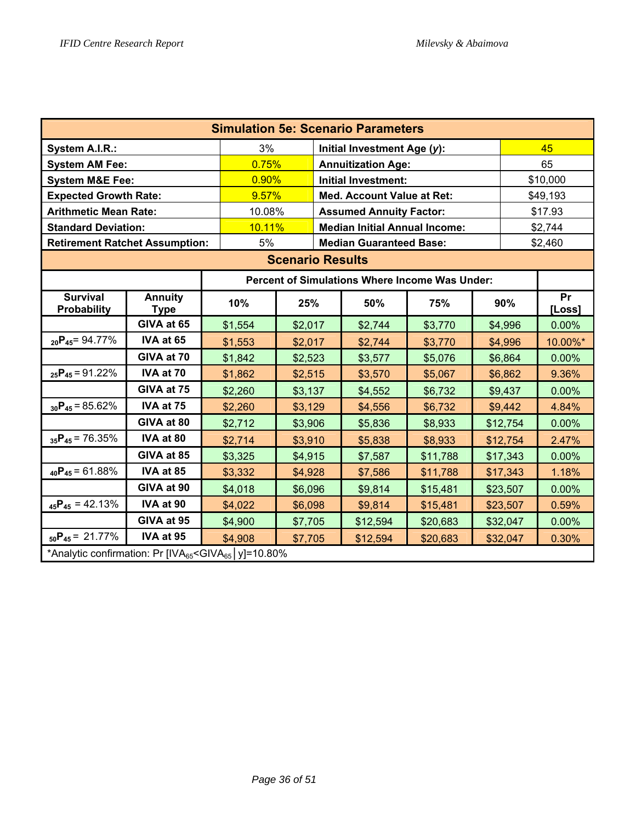| <b>Simulation 5e: Scenario Parameters</b>                                         |                               |         |                                                |       |                                                |          |  |          |              |  |
|-----------------------------------------------------------------------------------|-------------------------------|---------|------------------------------------------------|-------|------------------------------------------------|----------|--|----------|--------------|--|
| System A.I.R.:                                                                    |                               | 3%      |                                                |       | Initial Investment Age (y):                    |          |  |          | 45           |  |
| <b>System AM Fee:</b>                                                             |                               | 0.75%   |                                                |       | <b>Annuitization Age:</b>                      |          |  |          | 65           |  |
| <b>System M&amp;E Fee:</b>                                                        |                               | 0.90%   |                                                |       | <b>Initial Investment:</b>                     |          |  | \$10,000 |              |  |
| <b>Expected Growth Rate:</b>                                                      |                               | 9.57%   |                                                |       | Med. Account Value at Ret:                     |          |  | \$49,193 |              |  |
| <b>Arithmetic Mean Rate:</b>                                                      |                               | 10.08%  |                                                |       | <b>Assumed Annuity Factor:</b>                 |          |  | \$17.93  |              |  |
| <b>Standard Deviation:</b>                                                        |                               |         | 10.11%<br><b>Median Initial Annual Income:</b> |       |                                                |          |  |          |              |  |
| <b>Retirement Ratchet Assumption:</b>                                             |                               | 5%      |                                                |       | <b>Median Guaranteed Base:</b>                 |          |  |          | \$2,460      |  |
| <b>Scenario Results</b>                                                           |                               |         |                                                |       |                                                |          |  |          |              |  |
|                                                                                   |                               |         |                                                |       | Percent of Simulations Where Income Was Under: |          |  |          |              |  |
| <b>Survival</b><br>Probability                                                    | <b>Annuity</b><br><b>Type</b> | 10%     | 25%                                            |       | 50%                                            | 75%      |  | 90%      | Pr<br>[Loss] |  |
|                                                                                   | GIVA at 65                    | \$1,554 | \$2,017                                        |       | \$2,744                                        | \$3,770  |  | \$4,996  | 0.00%        |  |
| $_{20}P_{45} = 94.77\%$                                                           | IVA at 65                     | \$1,553 | \$2,017                                        |       | \$2,744                                        | \$3,770  |  | \$4,996  | 10.00%*      |  |
|                                                                                   | GIVA at 70                    | \$1,842 | \$2,523                                        |       | \$3,577                                        | \$5,076  |  | \$6,864  | 0.00%        |  |
| $_{25}P_{45} = 91.22\%$                                                           | IVA at 70                     | \$1,862 | \$2,515                                        |       | \$3,570                                        | \$5,067  |  | \$6,862  | 9.36%        |  |
|                                                                                   | GIVA at 75                    | \$2,260 | \$3,137                                        |       | \$4,552                                        | \$6,732  |  | \$9,437  | $0.00\%$     |  |
| $_{30}P_{45} = 85.62\%$                                                           | IVA at 75                     | \$2,260 | \$3,129                                        |       | \$4,556                                        | \$6,732  |  | \$9,442  | 4.84%        |  |
|                                                                                   | GIVA at 80                    | \$2,712 | \$3,906                                        |       | \$5,836                                        | \$8,933  |  | \$12,754 | 0.00%        |  |
| $_{35}P_{45}$ = 76.35%                                                            | IVA at 80                     | \$2,714 | \$3,910                                        |       | \$5,838                                        | \$8,933  |  | \$12,754 | 2.47%        |  |
|                                                                                   | GIVA at 85                    | \$3,325 | \$4,915                                        |       | \$7,587                                        | \$11,788 |  | \$17,343 | 0.00%        |  |
| $_{40}P_{45} = 61.88\%$                                                           | IVA at 85                     | \$3,332 | \$4,928                                        |       | \$7,586                                        | \$11,788 |  | \$17,343 | 1.18%        |  |
|                                                                                   | GIVA at 90                    | \$4,018 | \$6,096                                        |       | \$9,814                                        | \$15,481 |  | \$23,507 | 0.00%        |  |
| $_{45}P_{45} = 42.13\%$                                                           | IVA at 90                     | \$4,022 | \$23,507                                       | 0.59% |                                                |          |  |          |              |  |
|                                                                                   | GIVA at 95                    | \$4,900 | \$7,705                                        |       | \$12,594                                       | \$20,683 |  | \$32,047 | 0.00%        |  |
| $_{50}P_{45} = 21.77\%$                                                           | IVA at 95                     | \$4,908 | \$7,705                                        |       | \$12,594                                       | \$20,683 |  | \$32,047 | 0.30%        |  |
| *Analytic confirmation: Pr [IVA <sub>65</sub> <giva<sub>65   y]=10.80%</giva<sub> |                               |         |                                                |       |                                                |          |  |          |              |  |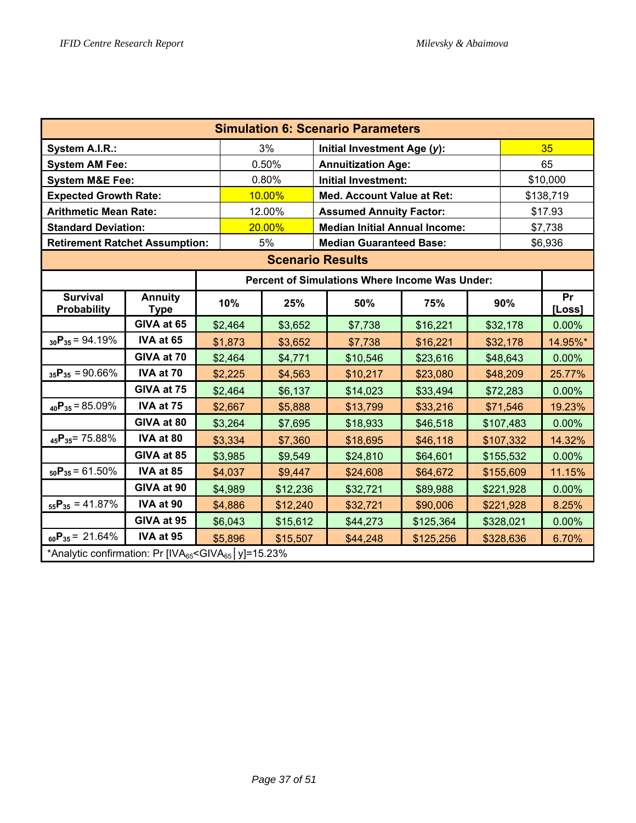| <b>Simulation 6: Scenario Parameters</b>                                          |                               |                                                                    |          |                                   |           |  |           |              |  |  |  |
|-----------------------------------------------------------------------------------|-------------------------------|--------------------------------------------------------------------|----------|-----------------------------------|-----------|--|-----------|--------------|--|--|--|
| System A.I.R.:                                                                    |                               |                                                                    | 3%       | Initial Investment Age (y):       |           |  |           | 35           |  |  |  |
| <b>System AM Fee:</b>                                                             |                               |                                                                    | 0.50%    | <b>Annuitization Age:</b>         |           |  |           | 65           |  |  |  |
| <b>System M&amp;E Fee:</b>                                                        |                               |                                                                    | 0.80%    | <b>Initial Investment:</b>        |           |  | \$10,000  |              |  |  |  |
| <b>Expected Growth Rate:</b>                                                      |                               |                                                                    | 10.00%   | <b>Med. Account Value at Ret:</b> |           |  | \$138,719 |              |  |  |  |
| <b>Arithmetic Mean Rate:</b>                                                      |                               |                                                                    | 12.00%   | <b>Assumed Annuity Factor:</b>    |           |  | \$17.93   |              |  |  |  |
| <b>Standard Deviation:</b>                                                        |                               |                                                                    | 20.00%   |                                   | \$7,738   |  |           |              |  |  |  |
| <b>Retirement Ratchet Assumption:</b>                                             |                               |                                                                    | 5%       | <b>Median Guaranteed Base:</b>    |           |  |           | \$6,936      |  |  |  |
|                                                                                   | <b>Scenario Results</b>       |                                                                    |          |                                   |           |  |           |              |  |  |  |
| <b>Percent of Simulations Where Income Was Under:</b>                             |                               |                                                                    |          |                                   |           |  |           |              |  |  |  |
| <b>Survival</b><br><b>Probability</b>                                             | <b>Annuity</b><br><b>Type</b> | 10%                                                                | 25%      | 50%                               | 75%       |  | 90%       | Pr<br>[Loss] |  |  |  |
|                                                                                   | GIVA at 65                    | \$2,464                                                            | \$3,652  | \$7,738                           | \$16,221  |  | \$32,178  | 0.00%        |  |  |  |
| $_{30}P_{35} = 94.19\%$                                                           | IVA at 65                     | \$1,873                                                            | \$3,652  | \$7,738                           | \$16,221  |  | \$32,178  | 14.95%*      |  |  |  |
|                                                                                   | GIVA at 70                    | \$2,464                                                            | \$4,771  | \$10,546                          | \$23,616  |  | \$48,643  | $0.00\%$     |  |  |  |
| $_{35}P_{35} = 90.66\%$                                                           | IVA at 70                     | \$2,225                                                            | \$4,563  | \$10,217                          | \$23,080  |  | \$48,209  | 25.77%       |  |  |  |
|                                                                                   | GIVA at 75                    | \$2,464                                                            | \$6,137  | \$14,023                          | \$33,494  |  | \$72,283  | $0.00\%$     |  |  |  |
| $_{40}P_{35} = 85.09\%$                                                           | IVA at 75                     | \$2,667                                                            | \$5,888  | \$13,799                          | \$33,216  |  | \$71,546  | 19.23%       |  |  |  |
|                                                                                   | GIVA at 80                    | \$3,264                                                            | \$7,695  | \$18,933                          | \$46,518  |  | \$107,483 | 0.00%        |  |  |  |
| $_{45}P_{35}$ = 75.88%                                                            | IVA at 80                     | \$3,334                                                            | \$7,360  | \$18,695                          | \$46,118  |  | \$107,332 | 14.32%       |  |  |  |
|                                                                                   | GIVA at 85                    | \$3,985                                                            | \$9,549  | \$24,810                          | \$64,601  |  | \$155,532 | 0.00%        |  |  |  |
| $_{50}P_{35} = 61.50\%$                                                           | IVA at 85                     | \$4,037                                                            | \$9,447  | \$24,608                          | \$64,672  |  | \$155,609 | 11.15%       |  |  |  |
|                                                                                   | GIVA at 90                    | \$4,989                                                            | \$12,236 | \$32,721                          | \$89,988  |  | \$221,928 | 0.00%        |  |  |  |
| $_{55}P_{35} = 41.87\%$                                                           | IVA at 90                     | \$4,886                                                            | \$12,240 | \$32,721                          | \$90,006  |  | \$221,928 | 8.25%        |  |  |  |
|                                                                                   | GIVA at 95                    | \$6,043<br>\$15,612<br>\$44,273<br>\$125,364<br>\$328,021<br>0.00% |          |                                   |           |  |           |              |  |  |  |
| $_{60}P_{35} = 21.64\%$                                                           | IVA at 95                     | \$5,896                                                            | \$15,507 | \$44,248                          | \$125,256 |  | \$328,636 | 6.70%        |  |  |  |
| *Analytic confirmation: Pr [IVA <sub>65</sub> <giva<sub>65   y]=15.23%</giva<sub> |                               |                                                                    |          |                                   |           |  |           |              |  |  |  |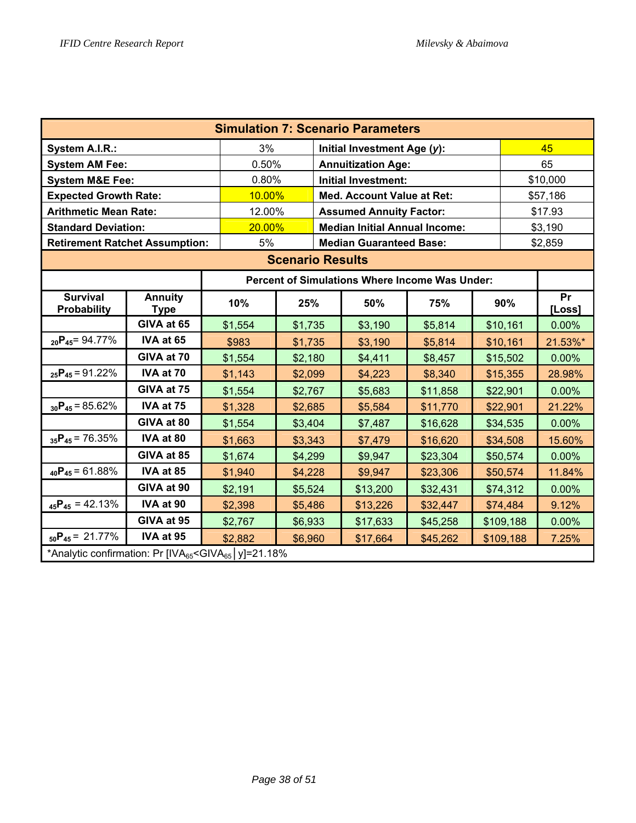| <b>Simulation 7: Scenario Parameters</b>                                          |                               |         |                                                |       |                                                |          |         |           |              |  |
|-----------------------------------------------------------------------------------|-------------------------------|---------|------------------------------------------------|-------|------------------------------------------------|----------|---------|-----------|--------------|--|
| System A.I.R.:                                                                    |                               | 3%      |                                                |       | Initial Investment Age (y):                    |          |         |           | 45           |  |
| <b>System AM Fee:</b>                                                             |                               | 0.50%   |                                                |       | <b>Annuitization Age:</b>                      |          |         |           | 65           |  |
| <b>System M&amp;E Fee:</b>                                                        |                               | 0.80%   |                                                |       | <b>Initial Investment:</b>                     |          |         | \$10,000  |              |  |
| <b>Expected Growth Rate:</b>                                                      |                               | 10.00%  |                                                |       | Med. Account Value at Ret:                     |          |         | \$57,186  |              |  |
| <b>Arithmetic Mean Rate:</b>                                                      |                               | 12.00%  |                                                |       | <b>Assumed Annuity Factor:</b>                 |          | \$17.93 |           |              |  |
| <b>Standard Deviation:</b>                                                        |                               |         | 20.00%<br><b>Median Initial Annual Income:</b> |       |                                                |          |         |           |              |  |
| <b>Retirement Ratchet Assumption:</b>                                             |                               | 5%      | <b>Median Guaranteed Base:</b>                 |       |                                                |          |         |           |              |  |
| <b>Scenario Results</b>                                                           |                               |         |                                                |       |                                                |          |         |           |              |  |
|                                                                                   |                               |         |                                                |       | Percent of Simulations Where Income Was Under: |          |         |           |              |  |
| <b>Survival</b><br>Probability                                                    | <b>Annuity</b><br><b>Type</b> | 10%     | 25%                                            |       | 50%                                            | 75%      |         | 90%       | Pr<br>[Loss] |  |
|                                                                                   | GIVA at 65                    | \$1,554 | \$1,735                                        |       | \$3,190                                        | \$5,814  |         | \$10,161  | 0.00%        |  |
| $_{20}P_{45} = 94.77\%$                                                           | IVA at 65                     | \$983   | \$1,735                                        |       | \$3,190                                        | \$5,814  |         | \$10,161  | 21.53%*      |  |
|                                                                                   | GIVA at 70                    | \$1,554 | \$2,180                                        |       | \$4,411                                        | \$8,457  |         | \$15,502  | 0.00%        |  |
| $_{25}P_{45} = 91.22\%$                                                           | IVA at 70                     | \$1,143 | \$2,099                                        |       | \$4,223                                        | \$8,340  |         | \$15,355  | 28.98%       |  |
|                                                                                   | GIVA at 75                    | \$1,554 | \$2,767                                        |       | \$5,683                                        | \$11,858 |         | \$22,901  | 0.00%        |  |
| $_{30}P_{45} = 85.62\%$                                                           | IVA at 75                     | \$1,328 | \$2,685                                        |       | \$5,584                                        | \$11,770 |         | \$22,901  | 21.22%       |  |
|                                                                                   | GIVA at 80                    | \$1,554 | \$3,404                                        |       | \$7,487                                        | \$16,628 |         | \$34,535  | 0.00%        |  |
| $_{35}P_{45}$ = 76.35%                                                            | IVA at 80                     | \$1,663 | \$3,343                                        |       | \$7,479                                        | \$16,620 |         | \$34,508  | 15.60%       |  |
|                                                                                   | GIVA at 85                    | \$1,674 | \$4,299                                        |       | \$9,947                                        | \$23,304 |         | \$50,574  | 0.00%        |  |
| $_{40}P_{45} = 61.88\%$                                                           | IVA at 85                     | \$1,940 | \$4,228                                        |       | \$9,947                                        | \$23,306 |         | \$50,574  | 11.84%       |  |
|                                                                                   | GIVA at 90                    | \$2,191 | \$5,524                                        |       | \$13,200                                       | \$32,431 |         | \$74,312  | 0.00%        |  |
| $_{45}P_{45} = 42.13\%$                                                           | IVA at 90                     | \$2,398 | \$74,484                                       | 9.12% |                                                |          |         |           |              |  |
|                                                                                   | GIVA at 95                    | \$2,767 | \$6,933                                        |       | \$17,633                                       | \$45,258 |         | \$109,188 | 0.00%        |  |
| $_{50}P_{45} = 21.77\%$                                                           | IVA at 95                     | \$2,882 | \$6,960                                        |       | \$17,664                                       | \$45,262 |         | \$109,188 | 7.25%        |  |
| *Analytic confirmation: Pr [IVA <sub>65</sub> <giva<sub>65   y]=21.18%</giva<sub> |                               |         |                                                |       |                                                |          |         |           |              |  |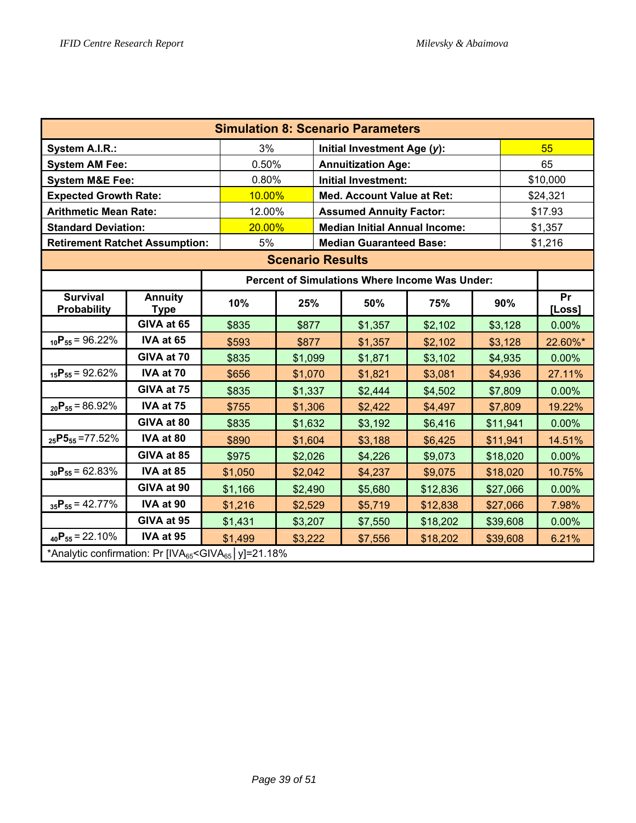| <b>Simulation 8: Scenario Parameters</b>                                                                                                                     |                               |                                                 |                                                |       |                                                |          |  |          |          |  |
|--------------------------------------------------------------------------------------------------------------------------------------------------------------|-------------------------------|-------------------------------------------------|------------------------------------------------|-------|------------------------------------------------|----------|--|----------|----------|--|
| System A.I.R.:                                                                                                                                               |                               | 3%                                              |                                                |       | Initial Investment Age (y):                    |          |  |          | 55       |  |
| <b>System AM Fee:</b>                                                                                                                                        |                               | 0.50%                                           |                                                |       | <b>Annuitization Age:</b>                      |          |  |          | 65       |  |
| <b>System M&amp;E Fee:</b>                                                                                                                                   |                               | 0.80%                                           |                                                |       | <b>Initial Investment:</b>                     |          |  | \$10,000 |          |  |
| <b>Expected Growth Rate:</b>                                                                                                                                 |                               | 10.00%                                          |                                                |       | <b>Med. Account Value at Ret:</b>              |          |  | \$24,321 |          |  |
| <b>Arithmetic Mean Rate:</b>                                                                                                                                 |                               | 12.00%                                          |                                                |       | <b>Assumed Annuity Factor:</b>                 |          |  | \$17.93  |          |  |
| <b>Standard Deviation:</b>                                                                                                                                   |                               |                                                 | 20.00%<br><b>Median Initial Annual Income:</b> |       |                                                |          |  |          |          |  |
| <b>Retirement Ratchet Assumption:</b>                                                                                                                        |                               | 5%                                              |                                                |       | <b>Median Guaranteed Base:</b>                 |          |  |          | \$1,216  |  |
| <b>Scenario Results</b>                                                                                                                                      |                               |                                                 |                                                |       |                                                |          |  |          |          |  |
|                                                                                                                                                              |                               |                                                 |                                                |       | Percent of Simulations Where Income Was Under: |          |  |          |          |  |
| <b>Survival</b><br>Probability                                                                                                                               | <b>Annuity</b><br><b>Type</b> | Pr<br>10%<br>25%<br>50%<br>75%<br>90%<br>[Loss] |                                                |       |                                                |          |  |          |          |  |
|                                                                                                                                                              | GIVA at 65                    | \$835                                           | \$877                                          |       | \$1,357                                        | \$2,102  |  | \$3,128  | 0.00%    |  |
| $_{10}P_{55} = 96.22\%$                                                                                                                                      | IVA at 65                     | \$593                                           | \$877                                          |       | \$1,357                                        | \$2,102  |  | \$3,128  | 22.60%*  |  |
|                                                                                                                                                              | GIVA at 70                    | \$835                                           | \$1,099                                        |       | \$1,871                                        | \$3,102  |  | \$4,935  | 0.00%    |  |
| $_{15}P_{55} = 92.62\%$                                                                                                                                      | IVA at 70                     | \$656                                           | \$1,070                                        |       | \$1,821                                        | \$3,081  |  | \$4,936  | 27.11%   |  |
|                                                                                                                                                              | GIVA at 75                    | \$835                                           | \$1,337                                        |       | \$2,444                                        | \$4,502  |  | \$7,809  | $0.00\%$ |  |
| $_{20}P_{55} = 86.92\%$                                                                                                                                      | IVA at 75                     | \$755                                           | \$1,306                                        |       | \$2,422                                        | \$4,497  |  | \$7,809  | 19.22%   |  |
|                                                                                                                                                              | GIVA at 80                    | \$835                                           | \$1,632                                        |       | \$3,192                                        | \$6,416  |  | \$11,941 | 0.00%    |  |
| $_{25}P5_{55} = 77.52\%$                                                                                                                                     | IVA at 80                     | \$890                                           | \$1,604                                        |       | \$3,188                                        | \$6,425  |  | \$11,941 | 14.51%   |  |
|                                                                                                                                                              | GIVA at 85                    | \$975                                           | \$2,026                                        |       | \$4,226                                        | \$9,073  |  | \$18,020 | 0.00%    |  |
| $_{30}P_{55} = 62.83\%$                                                                                                                                      | IVA at 85                     | \$1,050                                         | \$2,042                                        |       | \$4,237                                        | \$9,075  |  | \$18,020 | 10.75%   |  |
|                                                                                                                                                              | GIVA at 90                    | \$1,166                                         | \$2,490                                        |       | \$5,680                                        | \$12,836 |  | \$27,066 | 0.00%    |  |
| $_{35}P_{55} = 42.77\%$                                                                                                                                      | IVA at 90                     | \$1,216                                         | \$27,066                                       | 7.98% |                                                |          |  |          |          |  |
|                                                                                                                                                              | GIVA at 95                    | \$1,431                                         | \$3,207                                        |       | \$7,550                                        | \$18,202 |  | \$39,608 | 0.00%    |  |
| $_{40}P_{55} = 22.10\%$                                                                                                                                      | IVA at 95                     | \$1,499                                         | \$3,222                                        |       | \$7,556                                        | \$18,202 |  | \$39,608 | 6.21%    |  |
| *Analytic confirmation: Pr [IVA65 <giva65 y]="21.18%&lt;/td"  =""><td></td><td></td><td></td><td></td><td></td><td></td><td></td><td></td><td></td></giva65> |                               |                                                 |                                                |       |                                                |          |  |          |          |  |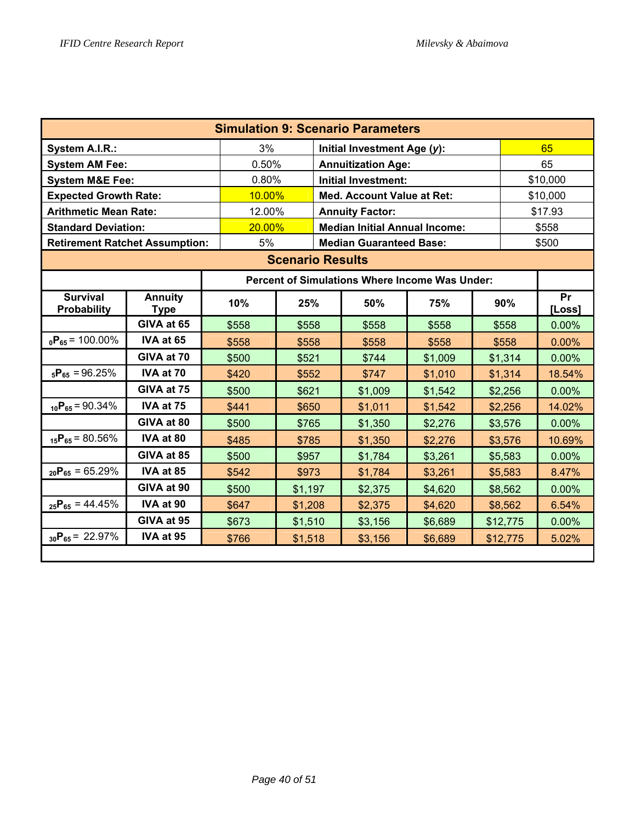| <b>Simulation 9: Scenario Parameters</b>       |                               |                                                            |                                                |                                |         |  |          |          |  |  |  |  |
|------------------------------------------------|-------------------------------|------------------------------------------------------------|------------------------------------------------|--------------------------------|---------|--|----------|----------|--|--|--|--|
| System A.I.R.:                                 |                               | 3%                                                         |                                                | Initial Investment Age (y):    |         |  |          | 65       |  |  |  |  |
| <b>System AM Fee:</b>                          |                               | 0.50%                                                      |                                                | <b>Annuitization Age:</b>      |         |  |          | 65       |  |  |  |  |
| <b>System M&amp;E Fee:</b>                     |                               | 0.80%                                                      |                                                | Initial Investment:            |         |  | \$10,000 |          |  |  |  |  |
| <b>Expected Growth Rate:</b>                   |                               | 10.00%                                                     |                                                | Med. Account Value at Ret:     |         |  | \$10,000 |          |  |  |  |  |
| <b>Arithmetic Mean Rate:</b>                   |                               | 12.00%                                                     | <b>Annuity Factor:</b>                         |                                | \$17.93 |  |          |          |  |  |  |  |
| <b>Standard Deviation:</b>                     |                               |                                                            | 20.00%<br><b>Median Initial Annual Income:</b> |                                |         |  |          |          |  |  |  |  |
| <b>Retirement Ratchet Assumption:</b>          |                               | 5%                                                         |                                                | <b>Median Guaranteed Base:</b> |         |  |          | \$500    |  |  |  |  |
| <b>Scenario Results</b>                        |                               |                                                            |                                                |                                |         |  |          |          |  |  |  |  |
| Percent of Simulations Where Income Was Under: |                               |                                                            |                                                |                                |         |  |          |          |  |  |  |  |
| <b>Survival</b><br>Probability                 | <b>Annuity</b><br><b>Type</b> | 10%                                                        | Pr<br>25%<br>50%<br>75%<br>90%<br>[Loss]       |                                |         |  |          |          |  |  |  |  |
|                                                | GIVA at 65                    | \$558                                                      | \$558                                          | \$558                          | \$558   |  | \$558    | 0.00%    |  |  |  |  |
| $_0P_{65}$ = 100.00%                           | IVA at 65                     | \$558                                                      | \$558                                          | \$558                          | \$558   |  | \$558    | 0.00%    |  |  |  |  |
|                                                | GIVA at 70                    | \$500                                                      | \$521                                          | \$744                          | \$1,009 |  | \$1,314  | 0.00%    |  |  |  |  |
| $_{5}P_{65} = 96.25\%$                         | IVA at 70                     | \$420                                                      | \$552                                          | \$747                          | \$1,010 |  | \$1,314  | 18.54%   |  |  |  |  |
|                                                | GIVA at 75                    | \$500                                                      | \$621                                          | \$1,009                        | \$1,542 |  | \$2,256  | $0.00\%$ |  |  |  |  |
| $_{10}P_{65} = 90.34\%$                        | IVA at 75                     | \$441                                                      | \$650                                          | \$1,011                        | \$1,542 |  | \$2,256  | 14.02%   |  |  |  |  |
|                                                | GIVA at 80                    | \$500                                                      | \$765                                          | \$1,350                        | \$2,276 |  | \$3,576  | 0.00%    |  |  |  |  |
| $_{15}P_{65} = 80.56\%$                        | IVA at 80                     | \$485                                                      | \$785                                          | \$1,350                        | \$2,276 |  | \$3,576  | 10.69%   |  |  |  |  |
|                                                | GIVA at 85                    | \$500                                                      | \$957                                          | \$1,784                        | \$3,261 |  | \$5,583  | 0.00%    |  |  |  |  |
| $_{20}P_{65} = 65.29\%$                        | IVA at 85                     | \$542                                                      | \$973                                          | \$1,784                        | \$3,261 |  | \$5,583  | 8.47%    |  |  |  |  |
|                                                | GIVA at 90                    | \$500                                                      | \$1,197                                        | \$2,375                        | \$4,620 |  | \$8,562  | 0.00%    |  |  |  |  |
| $_{25}P_{65} = 44.45\%$                        | IVA at 90                     | \$647<br>\$1,208<br>\$2,375<br>\$4,620<br>\$8,562<br>6.54% |                                                |                                |         |  |          |          |  |  |  |  |
|                                                | GIVA at 95                    | \$673                                                      | \$1,510                                        | \$3,156                        | \$6,689 |  | \$12,775 | 0.00%    |  |  |  |  |
| $_{30}P_{65} = 22.97\%$                        | IVA at 95                     | \$766                                                      | \$1,518                                        | \$3,156                        | \$6,689 |  | \$12,775 | 5.02%    |  |  |  |  |
|                                                |                               |                                                            |                                                |                                |         |  |          |          |  |  |  |  |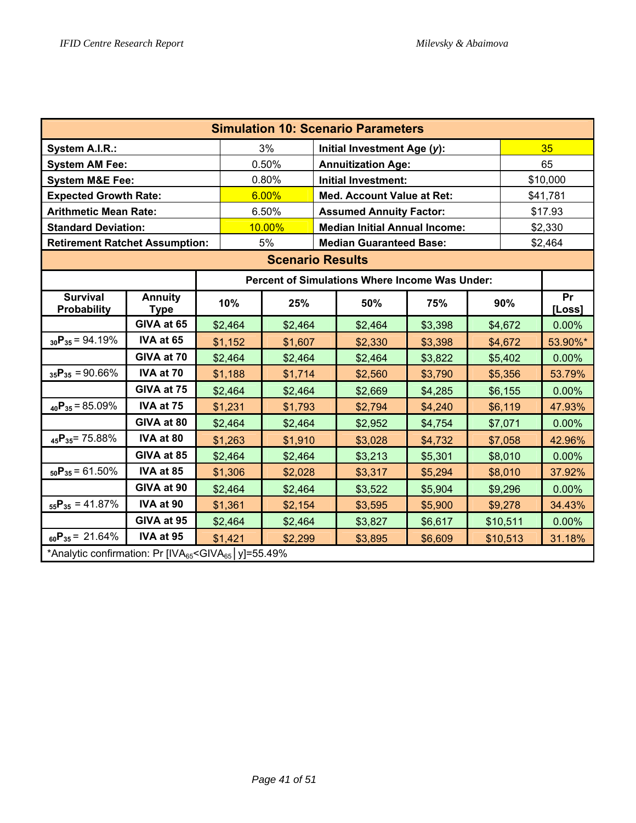| <b>Simulation 10: Scenario Parameters</b>                                                                                                                             |                               |                                                      |                                                                       |                         |  |                                      |         |  |          |          |  |
|-----------------------------------------------------------------------------------------------------------------------------------------------------------------------|-------------------------------|------------------------------------------------------|-----------------------------------------------------------------------|-------------------------|--|--------------------------------------|---------|--|----------|----------|--|
| System A.I.R.:                                                                                                                                                        |                               |                                                      |                                                                       | 3%                      |  | Initial Investment Age (y):          |         |  |          | 35       |  |
| <b>System AM Fee:</b>                                                                                                                                                 |                               |                                                      |                                                                       | 0.50%                   |  | <b>Annuitization Age:</b>            |         |  |          | 65       |  |
| <b>System M&amp;E Fee:</b>                                                                                                                                            |                               |                                                      |                                                                       | 0.80%                   |  | <b>Initial Investment:</b>           |         |  |          | \$10,000 |  |
| <b>Expected Growth Rate:</b>                                                                                                                                          |                               |                                                      |                                                                       | 6.00%                   |  | <b>Med. Account Value at Ret:</b>    |         |  | \$41,781 |          |  |
| <b>Arithmetic Mean Rate:</b>                                                                                                                                          |                               |                                                      |                                                                       | 6.50%                   |  | <b>Assumed Annuity Factor:</b>       |         |  | \$17.93  |          |  |
| <b>Standard Deviation:</b>                                                                                                                                            |                               |                                                      |                                                                       | 10.00%                  |  | <b>Median Initial Annual Income:</b> |         |  | \$2,330  |          |  |
| <b>Retirement Ratchet Assumption:</b>                                                                                                                                 |                               |                                                      |                                                                       | 5%                      |  | <b>Median Guaranteed Base:</b>       |         |  |          | \$2,464  |  |
|                                                                                                                                                                       |                               |                                                      |                                                                       | <b>Scenario Results</b> |  |                                      |         |  |          |          |  |
| <b>Percent of Simulations Where Income Was Under:</b>                                                                                                                 |                               |                                                      |                                                                       |                         |  |                                      |         |  |          |          |  |
| <b>Survival</b><br><b>Probability</b>                                                                                                                                 | <b>Annuity</b><br><b>Type</b> |                                                      | Pr<br>10%<br>25%<br>50%<br>90%<br>75%<br>[Loss]<br>\$2,464<br>\$4,672 |                         |  |                                      |         |  |          |          |  |
|                                                                                                                                                                       | GIVA at 65                    |                                                      |                                                                       | \$2,464                 |  | \$2,464                              | \$3,398 |  |          | 0.00%    |  |
| $_{30}P_{35} = 94.19\%$                                                                                                                                               | IVA at 65                     |                                                      | \$1,152                                                               | \$1,607                 |  | \$2,330                              | \$3,398 |  | \$4,672  | 53.90%*  |  |
|                                                                                                                                                                       | GIVA at 70                    |                                                      | \$2,464                                                               | \$2,464                 |  | \$2,464                              | \$3,822 |  | \$5,402  | 0.00%    |  |
| $_{35}P_{35} = 90.66\%$                                                                                                                                               | IVA at 70                     |                                                      | \$1,188                                                               | \$1,714                 |  | \$2,560                              | \$3,790 |  | \$5,356  | 53.79%   |  |
|                                                                                                                                                                       | GIVA at 75                    |                                                      | \$2,464                                                               | \$2,464                 |  | \$2,669                              | \$4,285 |  | \$6,155  | 0.00%    |  |
| $_{40}P_{35} = 85.09\%$                                                                                                                                               | IVA at 75                     |                                                      | \$1,231                                                               | \$1,793                 |  | \$2,794                              | \$4,240 |  | \$6,119  | 47.93%   |  |
|                                                                                                                                                                       | GIVA at 80                    |                                                      | \$2,464                                                               | \$2,464                 |  | \$2,952                              | \$4,754 |  | \$7,071  | 0.00%    |  |
| $_{45}P_{35}$ = 75.88%                                                                                                                                                | IVA at 80                     |                                                      | \$1,263                                                               | \$1,910                 |  | \$3,028                              | \$4,732 |  | \$7,058  | 42.96%   |  |
|                                                                                                                                                                       | GIVA at 85                    |                                                      | \$2,464                                                               | \$2,464                 |  | \$3,213                              | \$5,301 |  | \$8,010  | $0.00\%$ |  |
| $_{50}P_{35} = 61.50\%$                                                                                                                                               | IVA at 85                     |                                                      | \$1,306                                                               | \$2,028                 |  | \$3,317                              | \$5,294 |  | \$8,010  | 37.92%   |  |
|                                                                                                                                                                       | GIVA at 90                    |                                                      | \$2,464                                                               | \$2,464                 |  | \$3,522                              | \$5,904 |  | \$9,296  | 0.00%    |  |
| $_{55}P_{35} = 41.87\%$                                                                                                                                               | IVA at 90                     |                                                      | \$1,361                                                               | \$2,154                 |  | \$3,595                              | \$5,900 |  | \$9,278  | 34.43%   |  |
|                                                                                                                                                                       | GIVA at 95                    | \$2,464<br>\$2,464<br>\$3,827<br>\$6,617<br>\$10,511 |                                                                       |                         |  |                                      |         |  |          | 0.00%    |  |
| $_{60}P_{35} = 21.64\%$<br>IVA at 95<br>\$1,421<br>\$2,299<br>\$3,895<br>31.18%<br>\$6,609<br>\$10,513                                                                |                               |                                                      |                                                                       |                         |  |                                      |         |  |          |          |  |
| *Analytic confirmation: Pr [IVA65 <giva65 y]="55.49%&lt;/td"  =""><td></td><td></td><td></td><td></td><td></td><td></td><td></td><td></td><td></td><td></td></giva65> |                               |                                                      |                                                                       |                         |  |                                      |         |  |          |          |  |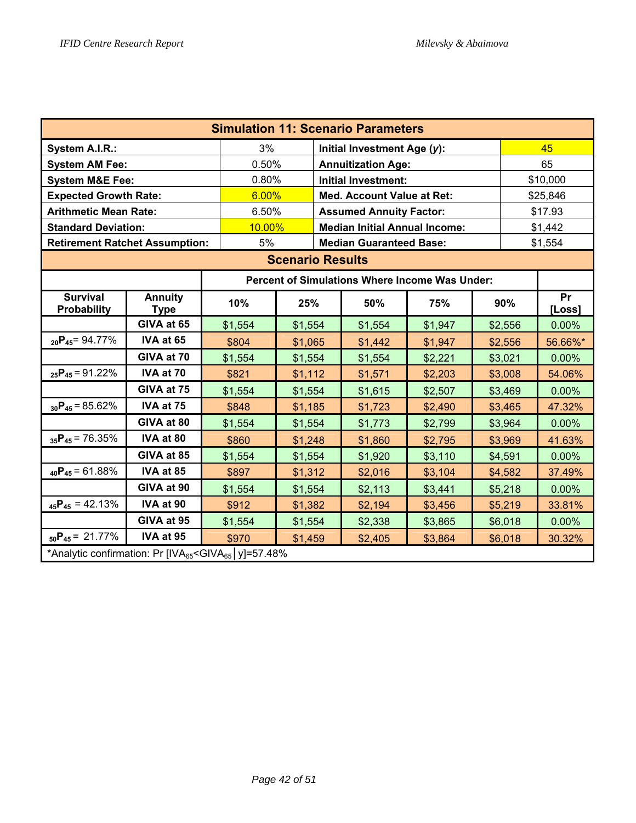| <b>Simulation 11: Scenario Parameters</b>                                                                                                                    |                               |                                                   |                                                |  |                                                |         |  |          |              |  |
|--------------------------------------------------------------------------------------------------------------------------------------------------------------|-------------------------------|---------------------------------------------------|------------------------------------------------|--|------------------------------------------------|---------|--|----------|--------------|--|
| System A.I.R.:                                                                                                                                               |                               | 3%                                                |                                                |  | Initial Investment Age (y):                    |         |  |          | 45           |  |
| <b>System AM Fee:</b>                                                                                                                                        |                               | 0.50%                                             |                                                |  | <b>Annuitization Age:</b>                      |         |  |          | 65           |  |
| <b>System M&amp;E Fee:</b>                                                                                                                                   |                               | 0.80%                                             |                                                |  | <b>Initial Investment:</b>                     |         |  | \$10,000 |              |  |
| <b>Expected Growth Rate:</b>                                                                                                                                 |                               | 6.00%                                             |                                                |  | <b>Med. Account Value at Ret:</b>              |         |  | \$25,846 |              |  |
| <b>Arithmetic Mean Rate:</b>                                                                                                                                 |                               | 6.50%                                             |                                                |  | <b>Assumed Annuity Factor:</b>                 |         |  | \$17.93  |              |  |
| <b>Standard Deviation:</b>                                                                                                                                   |                               |                                                   | 10.00%<br><b>Median Initial Annual Income:</b> |  |                                                |         |  |          |              |  |
| <b>Retirement Ratchet Assumption:</b>                                                                                                                        |                               | 5%                                                |                                                |  | <b>Median Guaranteed Base:</b>                 |         |  |          | \$1,554      |  |
| <b>Scenario Results</b>                                                                                                                                      |                               |                                                   |                                                |  |                                                |         |  |          |              |  |
|                                                                                                                                                              |                               |                                                   |                                                |  | Percent of Simulations Where Income Was Under: |         |  |          |              |  |
| <b>Survival</b><br>Probability                                                                                                                               | <b>Annuity</b><br><b>Type</b> | 10%                                               | 25%                                            |  | 50%                                            | 75%     |  | 90%      | Pr<br>[Loss] |  |
|                                                                                                                                                              | GIVA at 65                    | \$1,554                                           | \$1,554                                        |  | \$1,554                                        | \$1,947 |  | \$2,556  | 0.00%        |  |
| $_{20}P_{45} = 94.77\%$                                                                                                                                      | IVA at 65                     | \$804                                             | \$1,065                                        |  | \$1,442                                        | \$1,947 |  | \$2,556  | 56.66%*      |  |
|                                                                                                                                                              | GIVA at 70                    | \$1,554                                           | \$1,554                                        |  | \$1,554                                        | \$2,221 |  | \$3,021  | 0.00%        |  |
| $_{25}P_{45} = 91.22\%$                                                                                                                                      | IVA at 70                     | \$821                                             | \$1,112                                        |  | \$1,571                                        | \$2,203 |  | \$3,008  | 54.06%       |  |
|                                                                                                                                                              | GIVA at 75                    | \$1,554                                           | \$1,554                                        |  | \$1,615                                        | \$2,507 |  | \$3,469  | $0.00\%$     |  |
| $_{30}P_{45} = 85.62\%$                                                                                                                                      | IVA at 75                     | \$848                                             | \$1,185                                        |  | \$1,723                                        | \$2,490 |  | \$3,465  | 47.32%       |  |
|                                                                                                                                                              | GIVA at 80                    | \$1,554                                           | \$1,554                                        |  | \$1,773                                        | \$2,799 |  | \$3,964  | 0.00%        |  |
| $_{35}P_{45}$ = 76.35%                                                                                                                                       | IVA at 80                     | \$860                                             | \$1,248                                        |  | \$1,860                                        | \$2,795 |  | \$3,969  | 41.63%       |  |
|                                                                                                                                                              | GIVA at 85                    | \$1,554                                           | \$1,554                                        |  | \$1,920                                        | \$3,110 |  | \$4,591  | 0.00%        |  |
| $_{40}P_{45} = 61.88\%$                                                                                                                                      | IVA at 85                     | \$897                                             | \$1,312                                        |  | \$2,016                                        | \$3,104 |  | \$4,582  | 37.49%       |  |
|                                                                                                                                                              | GIVA at 90                    | \$1,554                                           | \$1,554                                        |  | \$2,113                                        | \$3,441 |  | \$5,218  | 0.00%        |  |
| $_{45}P_{45} = 42.13\%$                                                                                                                                      | IVA at 90                     | \$912<br>\$1,382<br>\$2,194<br>\$3,456<br>\$5,219 |                                                |  |                                                |         |  |          |              |  |
|                                                                                                                                                              | GIVA at 95                    | \$1,554                                           | \$1,554                                        |  | \$2,338                                        | \$3,865 |  | \$6,018  | 0.00%        |  |
| $_{50}P_{45} = 21.77\%$                                                                                                                                      | IVA at 95                     | \$970                                             | \$1,459                                        |  | \$2,405                                        | \$3,864 |  | \$6,018  | 30.32%       |  |
| *Analytic confirmation: Pr [IVA65 <giva65 y]="57.48%&lt;/td"  =""><td></td><td></td><td></td><td></td><td></td><td></td><td></td><td></td><td></td></giva65> |                               |                                                   |                                                |  |                                                |         |  |          |              |  |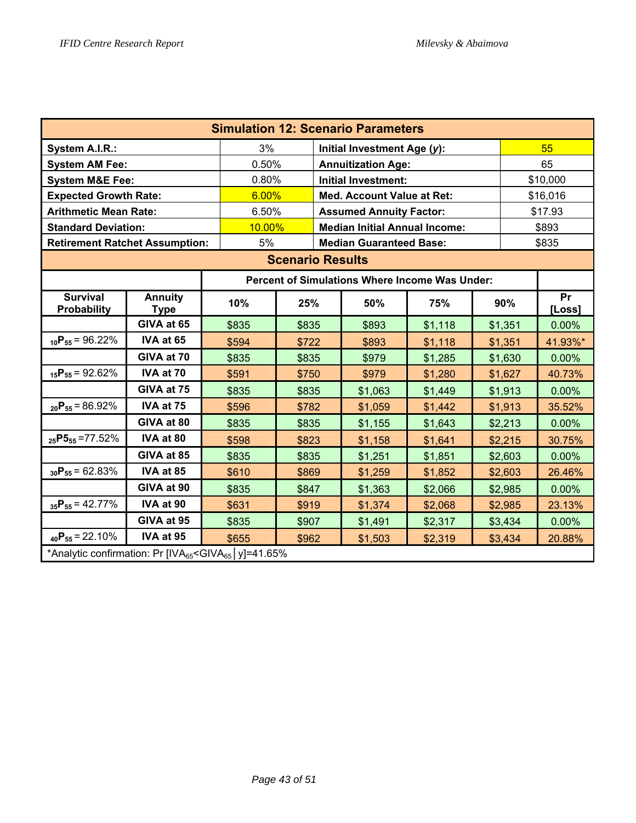| <b>Simulation 12: Scenario Parameters</b>                                         |                               |        |       |  |                                                |         |  |          |              |  |
|-----------------------------------------------------------------------------------|-------------------------------|--------|-------|--|------------------------------------------------|---------|--|----------|--------------|--|
| <b>System A.I.R.:</b>                                                             |                               | 3%     |       |  | Initial Investment Age (y):                    |         |  |          | 55           |  |
| <b>System AM Fee:</b>                                                             |                               | 0.50%  |       |  | <b>Annuitization Age:</b>                      |         |  |          | 65           |  |
| <b>System M&amp;E Fee:</b>                                                        |                               | 0.80%  |       |  | <b>Initial Investment:</b>                     |         |  | \$10,000 |              |  |
| <b>Expected Growth Rate:</b>                                                      |                               | 6.00%  |       |  | <b>Med. Account Value at Ret:</b>              |         |  | \$16,016 |              |  |
| <b>Arithmetic Mean Rate:</b>                                                      |                               | 6.50%  |       |  | <b>Assumed Annuity Factor:</b>                 |         |  | \$17.93  |              |  |
| <b>Standard Deviation:</b>                                                        |                               | 10.00% |       |  | <b>Median Initial Annual Income:</b>           |         |  | \$893    |              |  |
| <b>Retirement Ratchet Assumption:</b>                                             |                               | 5%     |       |  | <b>Median Guaranteed Base:</b>                 |         |  |          | \$835        |  |
| <b>Scenario Results</b>                                                           |                               |        |       |  |                                                |         |  |          |              |  |
|                                                                                   |                               |        |       |  | Percent of Simulations Where Income Was Under: |         |  |          |              |  |
| <b>Survival</b><br><b>Probability</b>                                             | <b>Annuity</b><br><b>Type</b> | 10%    | 25%   |  | 50%                                            | 75%     |  | 90%      | Pr<br>[Loss] |  |
|                                                                                   | GIVA at 65                    | \$835  | \$835 |  | \$893                                          | \$1,118 |  | \$1,351  | 0.00%        |  |
| $_{10}P_{55} = 96.22\%$                                                           | IVA at 65                     | \$594  | \$722 |  | \$893                                          | \$1,118 |  | \$1,351  | 41.93%*      |  |
|                                                                                   | GIVA at 70                    | \$835  | \$835 |  | \$979                                          | \$1,285 |  | \$1,630  | 0.00%        |  |
| $_{15}P_{55} = 92.62\%$                                                           | IVA at 70                     | \$591  | \$750 |  | \$979                                          | \$1,280 |  | \$1,627  | 40.73%       |  |
|                                                                                   | GIVA at 75                    | \$835  | \$835 |  | \$1,063                                        | \$1,449 |  | \$1,913  | 0.00%        |  |
| $_{20}P_{55} = 86.92\%$                                                           | IVA at 75                     | \$596  | \$782 |  | \$1,059                                        | \$1,442 |  | \$1,913  | 35.52%       |  |
|                                                                                   | GIVA at 80                    | \$835  | \$835 |  | \$1,155                                        | \$1,643 |  | \$2,213  | 0.00%        |  |
| $_{25}P5_{55} = 77.52\%$                                                          | IVA at 80                     | \$598  | \$823 |  | \$1,158                                        | \$1,641 |  | \$2,215  | 30.75%       |  |
|                                                                                   | GIVA at 85                    | \$835  | \$835 |  | \$1,251                                        | \$1,851 |  | \$2,603  | 0.00%        |  |
| $_{30}P_{55} = 62.83\%$                                                           | IVA at 85                     | \$610  | \$869 |  | \$1,259                                        | \$1,852 |  | \$2,603  | 26.46%       |  |
|                                                                                   | GIVA at 90                    | \$835  | \$847 |  | \$1,363                                        | \$2,066 |  | \$2,985  | 0.00%        |  |
| $_{35}P_{55} = 42.77\%$                                                           | IVA at 90                     | \$631  | \$919 |  | \$1,374                                        | \$2,068 |  | \$2,985  | 23.13%       |  |
|                                                                                   | GIVA at 95                    | \$835  | \$907 |  | \$1,491                                        | \$2,317 |  | \$3,434  | 0.00%        |  |
| $_{40}P_{55} = 22.10\%$                                                           | IVA at 95                     | \$655  | \$962 |  | \$1,503                                        | \$2,319 |  | \$3,434  | 20.88%       |  |
| *Analytic confirmation: Pr [IVA <sub>65</sub> <giva<sub>65   y]=41.65%</giva<sub> |                               |        |       |  |                                                |         |  |          |              |  |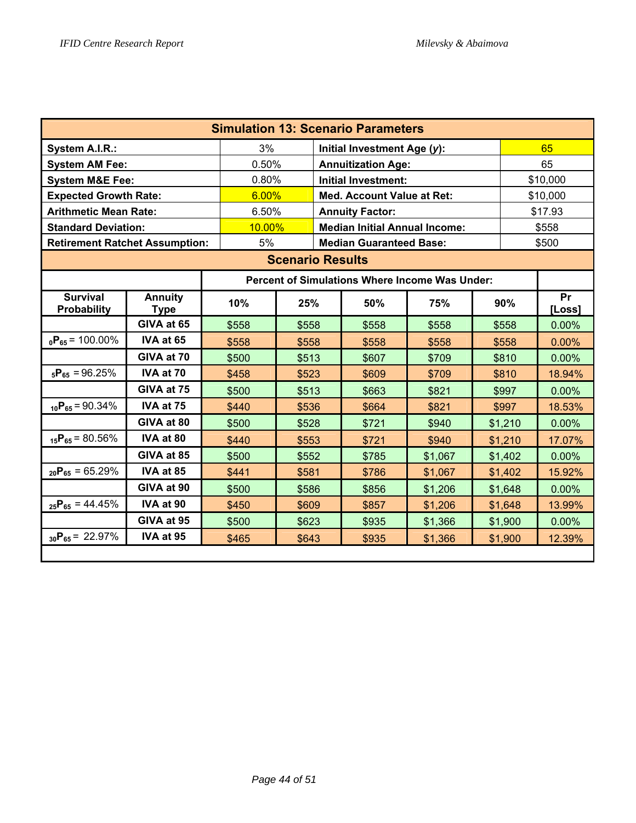| <b>Simulation 13: Scenario Parameters</b>      |                               |                                                         |                                                |  |                                |         |  |          |          |  |  |  |
|------------------------------------------------|-------------------------------|---------------------------------------------------------|------------------------------------------------|--|--------------------------------|---------|--|----------|----------|--|--|--|
| System A.I.R.:                                 |                               | 3%                                                      |                                                |  | Initial Investment Age (y):    |         |  | 65       |          |  |  |  |
| <b>System AM Fee:</b>                          |                               | 0.50%                                                   |                                                |  | <b>Annuitization Age:</b>      |         |  | 65       |          |  |  |  |
| <b>System M&amp;E Fee:</b>                     |                               | 0.80%                                                   |                                                |  | <b>Initial Investment:</b>     |         |  | \$10,000 |          |  |  |  |
| <b>Expected Growth Rate:</b>                   |                               | 6.00%                                                   |                                                |  | Med. Account Value at Ret:     |         |  | \$10,000 |          |  |  |  |
| <b>Arithmetic Mean Rate:</b>                   |                               | 6.50%                                                   |                                                |  | <b>Annuity Factor:</b>         |         |  | \$17.93  |          |  |  |  |
| <b>Standard Deviation:</b>                     |                               |                                                         | 10.00%<br><b>Median Initial Annual Income:</b> |  |                                |         |  |          |          |  |  |  |
| <b>Retirement Ratchet Assumption:</b>          |                               | 5%                                                      |                                                |  | <b>Median Guaranteed Base:</b> |         |  |          | \$500    |  |  |  |
| <b>Scenario Results</b>                        |                               |                                                         |                                                |  |                                |         |  |          |          |  |  |  |
| Percent of Simulations Where Income Was Under: |                               |                                                         |                                                |  |                                |         |  |          |          |  |  |  |
| <b>Survival</b><br>Probability                 | <b>Annuity</b><br><b>Type</b> | 10%                                                     | Pr<br>90%<br>25%<br>50%<br>75%<br>[Loss]       |  |                                |         |  |          |          |  |  |  |
|                                                | GIVA at 65                    | \$558                                                   | \$558                                          |  | \$558                          | \$558   |  | \$558    | 0.00%    |  |  |  |
| $_0P_{65}$ = 100.00%                           | IVA at 65                     | \$558                                                   | \$558                                          |  | \$558                          | \$558   |  | \$558    | 0.00%    |  |  |  |
|                                                | GIVA at 70                    | \$500                                                   | \$513                                          |  | \$607                          | \$709   |  | \$810    | $0.00\%$ |  |  |  |
| $_{5}P_{65} = 96.25%$                          | IVA at 70                     | \$458                                                   | \$523                                          |  | \$609                          | \$709   |  | \$810    | 18.94%   |  |  |  |
|                                                | GIVA at 75                    | \$500                                                   | \$513                                          |  | \$663                          | \$821   |  | \$997    | 0.00%    |  |  |  |
| $_{10}P_{65} = 90.34\%$                        | IVA at 75                     | \$440                                                   | \$536                                          |  | \$664                          | \$821   |  | \$997    | 18.53%   |  |  |  |
|                                                | GIVA at 80                    | \$500                                                   | \$528                                          |  | \$721                          | \$940   |  | \$1,210  | 0.00%    |  |  |  |
| $_{15}P_{65} = 80.56\%$                        | IVA at 80                     | \$440                                                   | \$553                                          |  | \$721                          | \$940   |  | \$1,210  | 17.07%   |  |  |  |
|                                                | GIVA at 85                    | \$500                                                   | \$552                                          |  | \$785                          | \$1,067 |  | \$1,402  | $0.00\%$ |  |  |  |
| $_{20}P_{65} = 65.29\%$                        | IVA at 85                     | \$441                                                   | \$581                                          |  | \$786                          | \$1,067 |  | \$1,402  | 15.92%   |  |  |  |
|                                                | GIVA at 90                    | \$500                                                   | \$586                                          |  | \$856                          | \$1,206 |  | \$1,648  | 0.00%    |  |  |  |
| $_{25}P_{65} = 44.45\%$                        | IVA at 90                     | \$450<br>\$609<br>\$1,206<br>13.99%<br>\$857<br>\$1,648 |                                                |  |                                |         |  |          |          |  |  |  |
|                                                | GIVA at 95                    | \$500                                                   | \$623                                          |  | \$935                          | \$1,366 |  | \$1,900  | 0.00%    |  |  |  |
| $_{30}P_{65} = 22.97\%$                        | IVA at 95                     | \$465                                                   | \$643                                          |  | \$935                          | \$1,366 |  | \$1,900  | 12.39%   |  |  |  |
|                                                |                               |                                                         |                                                |  |                                |         |  |          |          |  |  |  |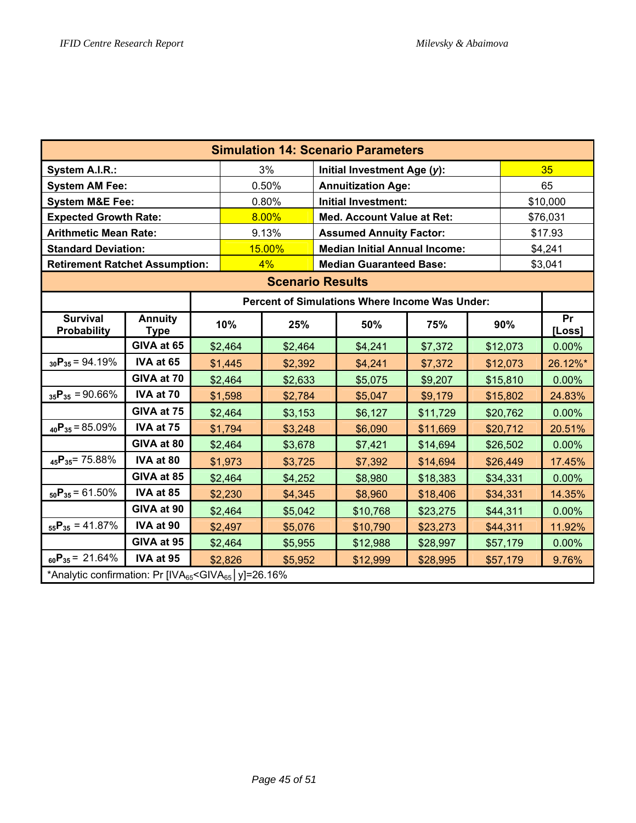| <b>Simulation 14: Scenario Parameters</b>                                                      |                               |  |                                 |         |  |                                      |          |  |          |          |
|------------------------------------------------------------------------------------------------|-------------------------------|--|---------------------------------|---------|--|--------------------------------------|----------|--|----------|----------|
| System A.I.R.:                                                                                 |                               |  |                                 | 3%      |  | Initial Investment Age (y):          |          |  |          | 35       |
| <b>System AM Fee:</b>                                                                          |                               |  |                                 | 0.50%   |  | <b>Annuitization Age:</b>            |          |  |          | 65       |
| <b>System M&amp;E Fee:</b>                                                                     |                               |  |                                 | 0.80%   |  | Initial Investment:                  |          |  |          | \$10,000 |
| <b>Expected Growth Rate:</b>                                                                   |                               |  |                                 | 8.00%   |  | Med. Account Value at Ret:           |          |  | \$76,031 |          |
| <b>Arithmetic Mean Rate:</b>                                                                   |                               |  |                                 | 9.13%   |  | <b>Assumed Annuity Factor:</b>       |          |  | \$17.93  |          |
| <b>Standard Deviation:</b>                                                                     |                               |  |                                 | 15.00%  |  | <b>Median Initial Annual Income:</b> |          |  |          | \$4,241  |
| <b>Retirement Ratchet Assumption:</b>                                                          |                               |  |                                 | 4%      |  | <b>Median Guaranteed Base:</b>       |          |  |          | \$3,041  |
| <b>Scenario Results</b>                                                                        |                               |  |                                 |         |  |                                      |          |  |          |          |
| Percent of Simulations Where Income Was Under:<br>Pr                                           |                               |  |                                 |         |  |                                      |          |  |          |          |
| <b>Survival</b><br><b>Probability</b>                                                          | <b>Annuity</b><br><b>Type</b> |  | 50%<br>10%<br>25%<br>75%<br>90% |         |  |                                      |          |  |          |          |
|                                                                                                | GIVA at 65                    |  | \$2,464<br>\$2,464              |         |  | \$4,241                              | \$7,372  |  | \$12,073 | 0.00%    |
| $_{30}P_{35} = 94.19\%$                                                                        | IVA at 65                     |  | \$1,445                         | \$2,392 |  | \$4,241                              | \$7,372  |  | \$12,073 | 26.12%*  |
|                                                                                                | GIVA at 70                    |  | \$2,464                         | \$2,633 |  | \$5,075                              | \$9,207  |  | \$15,810 | 0.00%    |
| $_{35}P_{35} = 90.66\%$                                                                        | IVA at 70                     |  | \$1,598                         | \$2,784 |  | \$5,047                              | \$9,179  |  | \$15,802 | 24.83%   |
|                                                                                                | GIVA at 75                    |  | \$2,464                         | \$3,153 |  | \$6,127                              | \$11,729 |  | \$20,762 | 0.00%    |
| $_{40}P_{35} = 85.09\%$                                                                        | IVA at 75                     |  | \$1,794                         | \$3,248 |  | \$6,090                              | \$11,669 |  | \$20,712 | 20.51%   |
|                                                                                                | GIVA at 80                    |  | \$2,464                         | \$3,678 |  | \$7,421                              | \$14,694 |  | \$26,502 | 0.00%    |
| $_{45}P_{35}$ = 75.88%                                                                         | IVA at 80                     |  | \$1,973                         | \$3,725 |  | \$7,392                              | \$14,694 |  | \$26,449 | 17.45%   |
|                                                                                                | GIVA at 85                    |  | \$2,464                         | \$4,252 |  | \$8,980                              | \$18,383 |  | \$34,331 | 0.00%    |
| $_{50}P_{35} = 61.50\%$                                                                        | IVA at 85                     |  | \$2,230                         | \$4,345 |  | \$8,960                              | \$18,406 |  | \$34,331 | 14.35%   |
|                                                                                                | GIVA at 90                    |  | \$2,464                         | \$5,042 |  | \$10,768                             | \$23,275 |  | \$44,311 | 0.00%    |
| $_{55}P_{35} = 41.87\%$                                                                        | IVA at 90                     |  | \$2,497                         | \$5,076 |  | \$10,790                             | \$23,273 |  | \$44,311 | 11.92%   |
|                                                                                                | GIVA at 95                    |  | \$2,464                         | \$5,955 |  | \$12,988                             | \$28,997 |  | \$57,179 | 0.00%    |
| IVA at 95<br>$_{60}P_{35} = 21.64\%$<br>\$2,826<br>\$12,999<br>\$5,952<br>\$28,995<br>\$57,179 |                               |  |                                 |         |  |                                      |          |  | 9.76%    |          |
| *Analytic confirmation: Pr [IVA <sub>65</sub> <giva<sub>65   y]=26.16%</giva<sub>              |                               |  |                                 |         |  |                                      |          |  |          |          |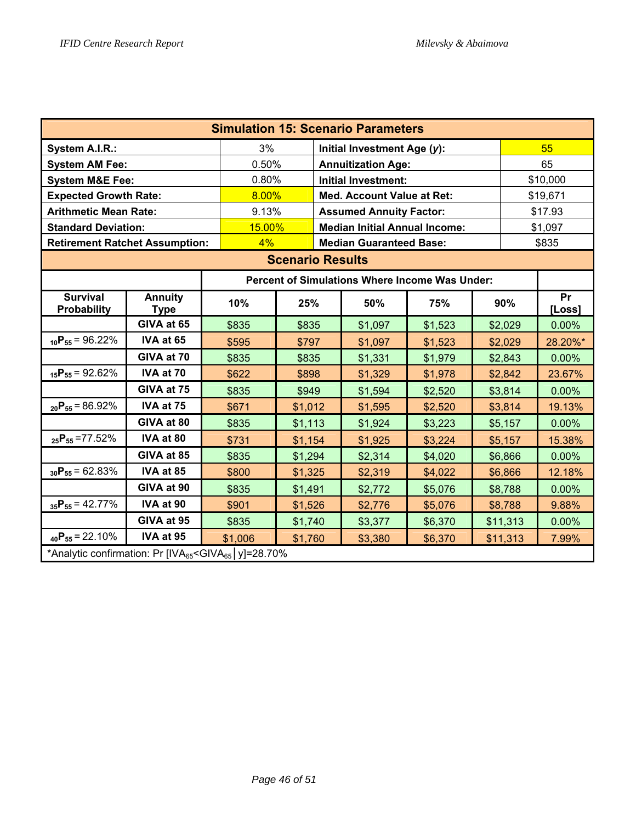| <b>Simulation 15: Scenario Parameters</b>                                         |                               |         |                                                |       |                                                |         |  |          |              |  |
|-----------------------------------------------------------------------------------|-------------------------------|---------|------------------------------------------------|-------|------------------------------------------------|---------|--|----------|--------------|--|
| <b>System A.I.R.:</b>                                                             |                               | 3%      |                                                |       | Initial Investment Age (y):                    |         |  |          | 55           |  |
| <b>System AM Fee:</b>                                                             |                               | 0.50%   |                                                |       | <b>Annuitization Age:</b>                      |         |  |          | 65           |  |
| <b>System M&amp;E Fee:</b>                                                        |                               | 0.80%   |                                                |       | <b>Initial Investment:</b>                     |         |  | \$10,000 |              |  |
| <b>Expected Growth Rate:</b>                                                      |                               | 8.00%   |                                                |       | <b>Med. Account Value at Ret:</b>              |         |  | \$19,671 |              |  |
| <b>Arithmetic Mean Rate:</b>                                                      |                               | 9.13%   |                                                |       | <b>Assumed Annuity Factor:</b>                 |         |  | \$17.93  |              |  |
| <b>Standard Deviation:</b>                                                        |                               |         | 15.00%<br><b>Median Initial Annual Income:</b> |       |                                                |         |  |          |              |  |
| <b>Retirement Ratchet Assumption:</b>                                             |                               | 4%      |                                                |       | <b>Median Guaranteed Base:</b>                 |         |  |          | \$835        |  |
| <b>Scenario Results</b>                                                           |                               |         |                                                |       |                                                |         |  |          |              |  |
|                                                                                   |                               |         |                                                |       | Percent of Simulations Where Income Was Under: |         |  |          |              |  |
| <b>Survival</b><br><b>Probability</b>                                             | <b>Annuity</b><br><b>Type</b> | 10%     | 25%                                            |       | 50%                                            | 75%     |  | 90%      | Pr<br>[Loss] |  |
|                                                                                   | GIVA at 65                    | \$835   | \$835                                          |       | \$1,097                                        | \$1,523 |  | \$2,029  | 0.00%        |  |
| $_{10}P_{55} = 96.22\%$                                                           | IVA at 65                     | \$595   | \$797                                          |       | \$1,097                                        | \$1,523 |  | \$2,029  | 28.20%*      |  |
|                                                                                   | GIVA at 70                    | \$835   | \$835                                          |       | \$1,331                                        | \$1,979 |  | \$2,843  | 0.00%        |  |
| $_{15}P_{55} = 92.62\%$                                                           | IVA at 70                     | \$622   | \$898                                          |       | \$1,329                                        | \$1,978 |  | \$2,842  | 23.67%       |  |
|                                                                                   | GIVA at 75                    | \$835   | \$949                                          |       | \$1,594                                        | \$2,520 |  | \$3,814  | 0.00%        |  |
| $_{20}P_{55} = 86.92\%$                                                           | IVA at 75                     | \$671   | \$1,012                                        |       | \$1,595                                        | \$2,520 |  | \$3,814  | 19.13%       |  |
|                                                                                   | GIVA at 80                    | \$835   | \$1,113                                        |       | \$1,924                                        | \$3,223 |  | \$5,157  | 0.00%        |  |
| $_{25}P_{55}$ = 77.52%                                                            | IVA at 80                     | \$731   | \$1,154                                        |       | \$1,925                                        | \$3,224 |  | \$5,157  | 15.38%       |  |
|                                                                                   | GIVA at 85                    | \$835   | \$1,294                                        |       | \$2,314                                        | \$4,020 |  | \$6,866  | 0.00%        |  |
| $_{30}P_{55} = 62.83\%$                                                           | IVA at 85                     | \$800   | \$1,325                                        |       | \$2,319                                        | \$4,022 |  | \$6,866  | 12.18%       |  |
|                                                                                   | GIVA at 90                    | \$835   | \$1,491                                        |       | \$2,772                                        | \$5,076 |  | \$8,788  | 0.00%        |  |
| $_{35}P_{55} = 42.77\%$                                                           | IVA at 90                     | \$901   | \$8,788                                        | 9.88% |                                                |         |  |          |              |  |
|                                                                                   | GIVA at 95                    | \$835   | \$1,740                                        |       | \$3,377                                        | \$6,370 |  | \$11,313 | 0.00%        |  |
| $_{40}P_{55} = 22.10\%$                                                           | IVA at 95                     | \$1,006 | \$1,760                                        |       | \$3,380                                        | \$6,370 |  | \$11,313 | 7.99%        |  |
| *Analytic confirmation: Pr [IVA <sub>65</sub> <giva<sub>65   y]=28.70%</giva<sub> |                               |         |                                                |       |                                                |         |  |          |              |  |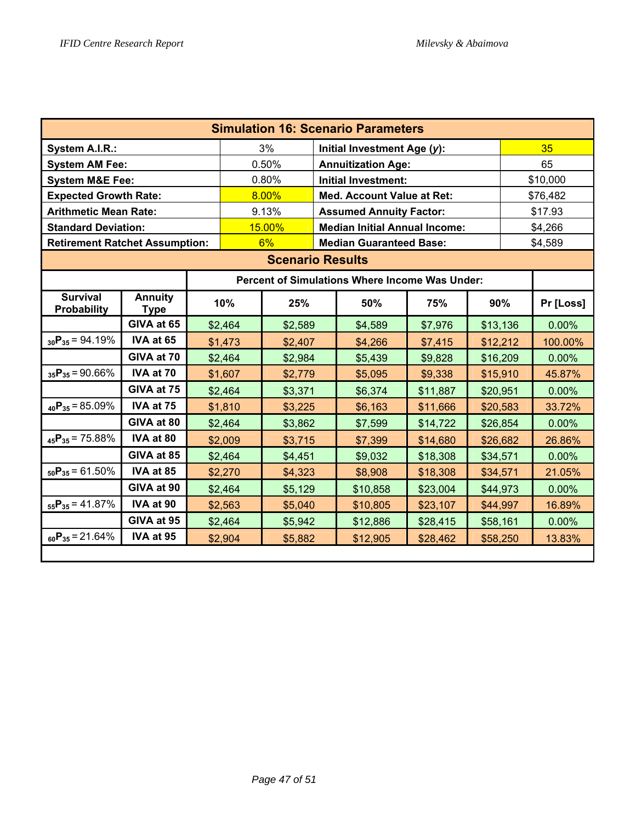| <b>Simulation 16: Scenario Parameters</b> |                               |         |         |                                      |                                      |                                                       |          |          |          |           |
|-------------------------------------------|-------------------------------|---------|---------|--------------------------------------|--------------------------------------|-------------------------------------------------------|----------|----------|----------|-----------|
| System A.I.R.:                            |                               |         | 3%      |                                      | Initial Investment Age (y):          |                                                       |          |          | 35       |           |
| <b>System AM Fee:</b>                     |                               |         | 0.50%   |                                      |                                      | <b>Annuitization Age:</b>                             |          |          | 65       |           |
| <b>System M&amp;E Fee:</b>                |                               |         | 0.80%   |                                      |                                      | <b>Initial Investment:</b>                            |          |          | \$10,000 |           |
| <b>Expected Growth Rate:</b>              |                               |         | 8.00%   |                                      | <b>Med. Account Value at Ret:</b>    |                                                       |          |          | \$76,482 |           |
| <b>Arithmetic Mean Rate:</b>              |                               |         | 9.13%   |                                      | <b>Assumed Annuity Factor:</b>       |                                                       |          |          | \$17.93  |           |
| <b>Standard Deviation:</b>                |                               |         | 15.00%  |                                      | <b>Median Initial Annual Income:</b> |                                                       |          |          | \$4,266  |           |
| <b>Retirement Ratchet Assumption:</b>     |                               |         |         | 6%<br><b>Median Guaranteed Base:</b> |                                      |                                                       | \$4,589  |          |          |           |
| <b>Scenario Results</b>                   |                               |         |         |                                      |                                      |                                                       |          |          |          |           |
|                                           |                               |         |         |                                      |                                      | <b>Percent of Simulations Where Income Was Under:</b> |          |          |          |           |
| <b>Survival</b><br>Probability            | <b>Annuity</b><br><b>Type</b> | 10%     |         | 25%                                  |                                      | 50%                                                   | 75%      | 90%      |          | Pr [Loss] |
|                                           | GIVA at 65                    | \$2,464 |         | \$2,589                              |                                      | \$4,589                                               | \$7,976  | \$13,136 |          | 0.00%     |
| $_{30}P_{35} = 94.19\%$                   | IVA at 65                     | \$1,473 |         | \$2,407                              |                                      | \$4,266                                               | \$7,415  | \$12,212 |          | 100.00%   |
|                                           | GIVA at 70                    | \$2,464 |         | \$2,984                              |                                      | \$5,439                                               | \$9,828  | \$16,209 |          | 0.00%     |
| $_{35}P_{35} = 90.66\%$                   | IVA at 70                     | \$1,607 |         | \$2,779                              |                                      | \$5,095                                               | \$9,338  | \$15,910 |          | 45.87%    |
|                                           | GIVA at 75                    | \$2,464 |         | \$3,371                              |                                      | \$6,374                                               | \$11,887 | \$20,951 |          | 0.00%     |
| $_{40}P_{35} = 85.09\%$                   | IVA at 75                     | \$1,810 |         | \$3,225                              |                                      | \$6,163                                               | \$11,666 | \$20,583 |          | 33.72%    |
|                                           | GIVA at 80                    | \$2,464 |         | \$3,862                              |                                      | \$7,599                                               | \$14,722 | \$26,854 |          | 0.00%     |
| $_{45}P_{35} = 75.88\%$                   | IVA at 80                     | \$2,009 |         | \$3,715                              |                                      | \$7,399                                               | \$14,680 | \$26,682 |          | 26.86%    |
|                                           | GIVA at 85                    |         | \$2,464 | \$4,451                              |                                      | \$9,032                                               | \$18,308 | \$34,571 |          | $0.00\%$  |
| $_{50}P_{35} = 61.50\%$                   | IVA at 85                     |         | \$2,270 | \$4,323                              |                                      | \$8,908                                               | \$18,308 | \$34,571 |          | 21.05%    |
|                                           | GIVA at 90                    |         | \$2,464 | \$5,129                              |                                      | \$10,858                                              | \$23,004 | \$44,973 |          | 0.00%     |
| $_{55}P_{35} = 41.87\%$                   | IVA at 90                     |         | \$2,563 | \$5,040                              |                                      | \$10,805                                              | \$23,107 | \$44,997 |          | 16.89%    |
|                                           | GIVA at 95                    |         | \$2,464 | \$5,942                              |                                      | \$12,886                                              | \$28,415 | \$58,161 |          | 0.00%     |
| $_{60}P_{35} = 21.64\%$                   | IVA at 95                     | \$2,904 |         | \$5,882                              |                                      | \$12,905                                              | \$28,462 | \$58,250 |          | 13.83%    |
|                                           |                               |         |         |                                      |                                      |                                                       |          |          |          |           |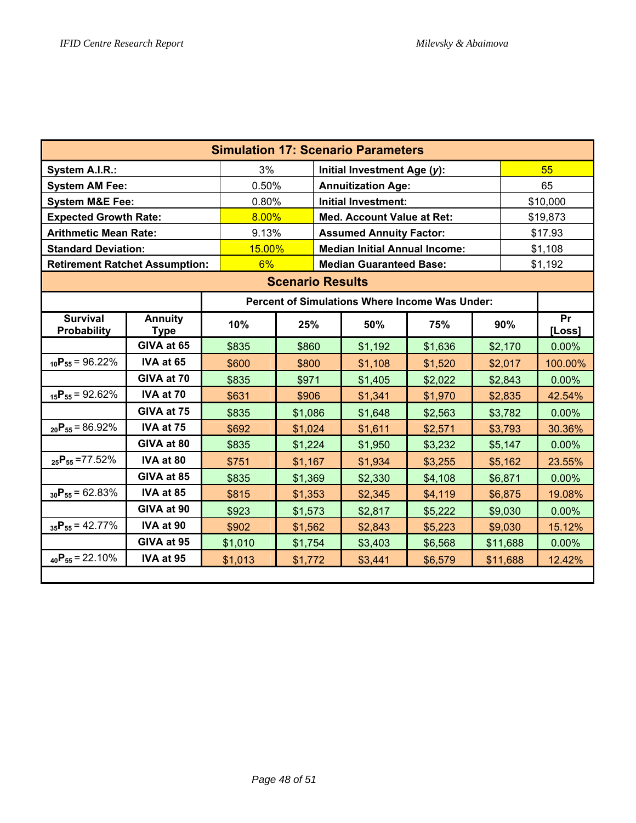| <b>Simulation 17: Scenario Parameters</b> |                               |         |                                   |                                      |                                |                                                |    |          |              |
|-------------------------------------------|-------------------------------|---------|-----------------------------------|--------------------------------------|--------------------------------|------------------------------------------------|----|----------|--------------|
| System A.I.R.:                            |                               | 3%      |                                   | Initial Investment Age (y):          |                                |                                                | 55 |          |              |
| <b>System AM Fee:</b>                     | 0.50%                         |         | <b>Annuitization Age:</b>         |                                      |                                | 65                                             |    |          |              |
| <b>System M&amp;E Fee:</b>                | 0.80%                         |         | <b>Initial Investment:</b>        |                                      |                                | \$10,000                                       |    |          |              |
| <b>Expected Growth Rate:</b>              | 8.00%                         |         | <b>Med. Account Value at Ret:</b> |                                      |                                | \$19,873                                       |    |          |              |
| <b>Arithmetic Mean Rate:</b>              | 9.13%                         |         | <b>Assumed Annuity Factor:</b>    |                                      |                                | \$17.93                                        |    |          |              |
| <b>Standard Deviation:</b>                |                               | 15.00%  |                                   | <b>Median Initial Annual Income:</b> |                                |                                                |    | \$1,108  |              |
| <b>Retirement Ratchet Assumption:</b>     |                               |         | 6%                                |                                      | <b>Median Guaranteed Base:</b> |                                                |    | \$1,192  |              |
|                                           |                               |         | <b>Scenario Results</b>           |                                      |                                |                                                |    |          |              |
|                                           |                               |         |                                   |                                      |                                | Percent of Simulations Where Income Was Under: |    |          |              |
| <b>Survival</b><br><b>Probability</b>     | <b>Annuity</b><br><b>Type</b> | 10%     | 25%                               |                                      | 50%                            | 75%                                            |    | 90%      | Pr<br>[Loss] |
|                                           | GIVA at 65                    | \$835   | \$860                             |                                      | \$1,192                        | \$1,636                                        |    | \$2,170  | 0.00%        |
| $_{10}P_{55} = 96.22\%$                   | IVA at 65                     | \$600   | \$800                             |                                      | \$1,108                        | \$1,520                                        |    | \$2,017  | 100.00%      |
|                                           | GIVA at 70                    | \$835   | \$971                             |                                      | \$1,405                        | \$2,022                                        |    | \$2,843  | 0.00%        |
| $_{15}P_{55} = 92.62\%$                   | IVA at 70                     | \$631   | \$906                             |                                      | \$1,341                        | \$1,970                                        |    | \$2,835  | 42.54%       |
|                                           | GIVA at 75                    | \$835   | \$1,086                           |                                      | \$1,648                        | \$2,563                                        |    | \$3,782  | 0.00%        |
| $_{20}P_{55} = 86.92\%$                   | IVA at 75                     | \$692   | \$1,024                           |                                      | \$1,611                        | \$2,571                                        |    | \$3,793  | 30.36%       |
|                                           | GIVA at 80                    | \$835   | \$1,224                           |                                      | \$1,950                        | \$3,232                                        |    | \$5,147  | 0.00%        |
| $_{25}P_{55}$ = 77.52%                    | IVA at 80                     | \$751   | \$1,167                           |                                      | \$1,934                        | \$3,255                                        |    | \$5,162  | 23.55%       |
|                                           | GIVA at 85                    | \$835   | \$1,369                           |                                      | \$2,330                        | \$4,108                                        |    | \$6,871  | 0.00%        |
| $_{30}P_{55} = 62.83\%$                   | IVA at 85                     | \$815   | \$1,353                           |                                      | \$2,345                        | \$4,119                                        |    | \$6,875  | 19.08%       |
|                                           | GIVA at 90                    | \$923   | \$1,573                           |                                      | \$2,817                        | \$5,222                                        |    | \$9,030  | 0.00%        |
| $_{35}P_{55} = 42.77\%$                   | IVA at 90                     | \$902   | \$1,562                           |                                      | \$2,843                        | \$5,223                                        |    | \$9,030  | 15.12%       |
|                                           | GIVA at 95                    | \$1,010 | \$1,754                           |                                      | \$3,403                        | \$6,568                                        |    | \$11,688 | 0.00%        |
| $_{40}P_{55} = 22.10\%$                   | IVA at 95                     | \$1,013 | \$1,772                           |                                      | \$3,441                        | \$6,579                                        |    | \$11,688 | 12.42%       |
|                                           |                               |         |                                   |                                      |                                |                                                |    |          |              |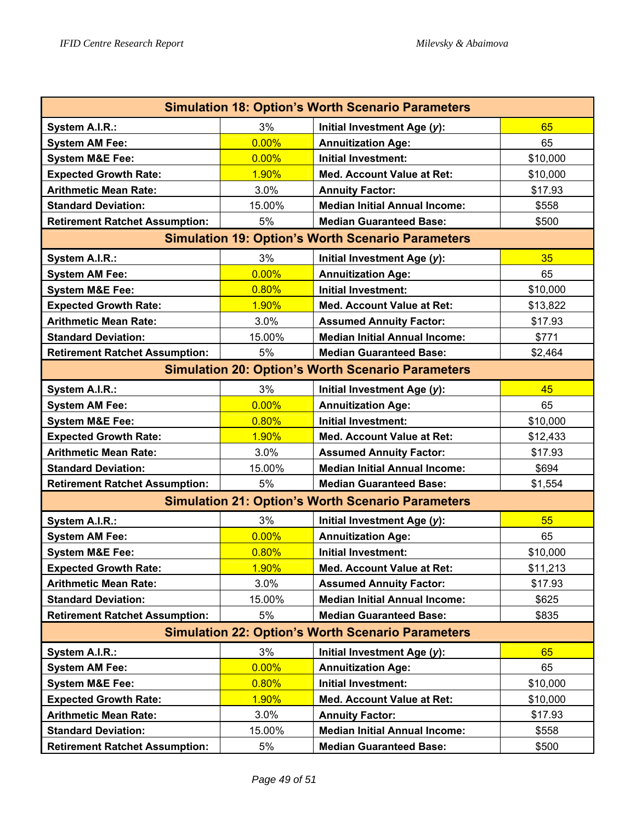| <b>Simulation 18: Option's Worth Scenario Parameters</b> |        |                                      |          |  |  |  |  |
|----------------------------------------------------------|--------|--------------------------------------|----------|--|--|--|--|
| System A.I.R.:                                           | 3%     | Initial Investment Age (y):          | 65       |  |  |  |  |
| <b>System AM Fee:</b>                                    | 0.00%  | <b>Annuitization Age:</b>            | 65       |  |  |  |  |
| <b>System M&amp;E Fee:</b>                               | 0.00%  | <b>Initial Investment:</b>           | \$10,000 |  |  |  |  |
| <b>Expected Growth Rate:</b>                             | 1.90%  | <b>Med. Account Value at Ret:</b>    | \$10,000 |  |  |  |  |
| <b>Arithmetic Mean Rate:</b>                             | 3.0%   | <b>Annuity Factor:</b>               | \$17.93  |  |  |  |  |
| <b>Standard Deviation:</b>                               | 15.00% | <b>Median Initial Annual Income:</b> | \$558    |  |  |  |  |
| <b>Retirement Ratchet Assumption:</b>                    | 5%     | <b>Median Guaranteed Base:</b>       | \$500    |  |  |  |  |
| <b>Simulation 19: Option's Worth Scenario Parameters</b> |        |                                      |          |  |  |  |  |
| System A.I.R.:                                           | 3%     | Initial Investment Age (y):          | 35       |  |  |  |  |
| <b>System AM Fee:</b>                                    | 0.00%  | <b>Annuitization Age:</b>            | 65       |  |  |  |  |
| <b>System M&amp;E Fee:</b>                               | 0.80%  | <b>Initial Investment:</b>           | \$10,000 |  |  |  |  |
| <b>Expected Growth Rate:</b>                             | 1.90%  | <b>Med. Account Value at Ret:</b>    | \$13,822 |  |  |  |  |
| <b>Arithmetic Mean Rate:</b>                             | 3.0%   | <b>Assumed Annuity Factor:</b>       | \$17.93  |  |  |  |  |
| <b>Standard Deviation:</b>                               | 15.00% | <b>Median Initial Annual Income:</b> | \$771    |  |  |  |  |
| <b>Retirement Ratchet Assumption:</b>                    | 5%     | <b>Median Guaranteed Base:</b>       | \$2,464  |  |  |  |  |
| <b>Simulation 20: Option's Worth Scenario Parameters</b> |        |                                      |          |  |  |  |  |
| System A.I.R.:                                           | 3%     | Initial Investment Age (y):          | 45       |  |  |  |  |
| <b>System AM Fee:</b>                                    | 0.00%  | <b>Annuitization Age:</b>            | 65       |  |  |  |  |
| <b>System M&amp;E Fee:</b>                               | 0.80%  | <b>Initial Investment:</b>           | \$10,000 |  |  |  |  |
| <b>Expected Growth Rate:</b>                             | 1.90%  | Med. Account Value at Ret:           | \$12,433 |  |  |  |  |
| <b>Arithmetic Mean Rate:</b>                             | 3.0%   | <b>Assumed Annuity Factor:</b>       | \$17.93  |  |  |  |  |
| <b>Standard Deviation:</b>                               | 15.00% | <b>Median Initial Annual Income:</b> | \$694    |  |  |  |  |
| <b>Retirement Ratchet Assumption:</b>                    | 5%     | <b>Median Guaranteed Base:</b>       | \$1,554  |  |  |  |  |
| <b>Simulation 21: Option's Worth Scenario Parameters</b> |        |                                      |          |  |  |  |  |
| System A.I.R.:                                           | 3%     | Initial Investment Age (y):          | 55       |  |  |  |  |
| <b>System AM Fee:</b>                                    | 0.00%  | <b>Annuitization Age:</b>            | 65       |  |  |  |  |
| <b>System M&amp;E Fee:</b>                               | 0.80%  | <b>Initial Investment:</b>           | \$10,000 |  |  |  |  |
| <b>Expected Growth Rate:</b>                             | 1.90%  | <b>Med. Account Value at Ret:</b>    | \$11,213 |  |  |  |  |
| <b>Arithmetic Mean Rate:</b>                             | 3.0%   | <b>Assumed Annuity Factor:</b>       | \$17.93  |  |  |  |  |
| <b>Standard Deviation:</b>                               | 15.00% | <b>Median Initial Annual Income:</b> | \$625    |  |  |  |  |
| <b>Retirement Ratchet Assumption:</b>                    | 5%     | <b>Median Guaranteed Base:</b>       | \$835    |  |  |  |  |
| <b>Simulation 22: Option's Worth Scenario Parameters</b> |        |                                      |          |  |  |  |  |
| System A.I.R.:                                           | 3%     | Initial Investment Age (y):          | 65       |  |  |  |  |
| <b>System AM Fee:</b>                                    | 0.00%  | <b>Annuitization Age:</b>            | 65       |  |  |  |  |
| <b>System M&amp;E Fee:</b>                               | 0.80%  | <b>Initial Investment:</b>           | \$10,000 |  |  |  |  |
| <b>Expected Growth Rate:</b>                             | 1.90%  | Med. Account Value at Ret:           | \$10,000 |  |  |  |  |
| <b>Arithmetic Mean Rate:</b>                             | 3.0%   | <b>Annuity Factor:</b>               | \$17.93  |  |  |  |  |
| <b>Standard Deviation:</b>                               | 15.00% | <b>Median Initial Annual Income:</b> | \$558    |  |  |  |  |
| <b>Retirement Ratchet Assumption:</b>                    | 5%     | <b>Median Guaranteed Base:</b>       | \$500    |  |  |  |  |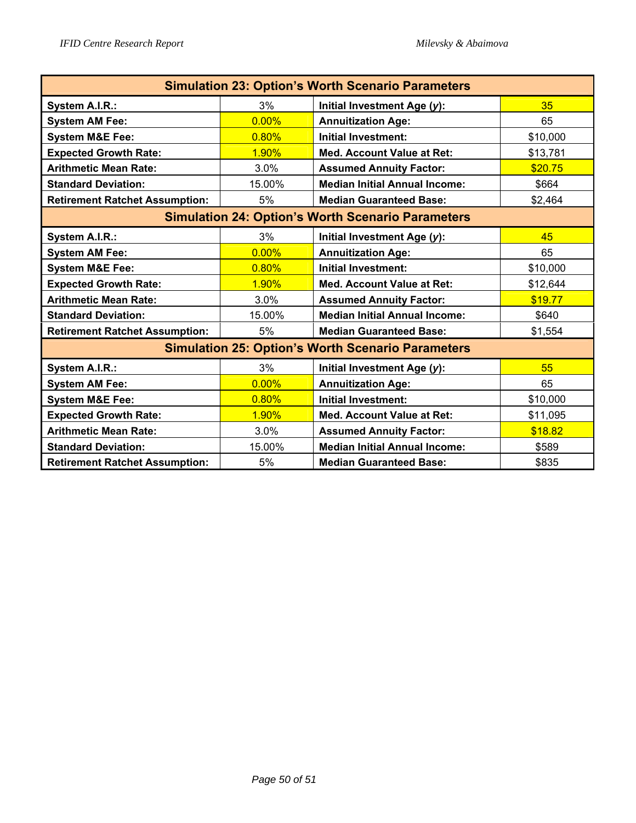| <b>Simulation 23: Option's Worth Scenario Parameters</b> |        |                                                          |          |  |  |  |
|----------------------------------------------------------|--------|----------------------------------------------------------|----------|--|--|--|
| System A.I.R.:                                           | 3%     | Initial Investment Age (y):                              | 35       |  |  |  |
| <b>System AM Fee:</b>                                    | 0.00%  | <b>Annuitization Age:</b>                                | 65       |  |  |  |
| <b>System M&amp;E Fee:</b>                               | 0.80%  | <b>Initial Investment:</b>                               | \$10,000 |  |  |  |
| <b>Expected Growth Rate:</b>                             | 1.90%  | <b>Med. Account Value at Ret:</b>                        | \$13,781 |  |  |  |
| <b>Arithmetic Mean Rate:</b>                             | 3.0%   | <b>Assumed Annuity Factor:</b>                           | \$20.75  |  |  |  |
| <b>Standard Deviation:</b>                               | 15.00% | <b>Median Initial Annual Income:</b>                     | \$664    |  |  |  |
| <b>Retirement Ratchet Assumption:</b>                    | 5%     | <b>Median Guaranteed Base:</b>                           | \$2,464  |  |  |  |
| <b>Simulation 24: Option's Worth Scenario Parameters</b> |        |                                                          |          |  |  |  |
| System A.I.R.:                                           | 3%     | Initial Investment Age (y):                              | 45       |  |  |  |
| <b>System AM Fee:</b>                                    | 0.00%  | <b>Annuitization Age:</b>                                | 65       |  |  |  |
| <b>System M&amp;E Fee:</b>                               | 0.80%  | <b>Initial Investment:</b>                               | \$10,000 |  |  |  |
| <b>Expected Growth Rate:</b>                             | 1.90%  | <b>Med. Account Value at Ret:</b>                        | \$12,644 |  |  |  |
| <b>Arithmetic Mean Rate:</b>                             | 3.0%   | <b>Assumed Annuity Factor:</b>                           | \$19.77  |  |  |  |
| <b>Standard Deviation:</b>                               | 15.00% | <b>Median Initial Annual Income:</b>                     | \$640    |  |  |  |
| <b>Retirement Ratchet Assumption:</b>                    | 5%     | <b>Median Guaranteed Base:</b>                           | \$1,554  |  |  |  |
|                                                          |        | <b>Simulation 25: Option's Worth Scenario Parameters</b> |          |  |  |  |
| System A.I.R.:                                           | 3%     | Initial Investment Age (y):                              | 55       |  |  |  |
| <b>System AM Fee:</b>                                    | 0.00%  | <b>Annuitization Age:</b>                                | 65       |  |  |  |
| <b>System M&amp;E Fee:</b>                               | 0.80%  | <b>Initial Investment:</b>                               | \$10,000 |  |  |  |
| <b>Expected Growth Rate:</b>                             | 1.90%  | <b>Med. Account Value at Ret:</b>                        | \$11,095 |  |  |  |
| <b>Arithmetic Mean Rate:</b>                             | 3.0%   | <b>Assumed Annuity Factor:</b>                           | \$18.82  |  |  |  |
| <b>Standard Deviation:</b>                               | 15.00% | <b>Median Initial Annual Income:</b>                     | \$589    |  |  |  |
| <b>Retirement Ratchet Assumption:</b>                    | 5%     | <b>Median Guaranteed Base:</b>                           | \$835    |  |  |  |